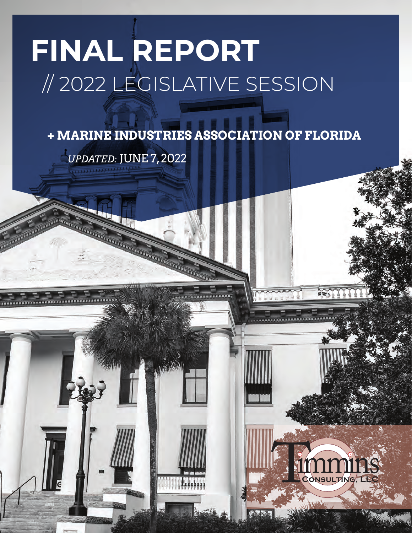# **FINAL REPORT** // 2022 LEGISLATIVE SESSION

**+ MARINE INDUSTRIES ASSOCIATION OF FLORIDA**

*UPDATED:* JUNE 7, 2022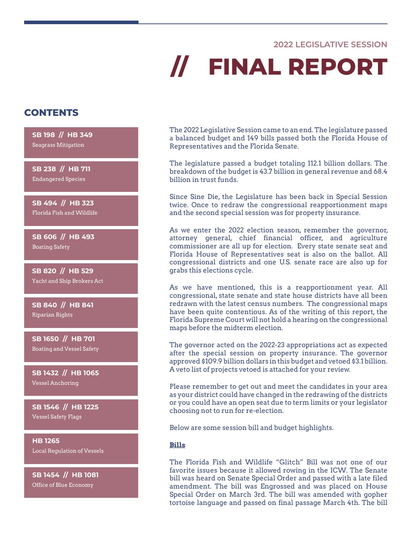### **2022 LEGISLATIVE SESSION**

# **// FINAL REPORT**

## **CONTENTS**

**SB 198 // HB 349** Seagrass Mitigation

**SB 238 // HB 711** Endangered Species

**SB 494 // HB 323** Florida Fish and Wildlife

**SB 606 // HB 493** Boating Safety

**SB 820 // HB 529** Yacht and Ship Brokers Act

**SB 840 // HB 841** Riparian Rights

**SB 1650 // HB 701** Boating and Vessel Safety

**SB 1432 // HB 1065** Vessel Anchoring

**SB 1546 // HB 1225** Vessel Safety Flags

**HB 1265** Local Regulation of Vessels

**SB 1454 // HB 1081** Office of Blue Economy

The 2022 Legislative Session came to an end. The legislature passed a balanced budget and 149 bills passed both the Florida House of Representatives and the Florida Senate.

The legislature passed a budget totaling 112.1 billion dollars. The breakdown of the budget is 43.7 billion in general revenue and 68.4 billion in trust funds.

Since Sine Die, the Legislature has been back in Special Session twice. Once to redraw the congressional reapportionment maps and the second special session was for property insurance.

As we enter the 2022 election season, remember the governor, attorney general, chief financial officer, and agriculture commissioner are all up for election. Every state senate seat and Florida House of Representatives seat is also on the ballot. All congressional districts and one U.S. senate race are also up for grabs this elections cycle.

As we have mentioned, this is a reapportionment year. All congressional, state senate and state house districts have all been redrawn with the latest census numbers. The congressional maps have been quite contentious. As of the writing of this report, the Florida Supreme Court will not hold a hearing on the congressional maps before the midterm election.

The governor acted on the 2022-23 appropriations act as expected after the special session on property insurance. The governor approved \$109.9 billion dollars in this budget and vetoed \$3.1 billion. A veto list of projects vetoed is attached for your review.

Please remember to get out and meet the candidates in your area as your district could have changed in the redrawing of the districts or you could have an open seat due to term limits or your legislator choosing not to run for re-election.

Below are some session bill and budget highlights.

### **Bills**

The Florida Fish and Wildlife "Glitch" Bill was not one of our favorite issues because it allowed rowing in the ICW. The Senate bill was heard on Senate Special Order and passed with a late filed amendment. The bill was Engrossed and was placed on House Special Order on March 3rd. The bill was amended with gopher tortoise language and passed on final passage March 4th. The bill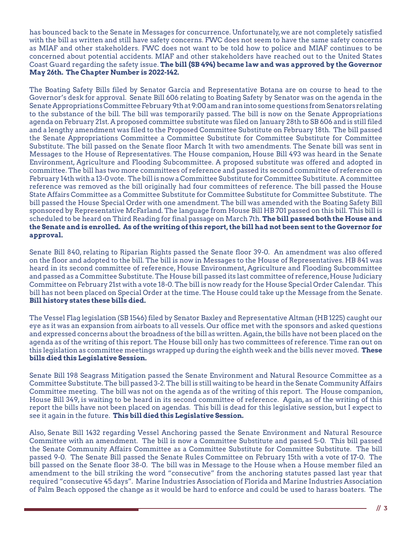has bounced back to the Senate in Messages for concurrence. Unfortunately, we are not completely satisfied with the bill as written and still have safety concerns. FWC does not seem to have the same safety concerns as MIAF and other stakeholders. FWC does not want to be told how to police and MIAF continues to be concerned about potential accidents. MIAF and other stakeholders have reached out to the United States Coast Guard regarding the safety issue. **The bill (SB 494) became law and was approved by the Governor May 26th. The Chapter Number is 2022-142.**

The Boating Safety Bills filed by Senator Garcia and Representative Botana are on course to head to the Governor's desk for approval. Senate Bill 606 relating to Boating Safety by Senator was on the agenda in the Senate Appropriations Committee February 9th at 9:00 am and ran into some questions from Senators relating to the substance of the bill. The bill was temporarily passed. The bill is now on the Senate Appropriations agenda on February 21st. A proposed committee substitute was filed on January 28th to SB 606 and is still filed and a lengthy amendment was filed to the Proposed Committee Substitute on February 18th. The bill passed the Senate Appropriations Committee a Committee Substitute for Committee Substitute for Committee Substitute. The bill passed on the Senate floor March 1t with two amendments. The Senate bill was sent in Messages to the House of Representatives. The House companion, House Bill 493 was heard in the Senate Environment, Agriculture and Flooding Subcommittee. A proposed substitute was offered and adopted in committee. The bill has two more committees of reference and passed its second committee of reference on February 14th with a 13-0 vote. The bill is now a Committee Substitute for Committee Substitute. A committee reference was removed as the bill originally had four committees of reference. The bill passed the House State Affairs Committee as a Committee Substitute for Committee Substitute for Committee Substitute. The bill passed the House Special Order with one amendment. The bill was amended with the Boating Safety Bill sponsored by Representative McFarland. The language from House Bill HB 701 passed on this bill. This bill is scheduled to be heard on Third Reading for final passage on March 7th. **The bill passed both the House and the Senate and is enrolled. As of the writing of this report, the bill had not been sent to the Governor for approval.**

Senate Bill 840, relating to Riparian Rights passed the Senate floor 39-0. An amendment was also offered on the floor and adopted to the bill. The bill is now in Messages to the House of Representatives. HB 841 was heard in its second committee of reference, House Environment, Agriculture and Flooding Subcommittee and passed as a Committee Substitute. The House bill passed its last committee of reference, House Judiciary Committee on February 21st with a vote 18-0. The bill is now ready for the House Special Order Calendar. This bill has not been placed on Special Order at the time. The House could take up the Message from the Senate. **Bill history states these bills died.** 

The Vessel Flag legislation (SB 1546) filed by Senator Baxley and Representative Altman (HB 1225) caught our eye as it was an expansion from airboats to all vessels. Our office met with the sponsors and asked questions and expressed concerns about the broadness of the bill as written. Again, the bills have not been placed on the agenda as of the writing of this report. The House bill only has two committees of reference. Time ran out on this legislation as committee meetings wrapped up during the eighth week and the bills never moved. **These bills died this Legislative Session.**

Senate Bill 198 Seagrass Mitigation passed the Senate Environment and Natural Resource Committee as a Committee Substitute. The bill passed 3-2. The bill is still waiting to be heard in the Senate Community Affairs Committee meeting. The bill was not on the agenda as of the writing of this report. The House companion, House Bill 349, is waiting to be heard in its second committee of reference. Again, as of the writing of this report the bills have not been placed on agendas. This bill is dead for this legislative session, but I expect to see it again in the future. **This bill died this Legislative Session.**

Also, Senate Bill 1432 regarding Vessel Anchoring passed the Senate Environment and Natural Resource Committee with an amendment. The bill is now a Committee Substitute and passed 5-0. This bill passed the Senate Community Affairs Committee as a Committee Substitute for Committee Substitute. The bill passed 9-0. The Senate Bill passed the Senate Rules Committee on February 15th with a vote of 17-0. The bill passed on the Senate floor 38-0. The bill was in Message to the House when a House member filed an amendment to the bill striking the word "consecutive" from the anchoring statutes passed last year that required "consecutive 45 days". Marine Industries Association of Florida and Marine Industries Association of Palm Beach opposed the change as it would be hard to enforce and could be used to harass boaters. The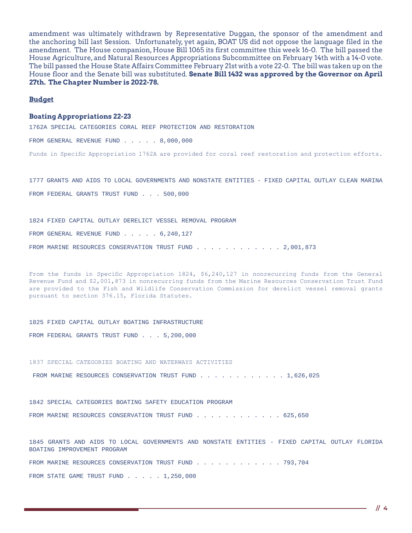amendment was ultimately withdrawn by Representative Duggan, the sponsor of the amendment and the anchoring bill last Session. Unfortunately, yet again, BOAT US did not oppose the language filed in the amendment. The House companion, House Bill 1065 its first committee this week 16-0. The bill passed the House Agriculture, and Natural Resources Appropriations Subcommittee on February 14th with a 14-0 vote. The bill passed the House State Affairs Committee February 21st with a vote 22-0. The bill was taken up on the House floor and the Senate bill was substituted. **Senate Bill 1432 was approved by the Governor on April 27th. The Chapter Number is 2022-78.**

### **Budget**

#### **Boating Appropriations 22-23**

1762A SPECIAL CATEGORIES CORAL REEF PROTECTION AND RESTORATION

FROM GENERAL REVENUE FUND . . . . 8,000,000

Funds in Specific Appropriation 1762A are provided for coral reef restoration and protection efforts.

1777 GRANTS AND AIDS TO LOCAL GOVERNMENTS AND NONSTATE ENTITIES - FIXED CAPITAL OUTLAY CLEAN MARINA FROM FEDERAL GRANTS TRUST FUND . . . 500,000

1824 FIXED CAPITAL OUTLAY DERELICT VESSEL REMOVAL PROGRAM FROM GENERAL REVENUE FUND . . . . . 6,240,127 FROM MARINE RESOURCES CONSERVATION TRUST FUND . . . . . . . . . . . 2,001,873

From the funds in Specific Appropriation 1824, \$6,240,127 in nonrecurring funds from the General Revenue Fund and \$2,001,873 in nonrecurring funds from the Marine Resources Conservation Trust Fund are provided to the Fish and Wildlife Conservation Commission for derelict vessel removal grants pursuant to section 376.15, Florida Statutes.

1825 FIXED CAPITAL OUTLAY BOATING INFRASTRUCTURE

FROM FEDERAL GRANTS TRUST FUND . . . 5,200,000

1837 SPECIAL CATEGORIES BOATING AND WATERWAYS ACTIVITIES

FROM MARINE RESOURCES CONSERVATION TRUST FUND . . . . . . . . . . . 1,626,025

1842 SPECIAL CATEGORIES BOATING SAFETY EDUCATION PROGRAM FROM MARINE RESOURCES CONSERVATION TRUST FUND . . . . . . . . . . . . 625,650

1845 GRANTS AND AIDS TO LOCAL GOVERNMENTS AND NONSTATE ENTITIES - FIXED CAPITAL OUTLAY FLORIDA BOATING IMPROVEMENT PROGRAM

FROM MARINE RESOURCES CONSERVATION TRUST FUND . . . . . . . . . . . . 793,704

FROM STATE GAME TRUST FUND . . . . 1,250,000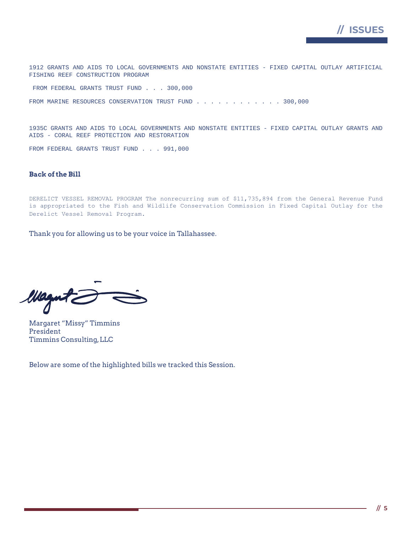

1912 GRANTS AND AIDS TO LOCAL GOVERNMENTS AND NONSTATE ENTITIES - FIXED CAPITAL OUTLAY ARTIFICIAL FISHING REEF CONSTRUCTION PROGRAM

FROM FEDERAL GRANTS TRUST FUND . . . 300,000

FROM MARINE RESOURCES CONSERVATION TRUST FUND . . . . . . . . . . . 300,000

1935C GRANTS AND AIDS TO LOCAL GOVERNMENTS AND NONSTATE ENTITIES - FIXED CAPITAL OUTLAY GRANTS AND AIDS - CORAL REEF PROTECTION AND RESTORATION

FROM FEDERAL GRANTS TRUST FUND . . . 991,000

### **Back of the Bill**

DERELICT VESSEL REMOVAL PROGRAM The nonrecurring sum of \$11,735,894 from the General Revenue Fund is appropriated to the Fish and Wildlife Conservation Commission in Fixed Capital Outlay for the Derelict Vessel Removal Program.

Thank you for allowing us to be your voice in Tallahassee.

Wagntz

Margaret "Missy" Timmins President Timmins Consulting, LLC

Below are some of the highlighted bills we tracked this Session.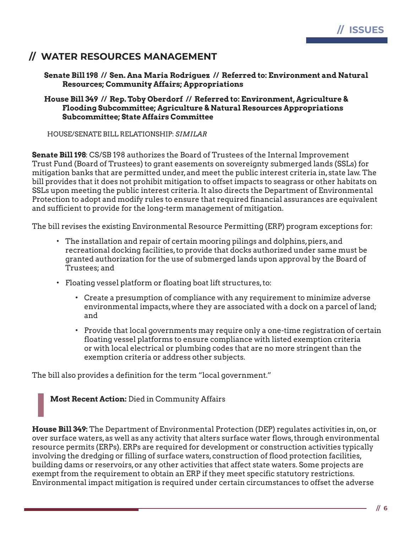

# **// WATER RESOURCES MANAGEMENT**

### **Senate Bill 198 // Sen. Ana Maria Rodriguez // Referred to: Environment and Natural Resources; Community Affairs; Appropriations**

### **House Bill 349 // Rep. Toby Oberdorf // Referred to: Environment, Agriculture & Flooding Subcommittee; Agriculture & Natural Resources Appropriations Subcommittee; State Affairs Committee**

HOUSE/SENATE BILL RELATIONSHIP: *SIMILAR*

**Senate Bill 198**: CS/SB 198 authorizes the Board of Trustees of the Internal Improvement Trust Fund (Board of Trustees) to grant easements on sovereignty submerged lands (SSLs) for mitigation banks that are permitted under, and meet the public interest criteria in, state law. The bill provides that it does not prohibit mitigation to offset impacts to seagrass or other habitats on SSLs upon meeting the public interest criteria. It also directs the Department of Environmental Protection to adopt and modify rules to ensure that required financial assurances are equivalent and sufficient to provide for the long-term management of mitigation.

The bill revises the existing Environmental Resource Permitting (ERP) program exceptions for:

- The installation and repair of certain mooring pilings and dolphins, piers, and recreational docking facilities, to provide that docks authorized under same must be granted authorization for the use of submerged lands upon approval by the Board of Trustees; and
- Floating vessel platform or floating boat lift structures, to:
	- Create a presumption of compliance with any requirement to minimize adverse environmental impacts, where they are associated with a dock on a parcel of land; and
	- Provide that local governments may require only a one-time registration of certain floating vessel platforms to ensure compliance with listed exemption criteria or with local electrical or plumbing codes that are no more stringent than the exemption criteria or address other subjects.

The bill also provides a definition for the term "local government."

**Most Recent Action:** Died in Community Affairs

**House Bill 349:** The Department of Environmental Protection (DEP) regulates activities in, on, or over surface waters, as well as any activity that alters surface water flows, through environmental resource permits (ERPs). ERPs are required for development or construction activities typically involving the dredging or filling of surface waters, construction of flood protection facilities, building dams or reservoirs, or any other activities that affect state waters. Some projects are exempt from the requirement to obtain an ERP if they meet specific statutory restrictions. Environmental impact mitigation is required under certain circumstances to offset the adverse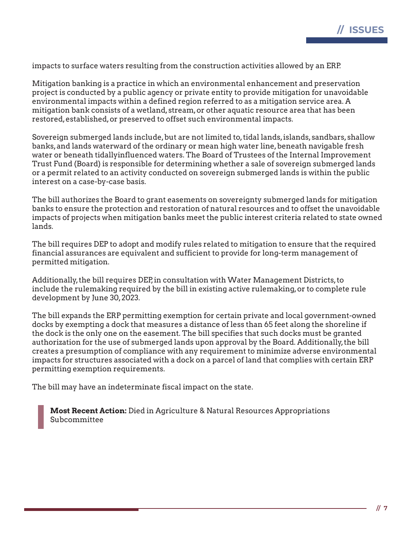impacts to surface waters resulting from the construction activities allowed by an ERP.

Mitigation banking is a practice in which an environmental enhancement and preservation project is conducted by a public agency or private entity to provide mitigation for unavoidable environmental impacts within a defined region referred to as a mitigation service area. A mitigation bank consists of a wetland, stream, or other aquatic resource area that has been restored, established, or preserved to offset such environmental impacts.

Sovereign submerged lands include, but are not limited to, tidal lands, islands, sandbars, shallow banks, and lands waterward of the ordinary or mean high water line, beneath navigable fresh water or beneath tidallyinfluenced waters. The Board of Trustees of the Internal Improvement Trust Fund (Board) is responsible for determining whether a sale of sovereign submerged lands or a permit related to an activity conducted on sovereign submerged lands is within the public interest on a case-by-case basis.

The bill authorizes the Board to grant easements on sovereignty submerged lands for mitigation banks to ensure the protection and restoration of natural resources and to offset the unavoidable impacts of projects when mitigation banks meet the public interest criteria related to state owned lands.

The bill requires DEP to adopt and modify rules related to mitigation to ensure that the required financial assurances are equivalent and sufficient to provide for long-term management of permitted mitigation.

Additionally, the bill requires DEP, in consultation with Water Management Districts, to include the rulemaking required by the bill in existing active rulemaking, or to complete rule development by June 30, 2023.

The bill expands the ERP permitting exemption for certain private and local government-owned docks by exempting a dock that measures a distance of less than 65 feet along the shoreline if the dock is the only one on the easement. The bill specifies that such docks must be granted authorization for the use of submerged lands upon approval by the Board. Additionally, the bill creates a presumption of compliance with any requirement to minimize adverse environmental impacts for structures associated with a dock on a parcel of land that complies with certain ERP permitting exemption requirements.

The bill may have an indeterminate fiscal impact on the state.

**Most Recent Action:** Died in Agriculture & Natural Resources Appropriations Subcommittee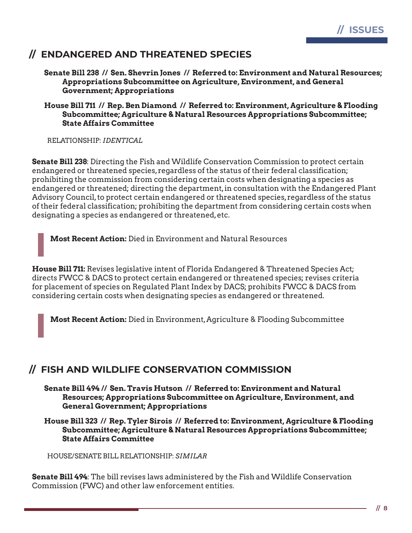

# **// ENDANGERED AND THREATENED SPECIES**

**Senate Bill 238 // Sen. Shevrin Jones // Referred to: Environment and Natural Resources; Appropriations Subcommittee on Agriculture, Environment, and General Government; Appropriations**

### **House Bill 711 // Rep. Ben Diamond // Referred to: Environment, Agriculture & Flooding Subcommittee; Agriculture & Natural Resources Appropriations Subcommittee; State Affairs Committee**

RELATIONSHIP: *IDENTICAL*

**Senate Bill 238**: Directing the Fish and Wildlife Conservation Commission to protect certain endangered or threatened species, regardless of the status of their federal classification; prohibiting the commission from considering certain costs when designating a species as endangered or threatened; directing the department, in consultation with the Endangered Plant Advisory Council, to protect certain endangered or threatened species, regardless of the status of their federal classification; prohibiting the department from considering certain costs when designating a species as endangered or threatened, etc.

**Most Recent Action:** Died in Environment and Natural Resources

**House Bill 711:** Revises legislative intent of Florida Endangered & Threatened Species Act; directs FWCC & DACS to protect certain endangered or threatened species; revises criteria for placement of species on Regulated Plant Index by DACS; prohibits FWCC & DACS from considering certain costs when designating species as endangered or threatened.

**Most Recent Action:** Died in Environment, Agriculture & Flooding Subcommittee

# **// FISH AND WILDLIFE CONSERVATION COMMISSION**

**Senate Bill 494 // Sen. Travis Hutson // Referred to: Environment and Natural Resources; Appropriations Subcommittee on Agriculture, Environment, and General Government; Appropriations**

**House Bill 323 // Rep. Tyler Sirois // Referred to: Environment, Agriculture & Flooding Subcommittee; Agriculture & Natural Resources Appropriations Subcommittee; State Affairs Committee**

HOUSE/SENATE BILL RELATIONSHIP: *SIMILAR*

**Senate Bill 494**: The bill revises laws administered by the Fish and Wildlife Conservation Commission (FWC) and other law enforcement entities.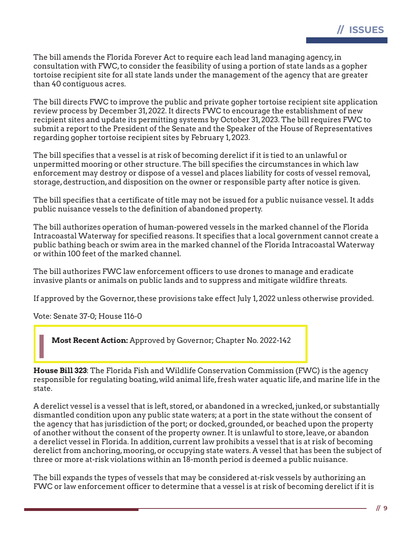The bill amends the Florida Forever Act to require each lead land managing agency, in consultation with FWC, to consider the feasibility of using a portion of state lands as a gopher tortoise recipient site for all state lands under the management of the agency that are greater than 40 contiguous acres.

The bill directs FWC to improve the public and private gopher tortoise recipient site application review process by December 31, 2022. It directs FWC to encourage the establishment of new recipient sites and update its permitting systems by October 31, 2023. The bill requires FWC to submit a report to the President of the Senate and the Speaker of the House of Representatives regarding gopher tortoise recipient sites by February 1, 2023.

The bill specifies that a vessel is at risk of becoming derelict if it is tied to an unlawful or unpermitted mooring or other structure. The bill specifies the circumstances in which law enforcement may destroy or dispose of a vessel and places liability for costs of vessel removal, storage, destruction, and disposition on the owner or responsible party after notice is given.

The bill specifies that a certificate of title may not be issued for a public nuisance vessel. It adds public nuisance vessels to the definition of abandoned property.

The bill authorizes operation of human-powered vessels in the marked channel of the Florida Intracoastal Waterway for specified reasons. It specifies that a local government cannot create a public bathing beach or swim area in the marked channel of the Florida Intracoastal Waterway or within 100 feet of the marked channel.

The bill authorizes FWC law enforcement officers to use drones to manage and eradicate invasive plants or animals on public lands and to suppress and mitigate wildfire threats.

If approved by the Governor, these provisions take effect July 1, 2022 unless otherwise provided.

Vote: Senate 37-0; House 116-0

**Most Recent Action:** Approved by Governor; Chapter No. 2022-142

**House Bill 323**: The Florida Fish and Wildlife Conservation Commission (FWC) is the agency responsible for regulating boating, wild animal life, fresh water aquatic life, and marine life in the state.

A derelict vessel is a vessel that is left, stored, or abandoned in a wrecked, junked, or substantially dismantled condition upon any public state waters; at a port in the state without the consent of the agency that has jurisdiction of the port; or docked, grounded, or beached upon the property of another without the consent of the property owner. It is unlawful to store, leave, or abandon a derelict vessel in Florida. In addition, current law prohibits a vessel that is at risk of becoming derelict from anchoring, mooring, or occupying state waters. A vessel that has been the subject of three or more at-risk violations within an 18-month period is deemed a public nuisance.

The bill expands the types of vessels that may be considered at-risk vessels by authorizing an FWC or law enforcement officer to determine that a vessel is at risk of becoming derelict if it is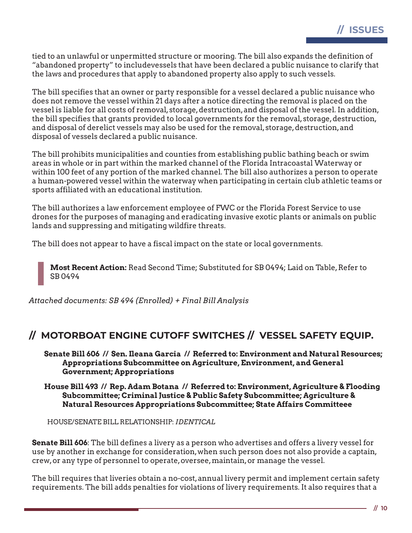tied to an unlawful or unpermitted structure or mooring. The bill also expands the definition of "abandoned property" to includevessels that have been declared a public nuisance to clarify that the laws and procedures that apply to abandoned property also apply to such vessels.

The bill specifies that an owner or party responsible for a vessel declared a public nuisance who does not remove the vessel within 21 days after a notice directing the removal is placed on the vessel is liable for all costs of removal, storage, destruction, and disposal of the vessel. In addition, the bill specifies that grants provided to local governments for the removal, storage, destruction, and disposal of derelict vessels may also be used for the removal, storage, destruction, and disposal of vessels declared a public nuisance.

The bill prohibits municipalities and counties from establishing public bathing beach or swim areas in whole or in part within the marked channel of the Florida Intracoastal Waterway or within 100 feet of any portion of the marked channel. The bill also authorizes a person to operate a human-powered vessel within the waterway when participating in certain club athletic teams or sports affiliated with an educational institution.

The bill authorizes a law enforcement employee of FWC or the Florida Forest Service to use drones for the purposes of managing and eradicating invasive exotic plants or animals on public lands and suppressing and mitigating wildfire threats.

The bill does not appear to have a fiscal impact on the state or local governments.

**Most Recent Action:** Read Second Time; Substituted for SB 0494; Laid on Table, Refer to SB 0494

*Attached documents: SB 494 (Enrolled) + Final Bill Analysis*

# **// MOTORBOAT ENGINE CUTOFF SWITCHES // VESSEL SAFETY EQUIP.**

**Senate Bill 606 // Sen. Ileana Garcia // Referred to: Environment and Natural Resources; Appropriations Subcommittee on Agriculture, Environment, and General Government; Appropriations**

**House Bill 493 // Rep. Adam Botana // Referred to: Environment, Agriculture & Flooding Subcommittee; Criminal Justice & Public Safety Subcommittee; Agriculture & Natural Resources Appropriations Subcommittee; State Affairs Committeee**

HOUSE/SENATE BILL RELATIONSHIP: *IDENTICAL*

**Senate Bill 606**: The bill defines a livery as a person who advertises and offers a livery vessel for use by another in exchange for consideration, when such person does not also provide a captain, crew, or any type of personnel to operate, oversee, maintain, or manage the vessel.

The bill requires that liveries obtain a no-cost, annual livery permit and implement certain safety requirements. The bill adds penalties for violations of livery requirements. It also requires that a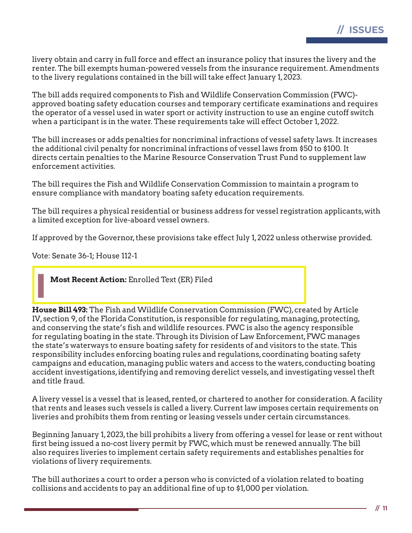livery obtain and carry in full force and effect an insurance policy that insures the livery and the renter. The bill exempts human-powered vessels from the insurance requirement. Amendments to the livery regulations contained in the bill will take effect January 1, 2023.

The bill adds required components to Fish and Wildlife Conservation Commission (FWC) approved boating safety education courses and temporary certificate examinations and requires the operator of a vessel used in water sport or activity instruction to use an engine cutoff switch when a participant is in the water. These requirements take will effect October 1, 2022.

The bill increases or adds penalties for noncriminal infractions of vessel safety laws. It increases the additional civil penalty for noncriminal infractions of vessel laws from \$50 to \$100. It directs certain penalties to the Marine Resource Conservation Trust Fund to supplement law enforcement activities.

The bill requires the Fish and Wildlife Conservation Commission to maintain a program to ensure compliance with mandatory boating safety education requirements.

The bill requires a physical residential or business address for vessel registration applicants, with a limited exception for live-aboard vessel owners.

If approved by the Governor, these provisions take effect July 1, 2022 unless otherwise provided.

Vote: Senate 36-1; House 112-1

**Most Recent Action:** Enrolled Text (ER) Filed

**House Bill 493:** The Fish and Wildlife Conservation Commission (FWC), created by Article IV, section 9, of the Florida Constitution, is responsible for regulating, managing, protecting, and conserving the state's fish and wildlife resources. FWC is also the agency responsible for regulating boating in the state. Through its Division of Law Enforcement, FWC manages the state's waterways to ensure boating safety for residents of and visitors to the state. This responsibility includes enforcing boating rules and regulations, coordinating boating safety campaigns and education, managing public waters and access to the waters, conducting boating accident investigations, identifying and removing derelict vessels, and investigating vessel theft and title fraud.

A livery vessel is a vessel that is leased, rented, or chartered to another for consideration. A facility that rents and leases such vessels is called a livery. Current law imposes certain requirements on liveries and prohibits them from renting or leasing vessels under certain circumstances.

Beginning January 1, 2023, the bill prohibits a livery from offering a vessel for lease or rent without first being issued a no-cost livery permit by FWC, which must be renewed annually. The bill also requires liveries to implement certain safety requirements and establishes penalties for violations of livery requirements.

The bill authorizes a court to order a person who is convicted of a violation related to boating collisions and accidents to pay an additional fine of up to \$1,000 per violation.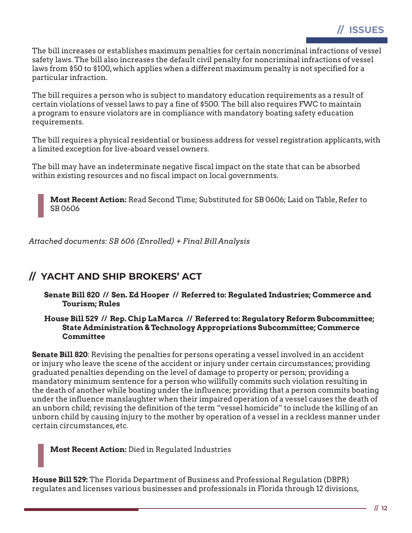The bill increases or establishes maximum penalties for certain noncriminal infractions of vessel safety laws. The bill also increases the default civil penalty for noncriminal infractions of vessel laws from \$50 to \$100, which applies when a different maximum penalty is not specified for a particular infraction.

The bill requires a person who is subject to mandatory education requirements as a result of certain violations of vessel laws to pay a fine of \$500. The bill also requires FWC to maintain a program to ensure violators are in compliance with mandatory boating safety education requirements.

The bill requires a physical residential or business address for vessel registration applicants, with a limited exception for live-aboard vessel owners.

The bill may have an indeterminate negative fiscal impact on the state that can be absorbed within existing resources and no fiscal impact on local governments.

**Most Recent Action:** Read Second Time; Substituted for SB 0606; Laid on Table, Refer to SB 0606

*Attached documents: SB 606 (Enrolled) + Final Bill Analysis*

# **// YACHT AND SHIP BROKERS' ACT**

**Senate Bill 820 // Sen. Ed Hooper // Referred to: Regulated Industries; Commerce and Tourism; Rules**

### **House Bill 529 // Rep. Chip LaMarca // Referred to: Regulatory Reform Subcommittee; State Administration & Technology Appropriations Subcommittee; Commerce Committee**

**Senate Bill 820**: Revising the penalties for persons operating a vessel involved in an accident or injury who leave the scene of the accident or injury under certain circumstances; providing graduated penalties depending on the level of damage to property or person; providing a mandatory minimum sentence for a person who willfully commits such violation resulting in the death of another while boating under the influence; providing that a person commits boating under the influence manslaughter when their impaired operation of a vessel causes the death of an unborn child; revising the definition of the term "vessel homicide" to include the killing of an unborn child by causing injury to the mother by operation of a vessel in a reckless manner under certain circumstances, etc.

**Most Recent Action:** Died in Regulated Industries

**House Bill 529:** The Florida Department of Business and Professional Regulation (DBPR) regulates and licenses various businesses and professionals in Florida through 12 divisions,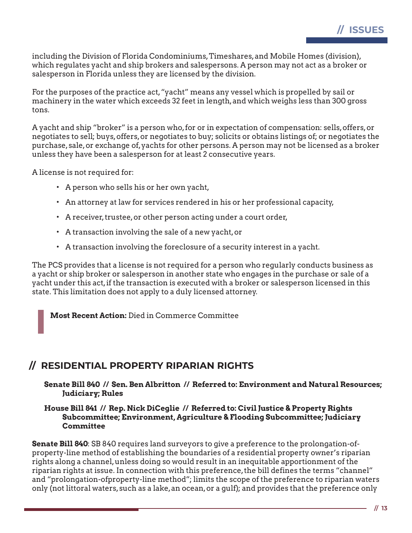including the Division of Florida Condominiums, Timeshares, and Mobile Homes (division), which regulates yacht and ship brokers and salespersons. A person may not act as a broker or salesperson in Florida unless they are licensed by the division.

For the purposes of the practice act, "yacht" means any vessel which is propelled by sail or machinery in the water which exceeds 32 feet in length, and which weighs less than 300 gross tons.

A yacht and ship "broker" is a person who, for or in expectation of compensation: sells, offers, or negotiates to sell; buys, offers, or negotiates to buy; solicits or obtains listings of; or negotiates the purchase, sale, or exchange of, yachts for other persons. A person may not be licensed as a broker unless they have been a salesperson for at least 2 consecutive years.

A license is not required for:

- A person who sells his or her own yacht,
- An attorney at law for services rendered in his or her professional capacity,
- A receiver, trustee, or other person acting under a court order,
- A transaction involving the sale of a new yacht, or
- A transaction involving the foreclosure of a security interest in a yacht.

The PCS provides that a license is not required for a person who regularly conducts business as a yacht or ship broker or salesperson in another state who engages in the purchase or sale of a yacht under this act, if the transaction is executed with a broker or salesperson licensed in this state. This limitation does not apply to a duly licensed attorney.

**Most Recent Action:** Died in Commerce Committee

# **// RESIDENTIAL PROPERTY RIPARIAN RIGHTS**

**Senate Bill 840 // Sen. Ben Albritton // Referred to: Environment and Natural Resources; Judiciary; Rules**

### **House Bill 841 // Rep. Nick DiCeglie // Referred to: Civil Justice & Property Rights Subcommittee; Environment, Agriculture & Flooding Subcommittee; Judiciary Committee**

**Senate Bill 840**: SB 840 requires land surveyors to give a preference to the prolongation-ofproperty-line method of establishing the boundaries of a residential property owner's riparian rights along a channel, unless doing so would result in an inequitable apportionment of the riparian rights at issue. In connection with this preference, the bill defines the terms "channel" and "prolongation-ofproperty-line method"; limits the scope of the preference to riparian waters only (not littoral waters, such as a lake, an ocean, or a gulf); and provides that the preference only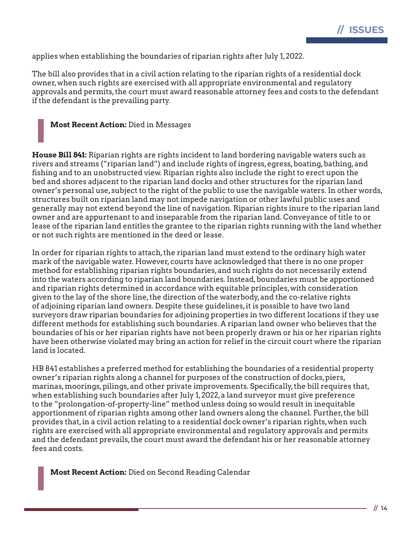

applies when establishing the boundaries of riparian rights after July 1, 2022.

The bill also provides that in a civil action relating to the riparian rights of a residential dock owner, when such rights are exercised with all appropriate environmental and regulatory approvals and permits, the court must award reasonable attorney fees and costs to the defendant if the defendant is the prevailing party.

**Most Recent Action:** Died in Messages

**House Bill 841:** Riparian rights are rights incident to land bordering navigable waters such as rivers and streams ("riparian land") and include rights of ingress, egress, boating, bathing, and fishing and to an unobstructed view. Riparian rights also include the right to erect upon the bed and shores adjacent to the riparian land docks and other structures for the riparian land owner's personal use, subject to the right of the public to use the navigable waters. In other words, structures built on riparian land may not impede navigation or other lawful public uses and generally may not extend beyond the line of navigation. Riparian rights inure to the riparian land owner and are appurtenant to and inseparable from the riparian land. Conveyance of title to or lease of the riparian land entitles the grantee to the riparian rights running with the land whether or not such rights are mentioned in the deed or lease.

In order for riparian rights to attach, the riparian land must extend to the ordinary high water mark of the navigable water. However, courts have acknowledged that there is no one proper method for establishing riparian rights boundaries, and such rights do not necessarily extend into the waters according to riparian land boundaries. Instead, boundaries must be apportioned and riparian rights determined in accordance with equitable principles, with consideration given to the lay of the shore line, the direction of the waterbody, and the co-relative rights of adjoining riparian land owners. Despite these guidelines, it is possible to have two land surveyors draw riparian boundaries for adjoining properties in two different locations if they use different methods for establishing such boundaries. A riparian land owner who believes that the boundaries of his or her riparian rights have not been properly drawn or his or her riparian rights have been otherwise violated may bring an action for relief in the circuit court where the riparian land is located.

HB 841 establishes a preferred method for establishing the boundaries of a residential property owner's riparian rights along a channel for purposes of the construction of docks, piers, marinas, moorings, pilings, and other private improvements. Specifically, the bill requires that, when establishing such boundaries after July 1, 2022, a land surveyor must give preference to the "prolongation-of-property-line" method unless doing so would result in inequitable apportionment of riparian rights among other land owners along the channel. Further, the bill provides that, in a civil action relating to a residential dock owner's riparian rights, when such rights are exercised with all appropriate environmental and regulatory approvals and permits and the defendant prevails, the court must award the defendant his or her reasonable attorney fees and costs.

**Most Recent Action:** Died on Second Reading Calendar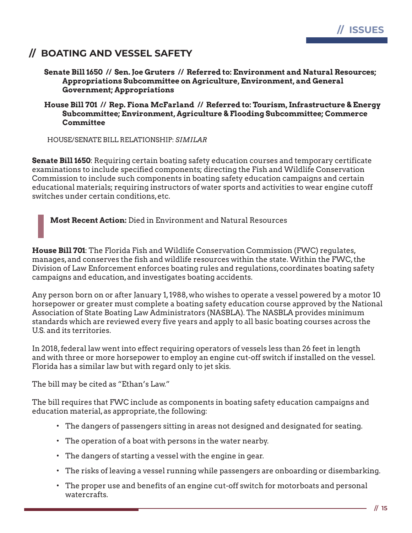

# **// BOATING AND VESSEL SAFETY**

**Senate Bill 1650 // Sen. Joe Gruters // Referred to: Environment and Natural Resources; Appropriations Subcommittee on Agriculture, Environment, and General Government; Appropriations**

**House Bill 701 // Rep. Fiona McFarland // Referred to: Tourism, Infrastructure & Energy Subcommittee; Environment, Agriculture & Flooding Subcommittee; Commerce Committee**

HOUSE/SENATE BILL RELATIONSHIP: *SIMILAR*

**Senate Bill 1650**: Requiring certain boating safety education courses and temporary certificate examinations to include specified components; directing the Fish and Wildlife Conservation Commission to include such components in boating safety education campaigns and certain educational materials; requiring instructors of water sports and activities to wear engine cutoff switches under certain conditions, etc.

**Most Recent Action:** Died in Environment and Natural Resources

**House Bill 701**: The Florida Fish and Wildlife Conservation Commission (FWC) regulates, manages, and conserves the fish and wildlife resources within the state. Within the FWC, the Division of Law Enforcement enforces boating rules and regulations, coordinates boating safety campaigns and education, and investigates boating accidents.

Any person born on or after January 1, 1988, who wishes to operate a vessel powered by a motor 10 horsepower or greater must complete a boating safety education course approved by the National Association of State Boating Law Administrators (NASBLA). The NASBLA provides minimum standards which are reviewed every five years and apply to all basic boating courses across the U.S. and its territories.

In 2018, federal law went into effect requiring operators of vessels less than 26 feet in length and with three or more horsepower to employ an engine cut-off switch if installed on the vessel. Florida has a similar law but with regard only to jet skis.

The bill may be cited as "Ethan's Law."

The bill requires that FWC include as components in boating safety education campaigns and education material, as appropriate, the following:

- The dangers of passengers sitting in areas not designed and designated for seating.
- The operation of a boat with persons in the water nearby.
- The dangers of starting a vessel with the engine in gear.
- The risks of leaving a vessel running while passengers are onboarding or disembarking.
- The proper use and benefits of an engine cut-off switch for motorboats and personal watercrafts.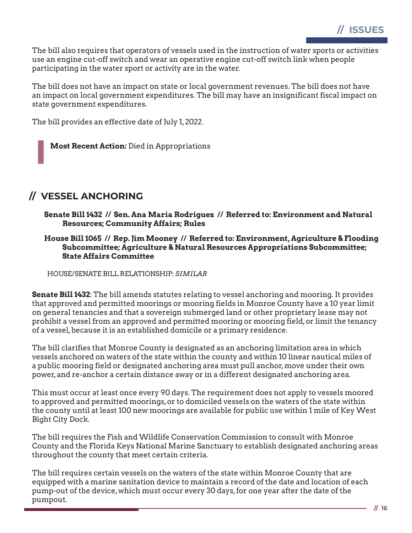The bill also requires that operators of vessels used in the instruction of water sports or activities use an engine cut-off switch and wear an operative engine cut-off switch link when people participating in the water sport or activity are in the water.

The bill does not have an impact on state or local government revenues. The bill does not have an impact on local government expenditures. The bill may have an insignificant fiscal impact on state government expenditures.

The bill provides an effective date of July 1, 2022.

**Most Recent Action:** Died in Appropriations

# **// VESSEL ANCHORING**

**Senate Bill 1432 // Sen. Ana Maria Rodriguez // Referred to: Environment and Natural Resources; Community Affairs; Rules**

**House Bill 1065 // Rep. Jim Mooney // Referred to: Environment, Agriculture & Flooding Subcommittee; Agriculture & Natural Resources Appropriations Subcommittee; State Affairs Committee**

HOUSE/SENATE BILL RELATIONSHIP: *SIMILAR*

**Senate Bill 1432**: The bill amends statutes relating to vessel anchoring and mooring. It provides that approved and permitted moorings or mooring fields in Monroe County have a 10 year limit on general tenancies and that a sovereign submerged land or other proprietary lease may not prohibit a vessel from an approved and permitted mooring or mooring field, or limit the tenancy of a vessel, because it is an established domicile or a primary residence.

The bill clarifies that Monroe County is designated as an anchoring limitation area in which vessels anchored on waters of the state within the county and within 10 linear nautical miles of a public mooring field or designated anchoring area must pull anchor, move under their own power, and re-anchor a certain distance away or in a different designated anchoring area.

This must occur at least once every 90 days. The requirement does not apply to vessels moored to approved and permitted moorings, or to domiciled vessels on the waters of the state within the county until at least 100 new moorings are available for public use within 1 mile of Key West Bight City Dock.

The bill requires the Fish and Wildlife Conservation Commission to consult with Monroe County and the Florida Keys National Marine Sanctuary to establish designated anchoring areas throughout the county that meet certain criteria.

The bill requires certain vessels on the waters of the state within Monroe County that are equipped with a marine sanitation device to maintain a record of the date and location of each pump-out of the device, which must occur every 30 days, for one year after the date of the pumpout.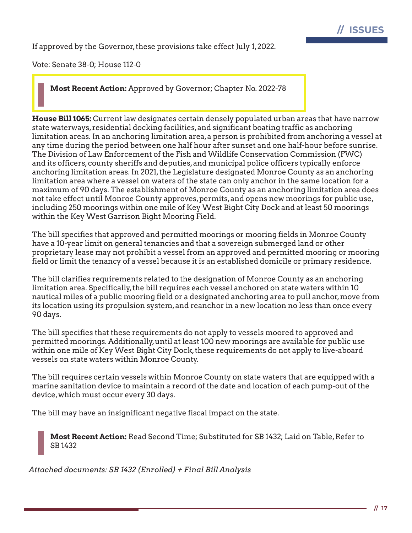

If approved by the Governor, these provisions take effect July 1, 2022.

Vote: Senate 38-0; House 112-0

**Most Recent Action:** Approved by Governor; Chapter No. 2022-78

**House Bill 1065:** Current law designates certain densely populated urban areas that have narrow state waterways, residential docking facilities, and significant boating traffic as anchoring limitation areas. In an anchoring limitation area, a person is prohibited from anchoring a vessel at any time during the period between one half hour after sunset and one half-hour before sunrise. The Division of Law Enforcement of the Fish and Wildlife Conservation Commission (FWC) and its officers, county sheriffs and deputies, and municipal police officers typically enforce anchoring limitation areas. In 2021, the Legislature designated Monroe County as an anchoring limitation area where a vessel on waters of the state can only anchor in the same location for a maximum of 90 days. The establishment of Monroe County as an anchoring limitation area does not take effect until Monroe County approves, permits, and opens new moorings for public use, including 250 moorings within one mile of Key West Bight City Dock and at least 50 moorings within the Key West Garrison Bight Mooring Field.

The bill specifies that approved and permitted moorings or mooring fields in Monroe County have a 10-year limit on general tenancies and that a sovereign submerged land or other proprietary lease may not prohibit a vessel from an approved and permitted mooring or mooring field or limit the tenancy of a vessel because it is an established domicile or primary residence.

The bill clarifies requirements related to the designation of Monroe County as an anchoring limitation area. Specifically, the bill requires each vessel anchored on state waters within 10 nautical miles of a public mooring field or a designated anchoring area to pull anchor, move from its location using its propulsion system, and reanchor in a new location no less than once every 90 days.

The bill specifies that these requirements do not apply to vessels moored to approved and permitted moorings. Additionally, until at least 100 new moorings are available for public use within one mile of Key West Bight City Dock, these requirements do not apply to live-aboard vessels on state waters within Monroe County.

The bill requires certain vessels within Monroe County on state waters that are equipped with a marine sanitation device to maintain a record of the date and location of each pump-out of the device, which must occur every 30 days.

The bill may have an insignificant negative fiscal impact on the state.

**Most Recent Action:** Read Second Time; Substituted for SB 1432; Laid on Table, Refer to SB 1432

*Attached documents: SB 1432 (Enrolled) + Final Bill Analysis*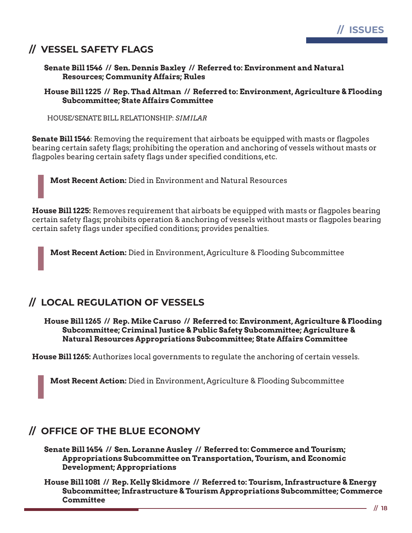# **// VESSEL SAFETY FLAGS**

**Senate Bill 1546 // Sen. Dennis Baxley // Referred to: Environment and Natural Resources; Community Affairs; Rules**

**House Bill 1225 // Rep. Thad Altman // Referred to: Environment, Agriculture & Flooding Subcommittee; State Affairs Committee**

HOUSE/SENATE BILL RELATIONSHIP: *SIMILAR*

**Senate Bill 1546**: Removing the requirement that airboats be equipped with masts or flagpoles bearing certain safety flags; prohibiting the operation and anchoring of vessels without masts or flagpoles bearing certain safety flags under specified conditions, etc.

**Most Recent Action:** Died in Environment and Natural Resources

**House Bill 1225:** Removes requirement that airboats be equipped with masts or flagpoles bearing certain safety flags; prohibits operation & anchoring of vessels without masts or flagpoles bearing certain safety flags under specified conditions; provides penalties.

**Most Recent Action:** Died in Environment, Agriculture & Flooding Subcommittee

# **// LOCAL REGULATION OF VESSELS**

**House Bill 1265 // Rep. Mike Caruso // Referred to: Environment, Agriculture & Flooding Subcommittee; Criminal Justice & Public Safety Subcommittee; Agriculture & Natural Resources Appropriations Subcommittee; State Affairs Committee**

**House Bill 1265:** Authorizes local governments to regulate the anchoring of certain vessels.

**Most Recent Action:** Died in Environment, Agriculture & Flooding Subcommittee

# **// OFFICE OF THE BLUE ECONOMY**

**Senate Bill 1454 // Sen. Loranne Ausley // Referred to: Commerce and Tourism; Appropriations Subcommittee on Transportation, Tourism, and Economic Development; Appropriations**

**House Bill 1081 // Rep. Kelly Skidmore // Referred to: Tourism, Infrastructure & Energy Subcommittee; Infrastructure & Tourism Appropriations Subcommittee; Commerce Committee**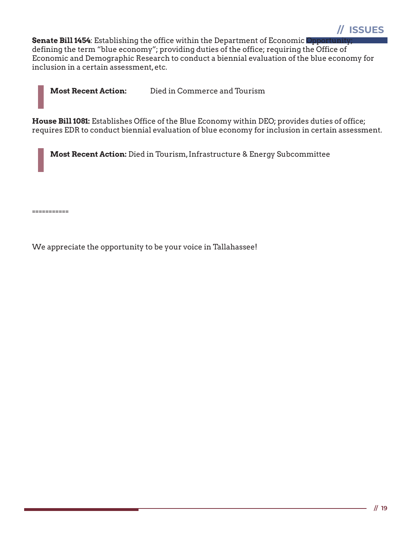

**Senate Bill 1454:** Establishing the office within the Department of Economic Opportuni defining the term "blue economy"; providing duties of the office; requiring the Office of Economic and Demographic Research to conduct a biennial evaluation of the blue economy for inclusion in a certain assessment, etc.

**Most Recent Action:** Died in Commerce and Tourism

**House Bill 1081:** Establishes Office of the Blue Economy within DEO; provides duties of office; requires EDR to conduct biennial evaluation of blue economy for inclusion in certain assessment.

**Most Recent Action:** Died in Tourism, Infrastructure & Energy Subcommittee

===========

We appreciate the opportunity to be your voice in Tallahassee!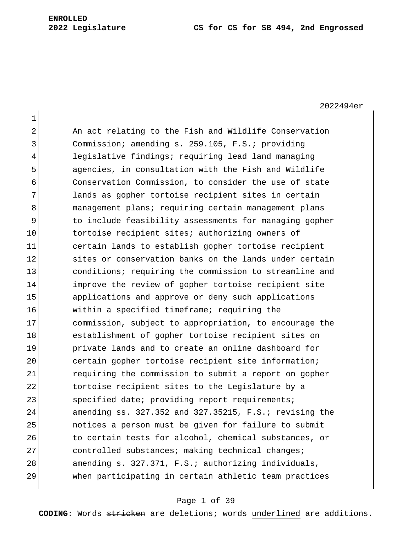2022494er

| $\overline{2}$ | An act relating to the Fish and Wildlife Conservation         |
|----------------|---------------------------------------------------------------|
| 3              | Commission; amending s. 259.105, F.S.; providing              |
| $\overline{4}$ | legislative findings; requiring lead land managing            |
| 5              | agencies, in consultation with the Fish and Wildlife          |
| 6              | Conservation Commission, to consider the use of state         |
| 7              | lands as gopher tortoise recipient sites in certain           |
| 8              | management plans; requiring certain management plans          |
| 9              | to include feasibility assessments for managing gopher        |
| 10             | tortoise recipient sites; authorizing owners of               |
| 11             | certain lands to establish gopher tortoise recipient          |
| 12             | sites or conservation banks on the lands under certain        |
| 13             | conditions; requiring the commission to streamline and        |
| 14             | improve the review of gopher tortoise recipient site          |
| 15             | applications and approve or deny such applications            |
| 16             | within a specified timeframe; requiring the                   |
| 17             | commission, subject to appropriation, to encourage the        |
| 18             | establishment of gopher tortoise recipient sites on           |
| 19             | private lands and to create an online dashboard for           |
| 20             | certain gopher tortoise recipient site information;           |
| 21             | requiring the commission to submit a report on gopher         |
| 22             | tortoise recipient sites to the Legislature by a              |
| 23             | specified date; providing report requirements;                |
| 24             | amending $ss. 327.352$ and $327.35215$ , $F.S.:$ revising the |
| 25             | notices a person must be given for failure to submit          |
| 26             | to certain tests for alcohol, chemical substances, or         |
| 27             | controlled substances; making technical changes;              |
| 28             | amending s. 327.371, F.S.; authorizing individuals,           |
| 29             | when participating in certain athletic team practices         |

## Page 1 of 39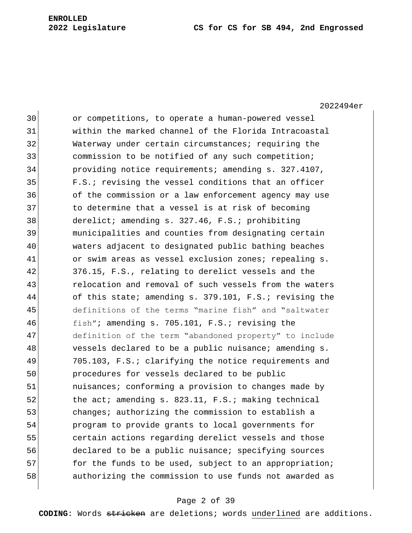# **Legislature CS for CS for SB 494, 2nd Engrossed**

2022494er

| 30 | or competitions, to operate a human-powered vessel     |
|----|--------------------------------------------------------|
| 31 | within the marked channel of the Florida Intracoastal  |
| 32 | Waterway under certain circumstances; requiring the    |
| 33 | commission to be notified of any such competition;     |
| 34 | providing notice requirements; amending s. 327.4107,   |
| 35 | F.S.; revising the vessel conditions that an officer   |
| 36 | of the commission or a law enforcement agency may use  |
| 37 | to determine that a vessel is at risk of becoming      |
| 38 | derelict; amending s. 327.46, F.S.; prohibiting        |
| 39 | municipalities and counties from designating certain   |
| 40 | waters adjacent to designated public bathing beaches   |
| 41 | or swim areas as vessel exclusion zones; repealing s.  |
| 42 | 376.15, F.S., relating to derelict vessels and the     |
| 43 | relocation and removal of such vessels from the waters |
| 44 | of this state; amending s. 379.101, F.S.; revising the |
| 45 | definitions of the terms "marine fish" and "saltwater  |
| 46 | fish"; amending s. 705.101, F.S.; revising the         |
| 47 | definition of the term "abandoned property" to include |
| 48 | vessels declared to be a public nuisance; amending s.  |
| 49 | 705.103, F.S.; clarifying the notice requirements and  |
| 50 | procedures for vessels declared to be public           |
| 51 | nuisances; conforming a provision to changes made by   |
| 52 | the act; amending s. 823.11, F.S.; making technical    |
| 53 | changes; authorizing the commission to establish a     |
| 54 | program to provide grants to local governments for     |
| 55 | certain actions regarding derelict vessels and those   |
| 56 | declared to be a public nuisance; specifying sources   |
| 57 | for the funds to be used, subject to an appropriation; |
| 58 | authorizing the commission to use funds not awarded as |
|    |                                                        |

## Page 2 of 39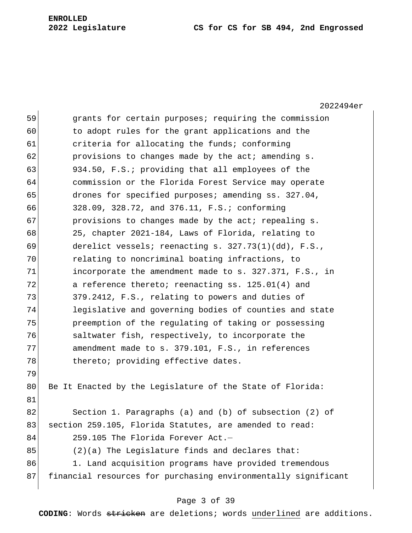### **2022 Legislature CS for CS for SB 494, 2nd Engrossed**

2022494er 59 grants for certain purposes; requiring the commission 60 to adopt rules for the grant applications and the 61 criteria for allocating the funds; conforming 62 **provisions to changes made by the act; amending s.** 63 934.50, F.S.; providing that all employees of the 64 commission or the Florida Forest Service may operate 65 drones for specified purposes; amending ss. 327.04, 66 328.09, 328.72, and 376.11, F.S.; conforming 67 **provisions to changes made by the act; repealing s.** 68 25, chapter 2021-184, Laws of Florida, relating to 69 derelict vessels; reenacting s. 327.73(1)(dd), F.S., 70 relating to noncriminal boating infractions, to 71 incorporate the amendment made to s. 327.371, F.S., in 72 a reference thereto; reenacting ss. 125.01(4) and 73 379.2412, F.S., relating to powers and duties of 74 legislative and governing bodies of counties and state 75 preemption of the regulating of taking or possessing 76 3 76 saltwater fish, respectively, to incorporate the 77 amendment made to s. 379.101, F.S., in references 78 Thereto; providing effective dates. 79 80 Be It Enacted by the Legislature of the State of Florida: 81 82 Section 1. Paragraphs (a) and (b) of subsection (2) of 83 section 259.105, Florida Statutes, are amended to read: 84 259.105 The Florida Forever Act.  $85$  (2)(a) The Legislature finds and declares that: 86 1. Land acquisition programs have provided tremendous 87 financial resources for purchasing environmentally significant

### Page 3 of 39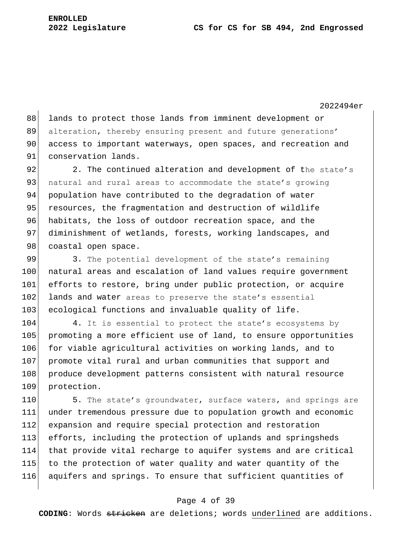2022494er

88 lands to protect those lands from imminent development or 89 alteration, thereby ensuring present and future generations' 90 access to important waterways, open spaces, and recreation and 91 conservation lands.

92 2. The continued alteration and development of the state's 93 | natural and rural areas to accommodate the state's growing 94 population have contributed to the degradation of water 95 resources, the fragmentation and destruction of wildlife 96 habitats, the loss of outdoor recreation space, and the 97 diminishment of wetlands, forests, working landscapes, and 98 coastal open space.

99 3. The potential development of the state's remaining 100 natural areas and escalation of land values require government 101 efforts to restore, bring under public protection, or acquire 102 lands and water areas to preserve the state's essential 103 ecological functions and invaluable quality of life.

104 4. It is essential to protect the state's ecosystems by 105 promoting a more efficient use of land, to ensure opportunities 106 for viable agricultural activities on working lands, and to 107 promote vital rural and urban communities that support and 108 produce development patterns consistent with natural resource 109 protection.

110 5. The state's groundwater, surface waters, and springs are under tremendous pressure due to population growth and economic expansion and require special protection and restoration efforts, including the protection of uplands and springsheds that provide vital recharge to aquifer systems and are critical to the protection of water quality and water quantity of the aquifers and springs. To ensure that sufficient quantities of

### Page 4 of 39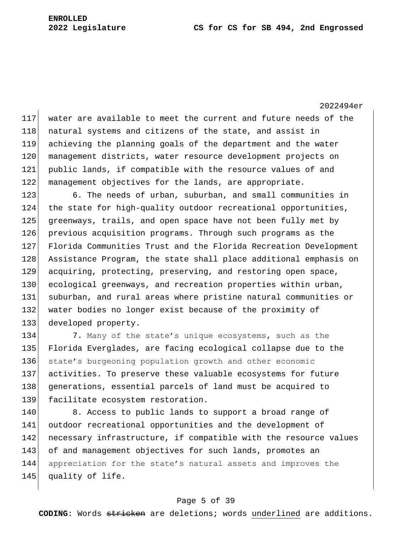2022494er

117 water are available to meet the current and future needs of the 118 natural systems and citizens of the state, and assist in 119 achieving the planning goals of the department and the water 120 management districts, water resource development projects on 121 public lands, if compatible with the resource values of and 122 management objectives for the lands, are appropriate.

 6. The needs of urban, suburban, and small communities in the state for high-quality outdoor recreational opportunities, greenways, trails, and open space have not been fully met by previous acquisition programs. Through such programs as the Florida Communities Trust and the Florida Recreation Development 128 Assistance Program, the state shall place additional emphasis on 129 acquiring, protecting, preserving, and restoring open space, 130 ecological greenways, and recreation properties within urban, suburban, and rural areas where pristine natural communities or 132 water bodies no longer exist because of the proximity of developed property.

134 7. Many of the state's unique ecosystems, such as the 135 Florida Everglades, are facing ecological collapse due to the 136 state's burgeoning population growth and other economic 137 activities. To preserve these valuable ecosystems for future 138 generations, essential parcels of land must be acquired to 139 facilitate ecosystem restoration.

140 8. Access to public lands to support a broad range of 141 outdoor recreational opportunities and the development of 142 necessary infrastructure, if compatible with the resource values 143 of and management objectives for such lands, promotes an 144 appreciation for the state's natural assets and improves the 145 quality of life.

### Page 5 of 39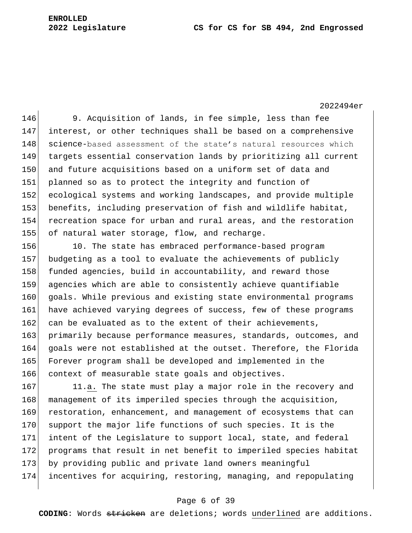### **2022 Legislature CS for CS for SB 494, 2nd Engrossed**

# **ENROLLED**

2022494er

 9. Acquisition of lands, in fee simple, less than fee interest, or other techniques shall be based on a comprehensive 148 science-based assessment of the state's natural resources which targets essential conservation lands by prioritizing all current 150 and future acquisitions based on a uniform set of data and planned so as to protect the integrity and function of ecological systems and working landscapes, and provide multiple benefits, including preservation of fish and wildlife habitat, recreation space for urban and rural areas, and the restoration 155 of natural water storage, flow, and recharge.

156 10. The state has embraced performance-based program 157 budgeting as a tool to evaluate the achievements of publicly 158 funded agencies, build in accountability, and reward those 159 agencies which are able to consistently achieve quantifiable 160 goals. While previous and existing state environmental programs 161 have achieved varying degrees of success, few of these programs 162 can be evaluated as to the extent of their achievements, 163 primarily because performance measures, standards, outcomes, and 164 goals were not established at the outset. Therefore, the Florida 165 Forever program shall be developed and implemented in the 166 context of measurable state goals and objectives.

167 11.a. The state must play a major role in the recovery and 168 management of its imperiled species through the acquisition, 169 restoration, enhancement, and management of ecosystems that can 170 support the major life functions of such species. It is the 171 intent of the Legislature to support local, state, and federal 172 programs that result in net benefit to imperiled species habitat 173 by providing public and private land owners meaningful 174 incentives for acquiring, restoring, managing, and repopulating

### Page 6 of 39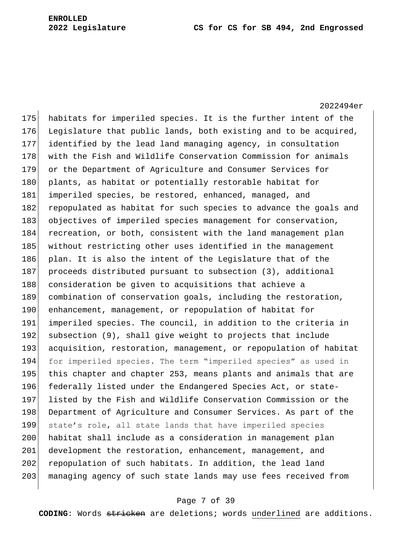2022494er 175 habitats for imperiled species. It is the further intent of the 176 Legislature that public lands, both existing and to be acquired, 177 identified by the lead land managing agency, in consultation 178 with the Fish and Wildlife Conservation Commission for animals 179 or the Department of Agriculture and Consumer Services for 180 plants, as habitat or potentially restorable habitat for 181 imperiled species, be restored, enhanced, managed, and 182 repopulated as habitat for such species to advance the goals and 183 objectives of imperiled species management for conservation, 184 recreation, or both, consistent with the land management plan 185 without restricting other uses identified in the management 186 plan. It is also the intent of the Legislature that of the 187 proceeds distributed pursuant to subsection (3), additional 188 consideration be given to acquisitions that achieve a 189 combination of conservation goals, including the restoration, 190 enhancement, management, or repopulation of habitat for 191 imperiled species. The council, in addition to the criteria in 192 subsection (9), shall give weight to projects that include 193 acquisition, restoration, management, or repopulation of habitat 194 for imperiled species. The term "imperiled species" as used in 195 this chapter and chapter 253, means plants and animals that are 196 federally listed under the Endangered Species Act, or state-197 listed by the Fish and Wildlife Conservation Commission or the 198 Department of Agriculture and Consumer Services. As part of the 199 state's role, all state lands that have imperiled species 200 habitat shall include as a consideration in management plan 201 development the restoration, enhancement, management, and 202 repopulation of such habitats. In addition, the lead land 203 | managing agency of such state lands may use fees received from

### Page 7 of 39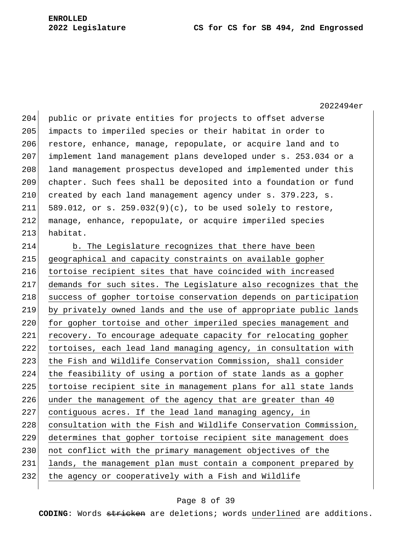2022494er

204 public or private entities for projects to offset adverse 205 impacts to imperiled species or their habitat in order to 206 restore, enhance, manage, repopulate, or acquire land and to 207 implement land management plans developed under s. 253.034 or a 208 land management prospectus developed and implemented under this 209 chapter. Such fees shall be deposited into a foundation or fund 210 created by each land management agency under s. 379.223, s. 211 589.012, or s. 259.032(9)(c), to be used solely to restore, 212 manage, enhance, repopulate, or acquire imperiled species 213 habitat.

214 b. The Legislature recognizes that there have been 215 geographical and capacity constraints on available gopher 216 tortoise recipient sites that have coincided with increased 217 demands for such sites. The Legislature also recognizes that the 218 success of gopher tortoise conservation depends on participation 219 by privately owned lands and the use of appropriate public lands 220 for gopher tortoise and other imperiled species management and 221 recovery. To encourage adequate capacity for relocating gopher 222 tortoises, each lead land managing agency, in consultation with 223 the Fish and Wildlife Conservation Commission, shall consider 224 the feasibility of using a portion of state lands as a gopher 225 tortoise recipient site in management plans for all state lands 226 under the management of the agency that are greater than 40 227 contiguous acres. If the lead land managing agency, in 228 consultation with the Fish and Wildlife Conservation Commission, 229 determines that gopher tortoise recipient site management does 230 not conflict with the primary management objectives of the 231 lands, the management plan must contain a component prepared by 232 the agency or cooperatively with a Fish and Wildlife

### Page 8 of 39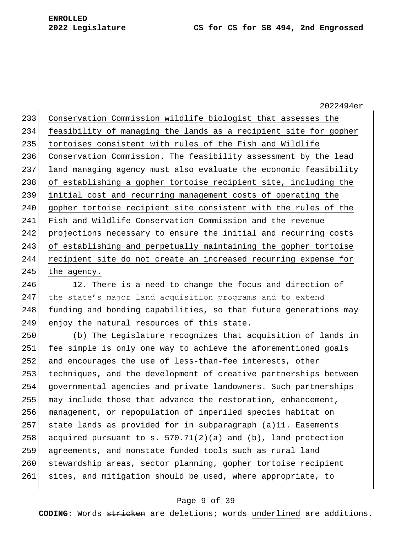2022494er 233 Conservation Commission wildlife biologist that assesses the 234 feasibility of managing the lands as a recipient site for gopher 235 tortoises consistent with rules of the Fish and Wildlife 236 Conservation Commission. The feasibility assessment by the lead 237 land managing agency must also evaluate the economic feasibility 238 of establishing a gopher tortoise recipient site, including the 239 initial cost and recurring management costs of operating the 240 gopher tortoise recipient site consistent with the rules of the 241 Fish and Wildlife Conservation Commission and the revenue 242 projections necessary to ensure the initial and recurring costs 243 of establishing and perpetually maintaining the gopher tortoise 244 recipient site do not create an increased recurring expense for 245 the agency.

246 12. There is a need to change the focus and direction of 247 the state's major land acquisition programs and to extend 248 funding and bonding capabilities, so that future generations may 249 enjoy the natural resources of this state.

250 (b) The Legislature recognizes that acquisition of lands in 251 fee simple is only one way to achieve the aforementioned goals 252 and encourages the use of less-than-fee interests, other 253 techniques, and the development of creative partnerships between 254 governmental agencies and private landowners. Such partnerships 255 may include those that advance the restoration, enhancement, 256 management, or repopulation of imperiled species habitat on 257 state lands as provided for in subparagraph (a)11. Easements 258 acquired pursuant to s.  $570.71(2)(a)$  and (b), land protection 259 agreements, and nonstate funded tools such as rural land 260 stewardship areas, sector planning, gopher tortoise recipient 261 sites, and mitigation should be used, where appropriate, to

### Page 9 of 39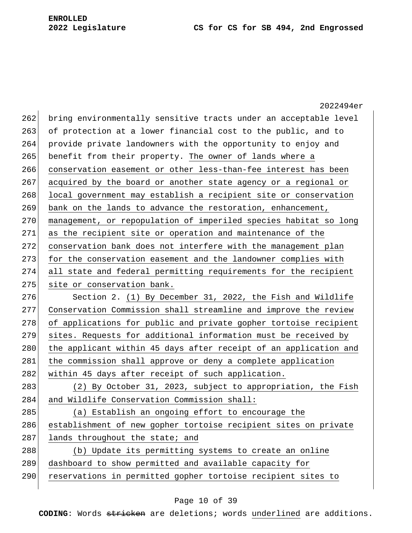|     | 2022494er                                                        |
|-----|------------------------------------------------------------------|
| 262 | bring environmentally sensitive tracts under an acceptable level |
| 263 | of protection at a lower financial cost to the public, and to    |
| 264 | provide private landowners with the opportunity to enjoy and     |
| 265 | benefit from their property. The owner of lands where a          |
| 266 | conservation easement or other less-than-fee interest has been   |
| 267 | acquired by the board or another state agency or a regional or   |
| 268 | local government may establish a recipient site or conservation  |
| 269 | bank on the lands to advance the restoration, enhancement,       |
| 270 | management, or repopulation of imperiled species habitat so long |
| 271 | as the recipient site or operation and maintenance of the        |
| 272 | conservation bank does not interfere with the management plan    |
| 273 | for the conservation easement and the landowner complies with    |
| 274 | all state and federal permitting requirements for the recipient  |
| 275 | site or conservation bank.                                       |
| 276 | Section 2. (1) By December 31, 2022, the Fish and Wildlife       |
| 277 | Conservation Commission shall streamline and improve the review  |
| 278 | of applications for public and private gopher tortoise recipient |
| 279 | sites. Requests for additional information must be received by   |
| 280 | the applicant within 45 days after receipt of an application and |
| 281 | the commission shall approve or deny a complete application      |
| 282 | within 45 days after receipt of such application.                |
| 283 | (2) By October 31, 2023, subject to appropriation, the Fish      |
| 284 | and Wildlife Conservation Commission shall:                      |
| 285 | (a) Establish an ongoing effort to encourage the                 |
| 286 | establishment of new gopher tortoise recipient sites on private  |
| 287 | lands throughout the state; and                                  |
| 288 | (b) Update its permitting systems to create an online            |
| 289 | dashboard to show permitted and available capacity for           |
| 290 | reservations in permitted gopher tortoise recipient sites to     |
|     |                                                                  |

## Page 10 of 39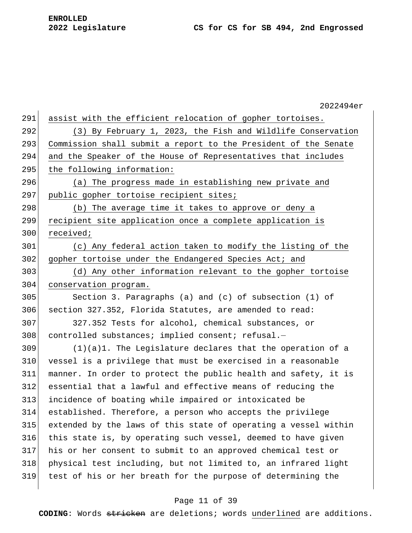|     | 2022494er                                                       |
|-----|-----------------------------------------------------------------|
| 291 | assist with the efficient relocation of gopher tortoises.       |
| 292 | (3) By February 1, 2023, the Fish and Wildlife Conservation     |
| 293 | Commission shall submit a report to the President of the Senate |
| 294 | and the Speaker of the House of Representatives that includes   |
| 295 | the following information:                                      |
| 296 | (a) The progress made in establishing new private and           |
| 297 | public gopher tortoise recipient sites;                         |
| 298 | (b) The average time it takes to approve or deny a              |
| 299 | recipient site application once a complete application is       |
| 300 | received;                                                       |
| 301 | (c) Any federal action taken to modify the listing of the       |
| 302 | gopher tortoise under the Endangered Species Act; and           |
| 303 | (d) Any other information relevant to the gopher tortoise       |
| 304 | conservation program.                                           |
| 305 | Section 3. Paragraphs (a) and (c) of subsection $(1)$ of        |
| 306 | section 327.352, Florida Statutes, are amended to read:         |
| 307 | 327.352 Tests for alcohol, chemical substances, or              |
| 308 | controlled substances; implied consent; refusal.-               |
| 309 | $(1)(a)1$ . The Legislature declares that the operation of a    |
| 310 | vessel is a privilege that must be exercised in a reasonable    |
| 311 | manner. In order to protect the public health and safety, it is |
| 312 | essential that a lawful and effective means of reducing the     |
| 313 | incidence of boating while impaired or intoxicated be           |
| 314 | established. Therefore, a person who accepts the privilege      |
| 315 | extended by the laws of this state of operating a vessel within |
| 316 | this state is, by operating such vessel, deemed to have given   |
| 317 | his or her consent to submit to an approved chemical test or    |
| 318 | physical test including, but not limited to, an infrared light  |
| 319 | test of his or her breath for the purpose of determining the    |
|     |                                                                 |

### Page 11 of 39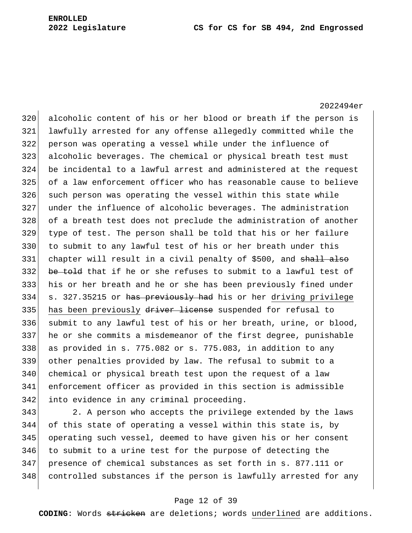2022494er 320 alcoholic content of his or her blood or breath if the person is lawfully arrested for any offense allegedly committed while the person was operating a vessel while under the influence of alcoholic beverages. The chemical or physical breath test must be incidental to a lawful arrest and administered at the request of a law enforcement officer who has reasonable cause to believe such person was operating the vessel within this state while under the influence of alcoholic beverages. The administration 328 of a breath test does not preclude the administration of another type of test. The person shall be told that his or her failure to submit to any lawful test of his or her breath under this 331 chapter will result in a civil penalty of \$500, and shall also 332 be told that if he or she refuses to submit to a lawful test of his or her breath and he or she has been previously fined under 334 s. 327.35215 or has previously had his or her driving privilege 335 has been previously driver license suspended for refusal to submit to any lawful test of his or her breath, urine, or blood, he or she commits a misdemeanor of the first degree, punishable 338 as provided in s. 775.082 or s. 775.083, in addition to any other penalties provided by law. The refusal to submit to a 340 chemical or physical breath test upon the request of a law enforcement officer as provided in this section is admissible into evidence in any criminal proceeding.

 2. A person who accepts the privilege extended by the laws of this state of operating a vessel within this state is, by operating such vessel, deemed to have given his or her consent to submit to a urine test for the purpose of detecting the presence of chemical substances as set forth in s. 877.111 or controlled substances if the person is lawfully arrested for any

### Page 12 of 39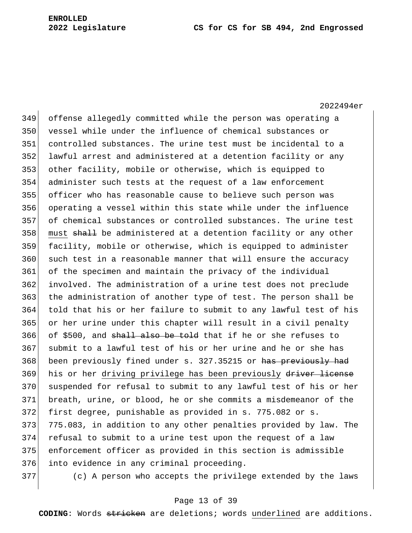2022494er offense allegedly committed while the person was operating a vessel while under the influence of chemical substances or controlled substances. The urine test must be incidental to a lawful arrest and administered at a detention facility or any other facility, mobile or otherwise, which is equipped to administer such tests at the request of a law enforcement officer who has reasonable cause to believe such person was operating a vessel within this state while under the influence of chemical substances or controlled substances. The urine test 358 must shall be administered at a detention facility or any other facility, mobile or otherwise, which is equipped to administer such test in a reasonable manner that will ensure the accuracy of the specimen and maintain the privacy of the individual involved. The administration of a urine test does not preclude 363 the administration of another type of test. The person shall be told that his or her failure to submit to any lawful test of his or her urine under this chapter will result in a civil penalty 366 of \$500, and shall also be told that if he or she refuses to submit to a lawful test of his or her urine and he or she has 368 been previously fined under s. 327.35215 or has previously had 369 his or her driving privilege has been previously driver license suspended for refusal to submit to any lawful test of his or her breath, urine, or blood, he or she commits a misdemeanor of the first degree, punishable as provided in s. 775.082 or s. 373 775.083, in addition to any other penalties provided by law. The refusal to submit to a urine test upon the request of a law enforcement officer as provided in this section is admissible 376 into evidence in any criminal proceeding.

(c) A person who accepts the privilege extended by the laws

### Page 13 of 39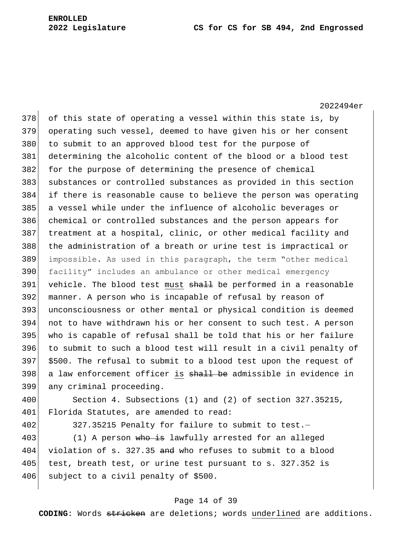2022494er of this state of operating a vessel within this state is, by operating such vessel, deemed to have given his or her consent 380 to submit to an approved blood test for the purpose of determining the alcoholic content of the blood or a blood test for the purpose of determining the presence of chemical substances or controlled substances as provided in this section if there is reasonable cause to believe the person was operating a vessel while under the influence of alcoholic beverages or chemical or controlled substances and the person appears for 387 treatment at a hospital, clinic, or other medical facility and the administration of a breath or urine test is impractical or impossible. As used in this paragraph, the term "other medical facility" includes an ambulance or other medical emergency 391 vehicle. The blood test must shall be performed in a reasonable manner. A person who is incapable of refusal by reason of unconsciousness or other mental or physical condition is deemed not to have withdrawn his or her consent to such test. A person who is capable of refusal shall be told that his or her failure to submit to such a blood test will result in a civil penalty of \$500. The refusal to submit to a blood test upon the request of 398 a law enforcement officer is shall be admissible in evidence in any criminal proceeding.

400 Section 4. Subsections (1) and (2) of section 327.35215, 401 Florida Statutes, are amended to read:

402 327.35215 Penalty for failure to submit to test.-

403 (1) A person who is lawfully arrested for an alleged 404 violation of s. 327.35 and who refuses to submit to a blood 405 test, breath test, or urine test pursuant to s. 327.352 is 406 subject to a civil penalty of \$500.

### Page 14 of 39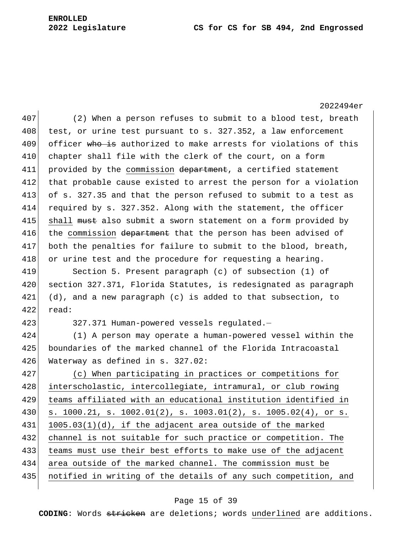### **2022 Legislature CS for CS for SB 494, 2nd Engrossed**

2022494er 407 (2) When a person refuses to submit to a blood test, breath  $408$  test, or urine test pursuant to s. 327.352, a law enforcement 409 officer who is authorized to make arrests for violations of this 410 chapter shall file with the clerk of the court, on a form 411 provided by the commission department, a certified statement 412 that probable cause existed to arrest the person for a violation 413 of s. 327.35 and that the person refused to submit to a test as 414 required by s. 327.352. Along with the statement, the officer 415 shall must also submit a sworn statement on a form provided by 416 the commission department that the person has been advised of 417 both the penalties for failure to submit to the blood, breath, 418 or urine test and the procedure for requesting a hearing. 419 Section 5. Present paragraph (c) of subsection (1) of 420 section 327.371, Florida Statutes, is redesignated as paragraph  $421$  (d), and a new paragraph (c) is added to that subsection, to 422 read: 423 327.371 Human-powered vessels regulated.— 424 (1) A person may operate a human-powered vessel within the 425 boundaries of the marked channel of the Florida Intracoastal 426 Waterway as defined in s. 327.02: 427 (c) When participating in practices or competitions for 428 interscholastic, intercollegiate, intramural, or club rowing 429 teams affiliated with an educational institution identified in 430 s. 1000.21, s. 1002.01(2), s. 1003.01(2), s. 1005.02(4), or s.  $431$  1005.03(1)(d), if the adjacent area outside of the marked 432 channel is not suitable for such practice or competition. The 433 teams must use their best efforts to make use of the adjacent 434 area outside of the marked channel. The commission must be 435 notified in writing of the details of any such competition, and

### Page 15 of 39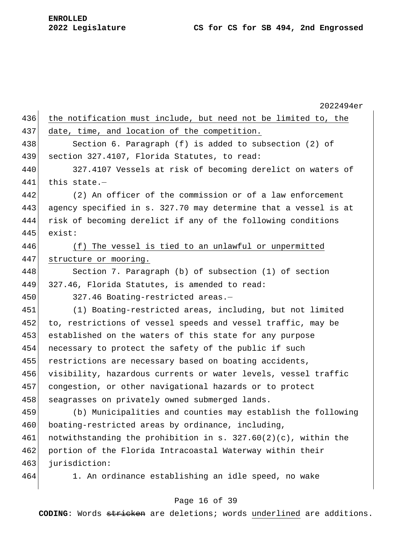2022494er 436 the notification must include, but need not be limited to, the 437 date, time, and location of the competition. 438 Section 6. Paragraph (f) is added to subsection (2) of 439 section 327.4107, Florida Statutes, to read: 440 327.4107 Vessels at risk of becoming derelict on waters of 441 this state.— 442 (2) An officer of the commission or of a law enforcement 443 agency specified in s. 327.70 may determine that a vessel is at 444 risk of becoming derelict if any of the following conditions 445 exist: 446 (f) The vessel is tied to an unlawful or unpermitted 447 structure or mooring. 448 Section 7. Paragraph (b) of subsection (1) of section 449  $327.46$ , Florida Statutes, is amended to read: 450 327.46 Boating-restricted areas.— 451 (1) Boating-restricted areas, including, but not limited 452 to, restrictions of vessel speeds and vessel traffic, may be 453 established on the waters of this state for any purpose 454 necessary to protect the safety of the public if such 455 restrictions are necessary based on boating accidents, 456 visibility, hazardous currents or water levels, vessel traffic 457 congestion, or other navigational hazards or to protect 458 seagrasses on privately owned submerged lands. 459 (b) Municipalities and counties may establish the following 460 boating-restricted areas by ordinance, including, 461 notwithstanding the prohibition in s.  $327.60(2)(c)$ , within the 462 portion of the Florida Intracoastal Waterway within their 463 jurisdiction: 464 1. An ordinance establishing an idle speed, no wake

### Page 16 of 39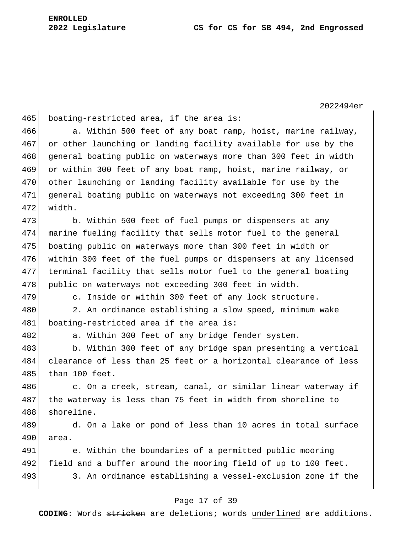2022494er 465 boating-restricted area, if the area is: 466 a. Within 500 feet of any boat ramp, hoist, marine railway, 467 or other launching or landing facility available for use by the 468 general boating public on waterways more than 300 feet in width 469 or within 300 feet of any boat ramp, hoist, marine railway, or 470 other launching or landing facility available for use by the 471 general boating public on waterways not exceeding 300 feet in 472 width. 473 b. Within 500 feet of fuel pumps or dispensers at any 474 marine fueling facility that sells motor fuel to the general 475 boating public on waterways more than 300 feet in width or 476 within 300 feet of the fuel pumps or dispensers at any licensed 477 terminal facility that sells motor fuel to the general boating 478 public on waterways not exceeding 300 feet in width. 479 c. Inside or within 300 feet of any lock structure. 480 2. An ordinance establishing a slow speed, minimum wake 481 boating-restricted area if the area is: 482 a. Within 300 feet of any bridge fender system. 483 b. Within 300 feet of any bridge span presenting a vertical 484 clearance of less than 25 feet or a horizontal clearance of less 485 than 100 feet. 486 c. On a creek, stream, canal, or similar linear waterway if 487 the waterway is less than 75 feet in width from shoreline to 488 shoreline. 489 d. On a lake or pond of less than 10 acres in total surface 490 area. 491 e. Within the boundaries of a permitted public mooring 492 field and a buffer around the mooring field of up to 100 feet. 493 3. An ordinance establishing a vessel-exclusion zone if the

### Page 17 of 39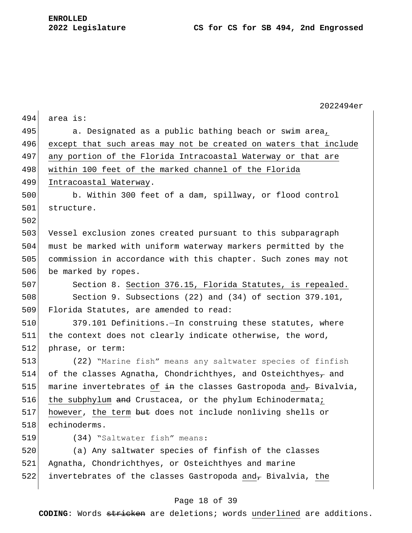|     | 2022494er                                                           |
|-----|---------------------------------------------------------------------|
| 494 | area is:                                                            |
| 495 | a. Designated as a public bathing beach or swim area,               |
| 496 | except that such areas may not be created on waters that include    |
| 497 | any portion of the Florida Intracoastal Waterway or that are        |
| 498 | within 100 feet of the marked channel of the Florida                |
| 499 | Intracoastal Waterway.                                              |
| 500 | b. Within 300 feet of a dam, spillway, or flood control             |
| 501 | structure.                                                          |
| 502 |                                                                     |
| 503 | Vessel exclusion zones created pursuant to this subparagraph        |
| 504 | must be marked with uniform waterway markers permitted by the       |
| 505 | commission in accordance with this chapter. Such zones may not      |
| 506 | be marked by ropes.                                                 |
| 507 | Section 8. Section 376.15, Florida Statutes, is repealed.           |
| 508 | Section 9. Subsections (22) and (34) of section 379.101,            |
| 509 | Florida Statutes, are amended to read:                              |
| 510 | 379.101 Definitions. - In construing these statutes, where          |
| 511 | the context does not clearly indicate otherwise, the word,          |
| 512 | phrase, or term:                                                    |
| 513 | (22) "Marine fish" means any saltwater species of finfish           |
| 514 | of the classes Agnatha, Chondrichthyes, and Osteichthyes $\tau$ and |
| 515 | marine invertebrates of in the classes Gastropoda and, Bivalvia,    |
| 516 | the subphylum and Crustacea, or the phylum Echinodermata;           |
| 517 | however, the term but does not include nonliving shells or          |
| 518 | echinoderms.                                                        |
| 519 | (34) "Saltwater fish" means:                                        |
| 520 | (a) Any saltwater species of finfish of the classes                 |
| 521 | Agnatha, Chondrichthyes, or Osteichthyes and marine                 |
| 522 | invertebrates of the classes Gastropoda and, Bivalvia, the          |
|     |                                                                     |

# Page 18 of 39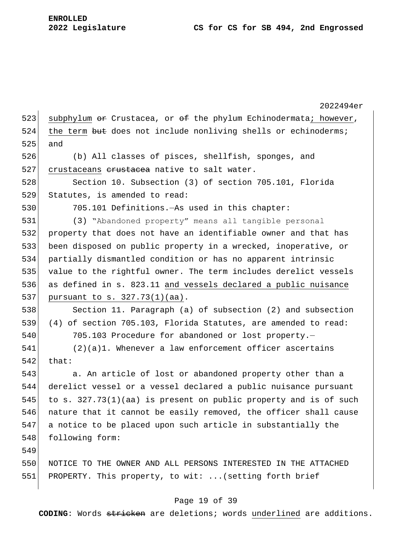2022494er 523 subphylum  $\Theta$  Crustacea, or  $\Theta$  the phylum Echinodermata; however, 524 the term but does not include nonliving shells or echinoderms; 525 and 526 (b) All classes of pisces, shellfish, sponges, and 527 crustaceans erustacea native to salt water. 528 Section 10. Subsection (3) of section 705.101, Florida 529 Statutes, is amended to read: 530 705.101 Definitions.—As used in this chapter: 531 (3) "Abandoned property" means all tangible personal 532 property that does not have an identifiable owner and that has 533 been disposed on public property in a wrecked, inoperative, or 534 partially dismantled condition or has no apparent intrinsic 535 value to the rightful owner. The term includes derelict vessels 536 as defined in s. 823.11 and vessels declared a public nuisance 537 pursuant to s. 327.73(1)(aa). 538 Section 11. Paragraph (a) of subsection (2) and subsection 539 (4) of section 705.103, Florida Statutes, are amended to read: 540 705.103 Procedure for abandoned or lost property.-541 (2)(a)1. Whenever a law enforcement officer ascertains  $542$  that: 543 **b.** An article of lost or abandoned property other than a 544 derelict vessel or a vessel declared a public nuisance pursuant 545 to s.  $327.73(1)(aa)$  is present on public property and is of such 546 nature that it cannot be easily removed, the officer shall cause 547 a notice to be placed upon such article in substantially the 548 following form: 549 550 NOTICE TO THE OWNER AND ALL PERSONS INTERESTED IN THE ATTACHED 551 PROPERTY. This property, to wit: ... (setting forth brief

## Page 19 of 39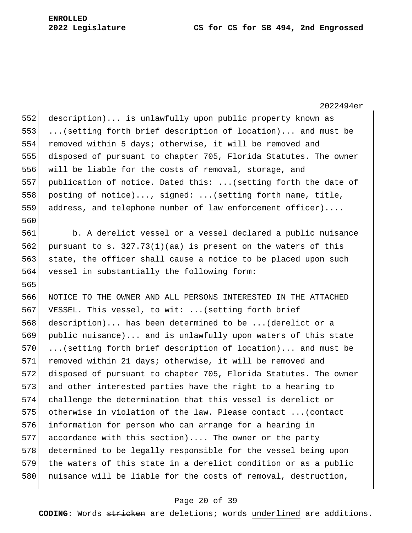#### **2022 Legislature CS for CS for SB 494, 2nd Engrossed**

2022494er 552 description)... is unlawfully upon public property known as 553 ...(setting forth brief description of location)... and must be 554 removed within 5 days; otherwise, it will be removed and 555 disposed of pursuant to chapter 705, Florida Statutes. The owner 556 will be liable for the costs of removal, storage, and 557 publication of notice. Dated this: ...(setting forth the date of 558 posting of notice)..., signed: ... (setting forth name, title, 559 address, and telephone number of law enforcement officer).... 560 561 b. A derelict vessel or a vessel declared a public nuisance 562 pursuant to s.  $327.73(1)(aa)$  is present on the waters of this 563 state, the officer shall cause a notice to be placed upon such 564 vessel in substantially the following form: 565 566 NOTICE TO THE OWNER AND ALL PERSONS INTERESTED IN THE ATTACHED 567 VESSEL. This vessel, to wit: ...(setting forth brief 568 description)... has been determined to be ...(derelict or a 569 public nuisance)... and is unlawfully upon waters of this state 570 ...(setting forth brief description of location)... and must be 571 removed within 21 days; otherwise, it will be removed and 572 disposed of pursuant to chapter 705, Florida Statutes. The owner 573 and other interested parties have the right to a hearing to 574 challenge the determination that this vessel is derelict or 575 otherwise in violation of the law. Please contact ...(contact 576 information for person who can arrange for a hearing in 577 accordance with this section).... The owner or the party 578 determined to be legally responsible for the vessel being upon 579 the waters of this state in a derelict condition or as a public 580 nuisance will be liable for the costs of removal, destruction,

## Page 20 of 39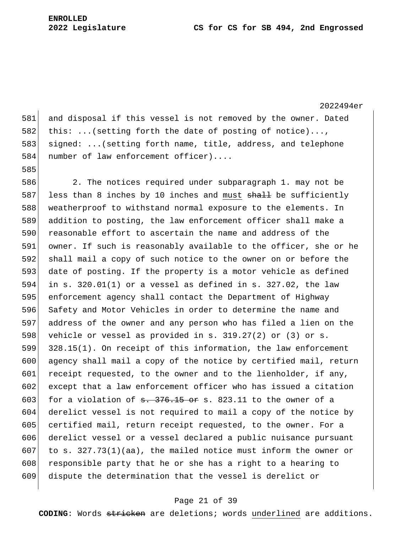**ENROLLED**

581 and disposal if this vessel is not removed by the owner. Dated 582 this: ...(setting forth the date of posting of notice)..., 583 signed: ...(setting forth name, title, address, and telephone 584 number of law enforcement officer).... 585 586 2. The notices required under subparagraph 1. may not be 587 less than 8 inches by 10 inches and must  $shall$  be sufficiently 588 weatherproof to withstand normal exposure to the elements. In 589 addition to posting, the law enforcement officer shall make a 590 reasonable effort to ascertain the name and address of the 591 owner. If such is reasonably available to the officer, she or he 592 shall mail a copy of such notice to the owner on or before the 593 date of posting. If the property is a motor vehicle as defined 594 in s. 320.01(1) or a vessel as defined in s. 327.02, the law 595 enforcement agency shall contact the Department of Highway 596 Safety and Motor Vehicles in order to determine the name and 597 address of the owner and any person who has filed a lien on the 598 vehicle or vessel as provided in s.  $319.27(2)$  or  $(3)$  or s. 599 328.15(1). On receipt of this information, the law enforcement 600 agency shall mail a copy of the notice by certified mail, return 601 receipt requested, to the owner and to the lienholder, if any, 602 except that a law enforcement officer who has issued a citation 603 for a violation of  $\frac{1}{5}$ .  $\frac{15}{5}$  or s. 823.11 to the owner of a 604 derelict vessel is not required to mail a copy of the notice by 605 certified mail, return receipt requested, to the owner. For a 606 derelict vessel or a vessel declared a public nuisance pursuant 607 to s.  $327.73(1)(aa)$ , the mailed notice must inform the owner or 608 responsible party that he or she has a right to a hearing to 609 dispute the determination that the vessel is derelict or

## Page 21 of 39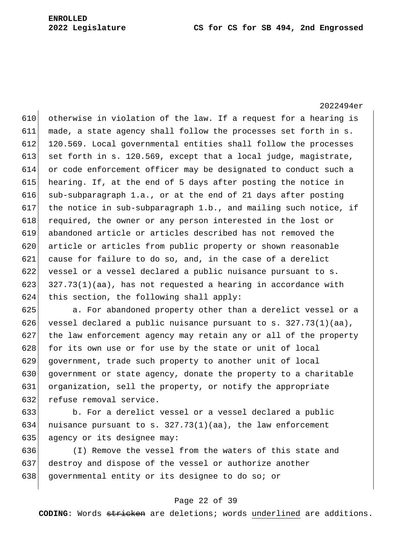610 otherwise in violation of the law. If a request for a hearing is 611 made, a state agency shall follow the processes set forth in s. 612 120.569. Local governmental entities shall follow the processes 613 set forth in s. 120.569, except that a local judge, magistrate, 614 or code enforcement officer may be designated to conduct such a 615 hearing. If, at the end of 5 days after posting the notice in 616 sub-subparagraph 1.a., or at the end of 21 days after posting 617 the notice in sub-subparagraph  $1.b.$ , and mailing such notice, if 618 required, the owner or any person interested in the lost or 619 abandoned article or articles described has not removed the 620 article or articles from public property or shown reasonable 621 cause for failure to do so, and, in the case of a derelict 622 vessel or a vessel declared a public nuisance pursuant to s. 623  $327.73(1)(aa)$ , has not requested a hearing in accordance with  $624$  this section, the following shall apply:

625 a. For abandoned property other than a derelict vessel or a 626 vessel declared a public nuisance pursuant to s.  $327.73(1)(aa)$ , 627 the law enforcement agency may retain any or all of the property 628 for its own use or for use by the state or unit of local 629 government, trade such property to another unit of local 630 government or state agency, donate the property to a charitable 631 organization, sell the property, or notify the appropriate 632 refuse removal service.

633 b. For a derelict vessel or a vessel declared a public 634 nuisance pursuant to s.  $327.73(1)(aa)$ , the law enforcement 635 agency or its designee may:

636 (I) Remove the vessel from the waters of this state and 637 destroy and dispose of the vessel or authorize another 638 governmental entity or its designee to do so; or

#### Page 22 of 39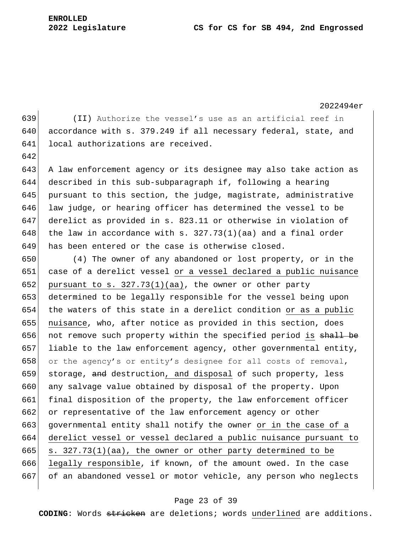642

2022494er

639 (II) Authorize the vessel's use as an artificial reef in 640 accordance with s. 379.249 if all necessary federal, state, and 641 local authorizations are received.

 A law enforcement agency or its designee may also take action as described in this sub-subparagraph if, following a hearing pursuant to this section, the judge, magistrate, administrative 646 law judge, or hearing officer has determined the vessel to be derelict as provided in s. 823.11 or otherwise in violation of 648 the law in accordance with s.  $327.73(1)(aa)$  and a final order has been entered or the case is otherwise closed.

650 (4) The owner of any abandoned or lost property, or in the 651 case of a derelict vessel or a vessel declared a public nuisance 652 pursuant to s.  $327.73(1)(aa)$ , the owner or other party 653 determined to be legally responsible for the vessel being upon 654 the waters of this state in a derelict condition or as a public 655 nuisance, who, after notice as provided in this section, does 656 not remove such property within the specified period is shall be 657 liable to the law enforcement agency, other governmental entity, 658 or the agency's or entity's designee for all costs of removal, 659 storage, and destruction, and disposal of such property, less 660 any salvage value obtained by disposal of the property. Upon 661 final disposition of the property, the law enforcement officer 662 or representative of the law enforcement agency or other 663 governmental entity shall notify the owner or in the case of a 664 derelict vessel or vessel declared a public nuisance pursuant to 665  $\vert$  s. 327.73(1)(aa), the owner or other party determined to be 666 legally responsible, if known, of the amount owed. In the case 667 of an abandoned vessel or motor vehicle, any person who neglects

#### Page 23 of 39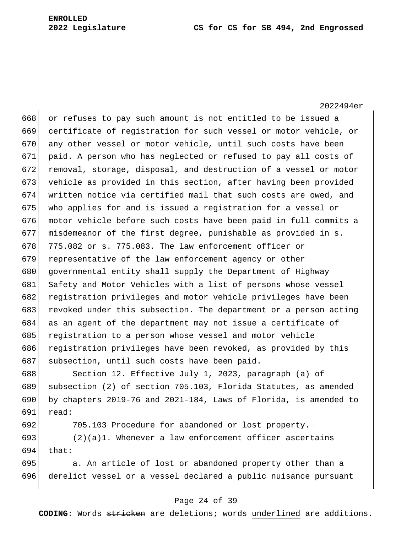668 or refuses to pay such amount is not entitled to be issued a 669 certificate of registration for such vessel or motor vehicle, or 670 any other vessel or motor vehicle, until such costs have been 671 paid. A person who has neglected or refused to pay all costs of 672 removal, storage, disposal, and destruction of a vessel or motor 673 vehicle as provided in this section, after having been provided 674 written notice via certified mail that such costs are owed, and 675 who applies for and is issued a registration for a vessel or 676 motor vehicle before such costs have been paid in full commits a 677 misdemeanor of the first degree, punishable as provided in s. 678  $775.082$  or s. 775.083. The law enforcement officer or 679 representative of the law enforcement agency or other 680 governmental entity shall supply the Department of Highway 681 Safety and Motor Vehicles with a list of persons whose vessel 682 registration privileges and motor vehicle privileges have been 683 revoked under this subsection. The department or a person acting 684 as an agent of the department may not issue a certificate of 685 registration to a person whose vessel and motor vehicle 686 registration privileges have been revoked, as provided by this 687 subsection, until such costs have been paid.

688 Section 12. Effective July 1, 2023, paragraph (a) of 689 subsection (2) of section 705.103, Florida Statutes, as amended 690 by chapters 2019-76 and 2021-184, Laws of Florida, is amended to  $691$  read:

692 705.103 Procedure for abandoned or lost property.—

 $693$  (2)(a)1. Whenever a law enforcement officer ascertains  $694$  that:

695 695 695 a. An article of lost or abandoned property other than a 696 derelict vessel or a vessel declared a public nuisance pursuant

#### Page 24 of 39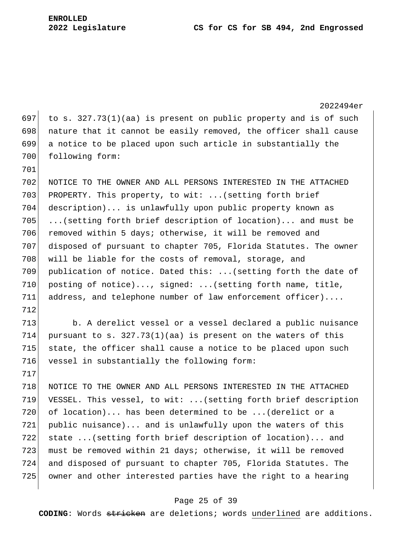2022494er 697 to s. 327.73(1)(aa) is present on public property and is of such 698 nature that it cannot be easily removed, the officer shall cause 699 a notice to be placed upon such article in substantially the 700 following form: 701 702 NOTICE TO THE OWNER AND ALL PERSONS INTERESTED IN THE ATTACHED 703 PROPERTY. This property, to wit: ... (setting forth brief 704 description)... is unlawfully upon public property known as 705 ...(setting forth brief description of location)... and must be 706 removed within 5 days; otherwise, it will be removed and 707 disposed of pursuant to chapter 705, Florida Statutes. The owner 708 will be liable for the costs of removal, storage, and 709 publication of notice. Dated this: ...(setting forth the date of 710 posting of notice)..., signed: ... (setting forth name, title, 711 address, and telephone number of law enforcement officer).... 712 713 b. A derelict vessel or a vessel declared a public nuisance 714 pursuant to s.  $327.73(1)(aa)$  is present on the waters of this 715 state, the officer shall cause a notice to be placed upon such 716 vessel in substantially the following form: 717 718 NOTICE TO THE OWNER AND ALL PERSONS INTERESTED IN THE ATTACHED 719 VESSEL. This vessel, to wit: ...(setting forth brief description 720 of location)... has been determined to be ...(derelict or a 721 public nuisance)... and is unlawfully upon the waters of this 722 state ...(setting forth brief description of location)... and 723 must be removed within 21 days; otherwise, it will be removed 724 and disposed of pursuant to chapter 705, Florida Statutes. The 725 owner and other interested parties have the right to a hearing

#### Page 25 of 39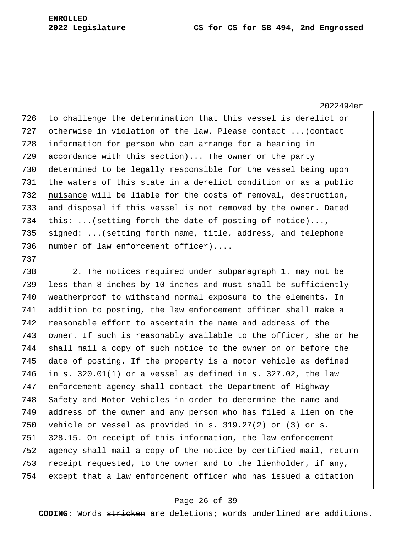737

2022494er 726 to challenge the determination that this vessel is derelict or 727 otherwise in violation of the law. Please contact ...(contact 728 information for person who can arrange for a hearing in 729 accordance with this section)... The owner or the party 730 determined to be legally responsible for the vessel being upon 731 the waters of this state in a derelict condition or as a public 732 nuisance will be liable for the costs of removal, destruction, 733 and disposal if this vessel is not removed by the owner. Dated 734 this: ...(setting forth the date of posting of notice)..., 735 signed: ...(setting forth name, title, address, and telephone 736 number of law enforcement officer)....

 2. The notices required under subparagraph 1. may not be 739 less than 8 inches by 10 inches and must  $shall$  be sufficiently weatherproof to withstand normal exposure to the elements. In addition to posting, the law enforcement officer shall make a reasonable effort to ascertain the name and address of the owner. If such is reasonably available to the officer, she or he shall mail a copy of such notice to the owner on or before the date of posting. If the property is a motor vehicle as defined 746 in s. 320.01(1) or a vessel as defined in s. 327.02, the law enforcement agency shall contact the Department of Highway 748 Safety and Motor Vehicles in order to determine the name and address of the owner and any person who has filed a lien on the 750 vehicle or vessel as provided in s.  $319.27(2)$  or (3) or s. 328.15. On receipt of this information, the law enforcement agency shall mail a copy of the notice by certified mail, return 753 receipt requested, to the owner and to the lienholder, if any, except that a law enforcement officer who has issued a citation

## Page 26 of 39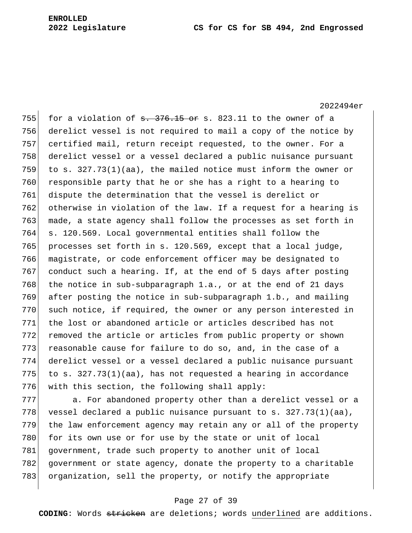755 for a violation of  $s. 376.15$  or s. 823.11 to the owner of a 756 derelict vessel is not required to mail a copy of the notice by 757 certified mail, return receipt requested, to the owner. For a 758 derelict vessel or a vessel declared a public nuisance pursuant 759 to s.  $327.73(1)(aa)$ , the mailed notice must inform the owner or  $760$  responsible party that he or she has a right to a hearing to 761 dispute the determination that the vessel is derelict or 762 otherwise in violation of the law. If a request for a hearing is 763 made, a state agency shall follow the processes as set forth in 764 s. 120.569. Local governmental entities shall follow the 765 processes set forth in s. 120.569, except that a local judge, 766 magistrate, or code enforcement officer may be designated to 767 conduct such a hearing. If, at the end of 5 days after posting 768 the notice in sub-subparagraph 1.a., or at the end of 21 days 769 after posting the notice in sub-subparagraph 1.b., and mailing 770 such notice, if required, the owner or any person interested in 771 the lost or abandoned article or articles described has not 772 removed the article or articles from public property or shown 773 reasonable cause for failure to do so, and, in the case of a 774 derelict vessel or a vessel declared a public nuisance pursuant 775 to s.  $327.73(1)(aa)$ , has not requested a hearing in accordance 776 with this section, the following shall apply:

777 a. For abandoned property other than a derelict vessel or a 778 vessel declared a public nuisance pursuant to s.  $327.73(1)(aa)$ , 779 the law enforcement agency may retain any or all of the property 780 for its own use or for use by the state or unit of local 781 government, trade such property to another unit of local 782 government or state agency, donate the property to a charitable 783 organization, sell the property, or notify the appropriate

#### Page 27 of 39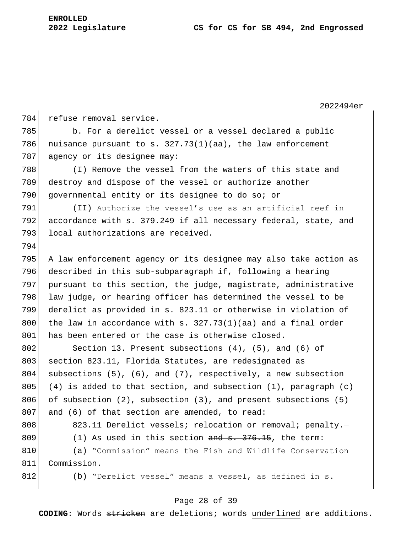2022494er 784 refuse removal service. 785 b. For a derelict vessel or a vessel declared a public 786 nuisance pursuant to s.  $327.73(1)(aa)$ , the law enforcement 787 agency or its designee may: 788 (I) Remove the vessel from the waters of this state and 789 destroy and dispose of the vessel or authorize another 790 governmental entity or its designee to do so; or 791 (II) Authorize the vessel's use as an artificial reef in 792 accordance with s. 379.249 if all necessary federal, state, and 793 local authorizations are received. 794 795 A law enforcement agency or its designee may also take action as 796 described in this sub-subparagraph if, following a hearing 797 pursuant to this section, the judge, magistrate, administrative 798 law judge, or hearing officer has determined the vessel to be 799 derelict as provided in s. 823.11 or otherwise in violation of 800 the law in accordance with  $s. 327.73(1)(aa)$  and a final order 801 has been entered or the case is otherwise closed. 802 Section 13. Present subsections (4), (5), and (6) of 803 section 823.11, Florida Statutes, are redesignated as 804 subsections  $(5)$ ,  $(6)$ , and  $(7)$ , respectively, a new subsection 805 (4) is added to that section, and subsection  $(1)$ , paragraph  $(c)$ 806 of subsection  $(2)$ , subsection  $(3)$ , and present subsections  $(5)$ 807 and  $(6)$  of that section are amended, to read: 808 808 823.11 Derelict vessels; relocation or removal; penalty. 809 (1) As used in this section  $\frac{1}{10}$  and  $\frac{1}{10}$ , the term: 810 (a) "Commission" means the Fish and Wildlife Conservation 811 Commission. 812 (b) "Derelict vessel" means a vessel, as defined in s.

#### Page 28 of 39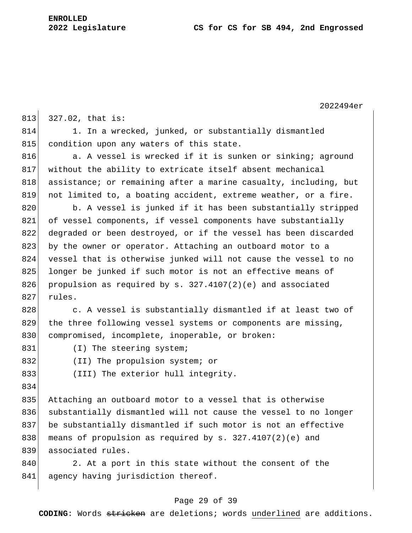2022494er  $813$  327.02, that is: 814 1. In a wrecked, junked, or substantially dismantled 815 condition upon any waters of this state. 816 a. A vessel is wrecked if it is sunken or sinking; aground 817 without the ability to extricate itself absent mechanical 818 assistance; or remaining after a marine casualty, including, but 819 not limited to, a boating accident, extreme weather, or a fire. 820 b. A vessel is junked if it has been substantially stripped 821 of vessel components, if vessel components have substantially 822 degraded or been destroyed, or if the vessel has been discarded 823 by the owner or operator. Attaching an outboard motor to a 824 vessel that is otherwise junked will not cause the vessel to no 825 longer be junked if such motor is not an effective means of 826 propulsion as required by s.  $327.4107(2)(e)$  and associated 827 rules. 828 c. A vessel is substantially dismantled if at least two of 829 the three following vessel systems or components are missing, 830 compromised, incomplete, inoperable, or broken: 831 (I) The steering system; 832 (II) The propulsion system; or 833 (III) The exterior hull integrity. 834 835 Attaching an outboard motor to a vessel that is otherwise 836 substantially dismantled will not cause the vessel to no longer 837 be substantially dismantled if such motor is not an effective 838 means of propulsion as required by s.  $327.4107(2)(e)$  and 839 associated rules. 840 2. At a port in this state without the consent of the 841 agency having jurisdiction thereof.

## Page 29 of 39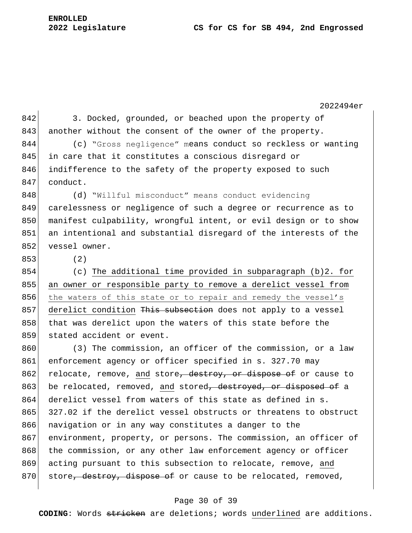2022494er 842 3. Docked, grounded, or beached upon the property of 843 another without the consent of the owner of the property. 844 (c) "Gross negligence" means conduct so reckless or wanting 845 in care that it constitutes a conscious disregard or 846 indifference to the safety of the property exposed to such 847 conduct. 848 (d) Willful misconduct" means conduct evidencing 849 carelessness or negligence of such a degree or recurrence as to 850 manifest culpability, wrongful intent, or evil design or to show 851 an intentional and substantial disregard of the interests of the 852 vessel owner. 853 (2) 854 (c) The additional time provided in subparagraph (b)2. for 855 an owner or responsible party to remove a derelict vessel from 856 the waters of this state or to repair and remedy the vessel's 857 derelict condition This subsection does not apply to a vessel 858 that was derelict upon the waters of this state before the 859 stated accident or event. 860 (3) The commission, an officer of the commission, or a law 861 enforcement agency or officer specified in s. 327.70 may 862 relocate, remove, and store<del>, destroy, or dispose of</del> or cause to 863 be relocated, removed, and stored<del>, destroyed, or disposed of</del> a 864 derelict vessel from waters of this state as defined in s. 865 327.02 if the derelict vessel obstructs or threatens to obstruct 866 navigation or in any way constitutes a danger to the 867 environment, property, or persons. The commission, an officer of 868 the commission, or any other law enforcement agency or officer 869 acting pursuant to this subsection to relocate, remove, and 870 store, destroy, dispose of or cause to be relocated, removed,

#### Page 30 of 39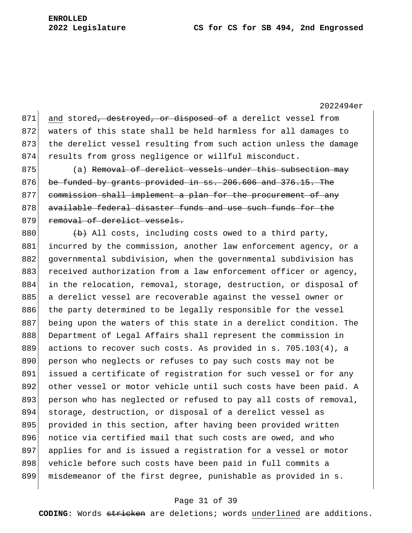871 and stored, destroyed, or disposed of a derelict vessel from 872 waters of this state shall be held harmless for all damages to 873 the derelict vessel resulting from such action unless the damage 874 results from gross negligence or willful misconduct.

875 (a) Removal of derelict vessels under this subsection may  $876$  be funded by grants provided in ss.  $206.606$  and  $376.15$ . The 877 commission shall implement a plan for the procurement of any 878 available federal disaster funds and use such funds for the 879 removal of derelict vessels.

880  $\leftarrow$   $\leftarrow$  All costs, including costs owed to a third party, 881 incurred by the commission, another law enforcement agency, or a 882 governmental subdivision, when the governmental subdivision has 883 received authorization from a law enforcement officer or agency, 884 in the relocation, removal, storage, destruction, or disposal of 885 a derelict vessel are recoverable against the vessel owner or 886 the party determined to be legally responsible for the vessel 887 being upon the waters of this state in a derelict condition. The 888 Department of Legal Affairs shall represent the commission in 889 actions to recover such costs. As provided in s. 705.103(4), a 890 person who neglects or refuses to pay such costs may not be 891 issued a certificate of registration for such vessel or for any 892 other vessel or motor vehicle until such costs have been paid. A 893 person who has neglected or refused to pay all costs of removal, 894 storage, destruction, or disposal of a derelict vessel as 895 provided in this section, after having been provided written 896 notice via certified mail that such costs are owed, and who 897 applies for and is issued a registration for a vessel or motor 898 vehicle before such costs have been paid in full commits a 899 misdemeanor of the first degree, punishable as provided in s.

#### Page 31 of 39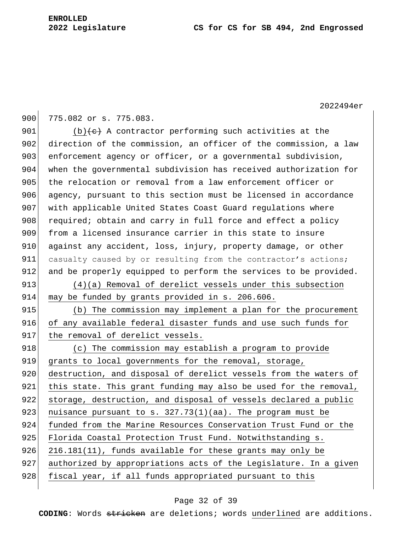900 775.082 or s. 775.083.

901 (b) $\left\{ \frac{e}{c} \right\}$  A contractor performing such activities at the 902 direction of the commission, an officer of the commission, a law 903 enforcement agency or officer, or a governmental subdivision, 904 when the governmental subdivision has received authorization for 905 the relocation or removal from a law enforcement officer or 906 agency, pursuant to this section must be licensed in accordance 907 with applicable United States Coast Guard regulations where 908 required; obtain and carry in full force and effect a policy 909 from a licensed insurance carrier in this state to insure 910 against any accident, loss, injury, property damage, or other 911 casualty caused by or resulting from the contractor's actions; 912 and be properly equipped to perform the services to be provided.

913 (4)(a) Removal of derelict vessels under this subsection 914 may be funded by grants provided in s. 206.606.

915 (b) The commission may implement a plan for the procurement 916 of any available federal disaster funds and use such funds for 917 the removal of derelict vessels.

918 (c) The commission may establish a program to provide 919 grants to local governments for the removal, storage, 920 destruction, and disposal of derelict vessels from the waters of 921 this state. This grant funding may also be used for the removal, 922 storage, destruction, and disposal of vessels declared a public 923 | nuisance pursuant to s.  $327.73(1)(aa)$ . The program must be 924 funded from the Marine Resources Conservation Trust Fund or the 925 Florida Coastal Protection Trust Fund. Notwithstanding s. 926 216.181(11), funds available for these grants may only be 927 authorized by appropriations acts of the Legislature. In a given 928 fiscal year, if all funds appropriated pursuant to this

## Page 32 of 39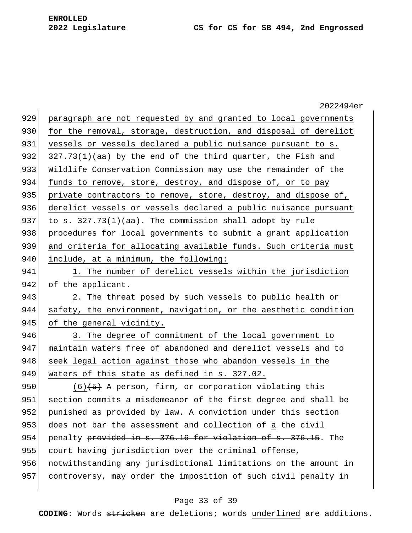|     | 2022494er                                                       |
|-----|-----------------------------------------------------------------|
| 929 | paragraph are not requested by and granted to local governments |
| 930 | for the removal, storage, destruction, and disposal of derelict |
| 931 | vessels or vessels declared a public nuisance pursuant to s.    |
| 932 | $327.73(1)$ (aa) by the end of the third quarter, the Fish and  |
| 933 | Wildlife Conservation Commission may use the remainder of the   |
| 934 | funds to remove, store, destroy, and dispose of, or to pay      |
| 935 | private contractors to remove, store, destroy, and dispose of,  |
| 936 | derelict vessels or vessels declared a public nuisance pursuant |
| 937 | to s. $327.73(1)(aa)$ . The commission shall adopt by rule      |
| 938 | procedures for local governments to submit a grant application  |
| 939 | and criteria for allocating available funds. Such criteria must |
| 940 | include, at a minimum, the following:                           |
| 941 | 1. The number of derelict vessels within the jurisdiction       |
| 942 | of the applicant.                                               |
| 943 | 2. The threat posed by such vessels to public health or         |
| 944 | safety, the environment, navigation, or the aesthetic condition |
| 945 | of the general vicinity.                                        |
| 946 | 3. The degree of commitment of the local government to          |
| 947 | maintain waters free of abandoned and derelict vessels and to   |
| 948 | seek legal action against those who abandon vessels in the      |
| 949 | waters of this state as defined in s. 327.02.                   |
| 950 | $(6)$ $(5)$ A person, firm, or corporation violating this       |
| 951 | section commits a misdemeanor of the first degree and shall be  |
| 952 | punished as provided by law. A conviction under this section    |
| 953 | does not bar the assessment and collection of a the civil       |
| 954 | penalty provided in s. 376.16 for violation of s. 376.15. The   |
| 955 | court having jurisdiction over the criminal offense,            |
| 956 | notwithstanding any jurisdictional limitations on the amount in |
| 957 | controversy, may order the imposition of such civil penalty in  |
|     |                                                                 |

# Page 33 of 39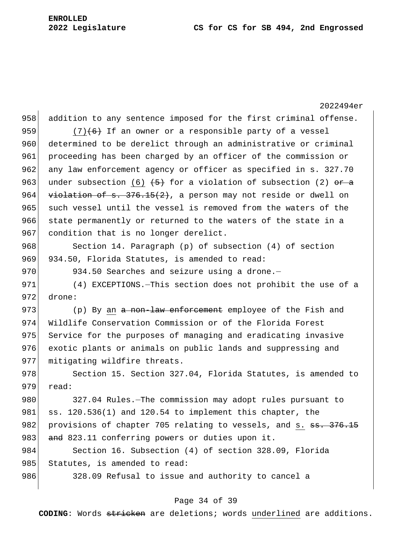2022494er 958 addition to any sentence imposed for the first criminal offense. 959  $(7)(6)$  If an owner or a responsible party of a vessel 960 determined to be derelict through an administrative or criminal 961 proceeding has been charged by an officer of the commission or 962 any law enforcement agency or officer as specified in s. 327.70 963 under subsection (6)  $\left(5\right)$  for a violation of subsection (2) or a 964  $\overline{v}$  violation of s. 376.15(2), a person may not reside or dwell on 965 such vessel until the vessel is removed from the waters of the 966 state permanently or returned to the waters of the state in a 967 condition that is no longer derelict. 968 Section 14. Paragraph (p) of subsection (4) of section 969 934.50, Florida Statutes, is amended to read: 970 934.50 Searches and seizure using a drone. 971 (4) EXCEPTIONS. - This section does not prohibit the use of a 972 drone: 973  $(p)$  By an <del>a non-law enforcement</del> employee of the Fish and 974 Wildlife Conservation Commission or of the Florida Forest 975 Service for the purposes of managing and eradicating invasive 976 exotic plants or animals on public lands and suppressing and 977 mitigating wildfire threats. 978 Section 15. Section 327.04, Florida Statutes, is amended to  $979$  read: 980 327.04 Rules.—The commission may adopt rules pursuant to 981  $\vert$  ss. 120.536(1) and 120.54 to implement this chapter, the 982 provisions of chapter 705 relating to vessels, and s. ss. 376.15 983 and 823.11 conferring powers or duties upon it. 984 Section 16. Subsection (4) of section 328.09, Florida 985 Statutes, is amended to read: 986 328.09 Refusal to issue and authority to cancel a

## Page 34 of 39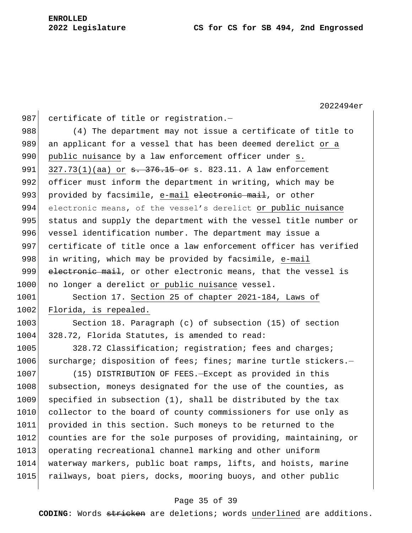987 certificate of title or registration. $-$ 988 (4) The department may not issue a certificate of title to 989 an applicant for a vessel that has been deemed derelict or a 990 public nuisance by a law enforcement officer under s. 991  $327.73(1)(aa)$  or  $\theta$ . 376.15 or s. 823.11. A law enforcement 992 officer must inform the department in writing, which may be 993 provided by facsimile, e-mail electronic mail, or other 994 electronic means, of the vessel's derelict or public nuisance 995 status and supply the department with the vessel title number or 996 vessel identification number. The department may issue a 997 certificate of title once a law enforcement officer has verified 998 in writing, which may be provided by facsimile, e-mail 999 electronic mail, or other electronic means, that the vessel is 1000 no longer a derelict or public nuisance vessel. 1001 Section 17. Section 25 of chapter 2021-184, Laws of 1002 Florida, is repealed. 1003 Section 18. Paragraph (c) of subsection (15) of section 1004 328.72, Florida Statutes, is amended to read: 1005 328.72 Classification; registration; fees and charges; 1006 surcharge; disposition of fees; fines; marine turtle stickers.-1007 (15) DISTRIBUTION OF FEES. - Except as provided in this 1008 subsection, moneys designated for the use of the counties, as 1009 specified in subsection (1), shall be distributed by the tax 1010 collector to the board of county commissioners for use only as 1011 provided in this section. Such moneys to be returned to the 1012 counties are for the sole purposes of providing, maintaining, or 1013 operating recreational channel marking and other uniform

1014 waterway markers, public boat ramps, lifts, and hoists, marine 1015 railways, boat piers, docks, mooring buoys, and other public

#### Page 35 of 39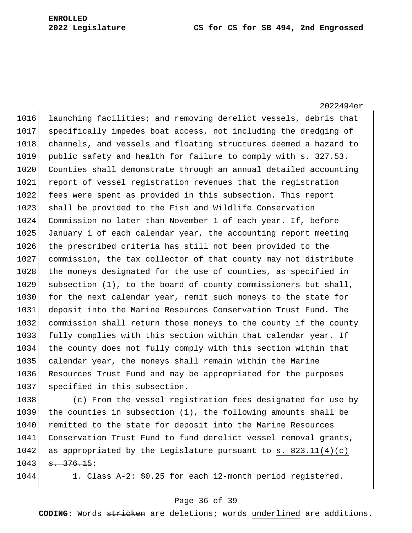2022494er 1016 launching facilities; and removing derelict vessels, debris that 1017 specifically impedes boat access, not including the dredging of 1018 channels, and vessels and floating structures deemed a hazard to 1019 public safety and health for failure to comply with s. 327.53. 1020 Counties shall demonstrate through an annual detailed accounting 1021 report of vessel registration revenues that the registration 1022 fees were spent as provided in this subsection. This report 1023 shall be provided to the Fish and Wildlife Conservation 1024 Commission no later than November 1 of each year. If, before 1025 January 1 of each calendar year, the accounting report meeting 1026 the prescribed criteria has still not been provided to the 1027 commission, the tax collector of that county may not distribute 1028 the moneys designated for the use of counties, as specified in 1029 subsection (1), to the board of county commissioners but shall, 1030 for the next calendar year, remit such moneys to the state for 1031 deposit into the Marine Resources Conservation Trust Fund. The 1032 commission shall return those moneys to the county if the county 1033 fully complies with this section within that calendar year. If 1034 the county does not fully comply with this section within that 1035 calendar year, the moneys shall remain within the Marine 1036 Resources Trust Fund and may be appropriated for the purposes 1037 specified in this subsection.

1038 (c) From the vessel registration fees designated for use by 1039 the counties in subsection (1), the following amounts shall be 1040 remitted to the state for deposit into the Marine Resources 1041 Conservation Trust Fund to fund derelict vessel removal grants, 1042 as appropriated by the Legislature pursuant to s.  $823.11(4)(c)$  $1043$   $\overline{a}$   $\overline{376.15}$ :

1044 1. Class A-2: \$0.25 for each 12-month period registered.

#### Page 36 of 39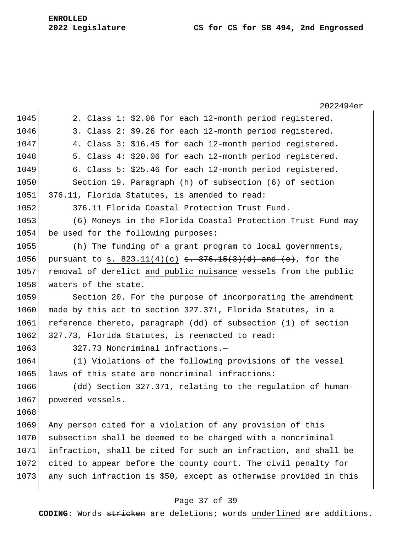2022494er 1045 2. Class 1:  $$2.06$  for each 12-month period registered. 1046 3. Class 2: \$9.26 for each 12-month period registered. 1047 4. Class 3: \$16.45 for each 12-month period registered. 1048 5. Class 4: \$20.06 for each 12-month period registered. 1049 6. Class 5: \$25.46 for each 12-month period registered. 1050 Section 19. Paragraph (h) of subsection (6) of section 1051 376.11, Florida Statutes, is amended to read: 1052 376.11 Florida Coastal Protection Trust Fund. 1053 (6) Moneys in the Florida Coastal Protection Trust Fund may 1054 be used for the following purposes: 1055 (h) The funding of a grant program to local governments, 1056 pursuant to s.  $823.11(4)(c)$  s.  $376.15(3)(d)$  and  $(e)$ , for the 1057 removal of derelict and public nuisance vessels from the public 1058 waters of the state. 1059 Section 20. For the purpose of incorporating the amendment 1060 made by this act to section 327.371, Florida Statutes, in a 1061 reference thereto, paragraph (dd) of subsection (1) of section 1062 327.73, Florida Statutes, is reenacted to read: 1063 327.73 Noncriminal infractions.-1064 (1) Violations of the following provisions of the vessel 1065 laws of this state are noncriminal infractions: 1066 (dd) Section 327.371, relating to the regulation of human-1067 powered vessels. 1068 1069 Any person cited for a violation of any provision of this 1070 subsection shall be deemed to be charged with a noncriminal 1071 infraction, shall be cited for such an infraction, and shall be 1072 cited to appear before the county court. The civil penalty for 1073 any such infraction is \$50, except as otherwise provided in this

#### Page 37 of 39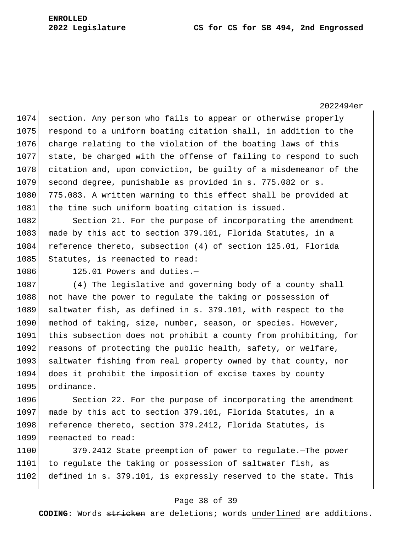1074 section. Any person who fails to appear or otherwise properly 1075 respond to a uniform boating citation shall, in addition to the 1076 charge relating to the violation of the boating laws of this 1077 state, be charged with the offense of failing to respond to such 1078 citation and, upon conviction, be guilty of a misdemeanor of the 1079 second degree, punishable as provided in s. 775.082 or s. 1080 775.083. A written warning to this effect shall be provided at 1081 the time such uniform boating citation is issued.

1082 Section 21. For the purpose of incorporating the amendment 1083 made by this act to section 379.101, Florida Statutes, in a 1084 reference thereto, subsection (4) of section 125.01, Florida 1085 Statutes, is reenacted to read:

1086 125.01 Powers and duties.-

1087 (4) The legislative and governing body of a county shall 1088 not have the power to regulate the taking or possession of 1089 saltwater fish, as defined in s. 379.101, with respect to the 1090 method of taking, size, number, season, or species. However, 1091 this subsection does not prohibit a county from prohibiting, for 1092 reasons of protecting the public health, safety, or welfare, 1093 saltwater fishing from real property owned by that county, nor 1094 does it prohibit the imposition of excise taxes by county 1095 ordinance.

1096 Section 22. For the purpose of incorporating the amendment 1097 made by this act to section 379.101, Florida Statutes, in a 1098 reference thereto, section 379.2412, Florida Statutes, is 1099 reenacted to read:

1100 379.2412 State preemption of power to regulate.—The power 1101 to regulate the taking or possession of saltwater fish, as 1102 defined in s. 379.101, is expressly reserved to the state. This

#### Page 38 of 39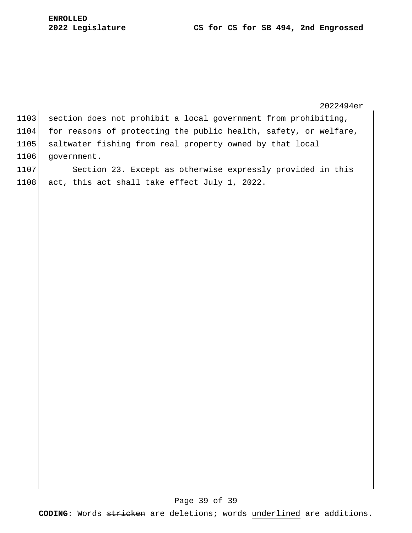2022494er 1103 section does not prohibit a local government from prohibiting, 1104 for reasons of protecting the public health, safety, or welfare, 1105 saltwater fishing from real property owned by that local 1106 government. 1107 Section 23. Except as otherwise expressly provided in this

1108 act, this act shall take effect July 1, 2022.

## Page 39 of 39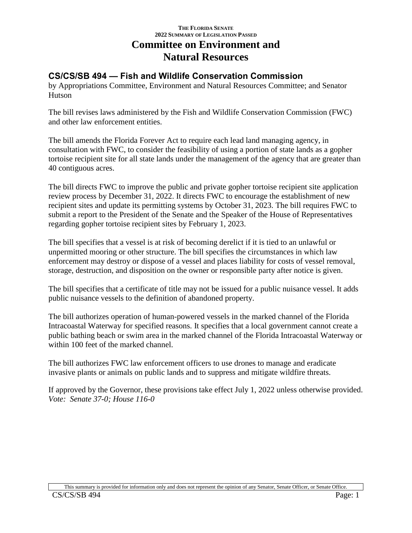# **THE FLORIDA SENATE 2022 SUMMARY OF LEGISLATION PASSED Committee on Environment and Natural Resources**

# **CS/CS/SB 494 — Fish and Wildlife Conservation Commission**

by Appropriations Committee, Environment and Natural Resources Committee; and Senator Hutson

The bill revises laws administered by the Fish and Wildlife Conservation Commission (FWC) and other law enforcement entities.

The bill amends the Florida Forever Act to require each lead land managing agency, in consultation with FWC, to consider the feasibility of using a portion of state lands as a gopher tortoise recipient site for all state lands under the management of the agency that are greater than 40 contiguous acres.

The bill directs FWC to improve the public and private gopher tortoise recipient site application review process by December 31, 2022. It directs FWC to encourage the establishment of new recipient sites and update its permitting systems by October 31, 2023. The bill requires FWC to submit a report to the President of the Senate and the Speaker of the House of Representatives regarding gopher tortoise recipient sites by February 1, 2023.

The bill specifies that a vessel is at risk of becoming derelict if it is tied to an unlawful or unpermitted mooring or other structure. The bill specifies the circumstances in which law enforcement may destroy or dispose of a vessel and places liability for costs of vessel removal, storage, destruction, and disposition on the owner or responsible party after notice is given.

The bill specifies that a certificate of title may not be issued for a public nuisance vessel. It adds public nuisance vessels to the definition of abandoned property.

The bill authorizes operation of human-powered vessels in the marked channel of the Florida Intracoastal Waterway for specified reasons. It specifies that a local government cannot create a public bathing beach or swim area in the marked channel of the Florida Intracoastal Waterway or within 100 feet of the marked channel.

The bill authorizes FWC law enforcement officers to use drones to manage and eradicate invasive plants or animals on public lands and to suppress and mitigate wildfire threats.

If approved by the Governor, these provisions take effect July 1, 2022 unless otherwise provided. *Vote: Senate 37-0; House 116-0*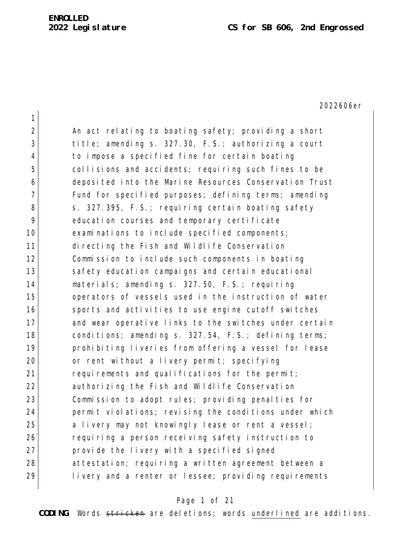| $\mathbf 1$    |                                                        |
|----------------|--------------------------------------------------------|
| 2              | An act relating to boating safety; providing a short   |
| 3              | title; amending s. 327.30, F.S.; authorizing a court   |
| $\overline{4}$ | to impose a specified fine for certain boating         |
| 5              | collisions and accidents; requiring such fines to be   |
| 6              | deposited into the Marine Resources Conservation Trust |
| 7              | Fund for specified purposes; defining terms; amending  |
| 8              | s. 327.395, F.S.; requiring certain boating safety     |
| 9              | education courses and temporary certificate            |
| 10             | examinations to include specified components;          |
| 11             | directing the Fish and Wildlife Conservation           |
| 12             | Commission to include such components in boating       |
| 13             | safety education campaigns and certain educational     |
| 14             | materials; amending s. 327.50, F.S.; requiring         |
| 15             | operators of vessels used in the instruction of water  |
| 16             | sports and activities to use engine cutoff switches    |
| 17             | and wear operative links to the switches under certain |
| 18             | conditions; amending s. 327.54, F.S.; defining terms;  |
| 19             | prohibiting liveries from offering a vessel for lease  |
| 20             | or rent without a livery permit; specifying            |
| 21             | requirements and qualifications for the permit;        |
| 22             | authorizing the Fish and Wildlife Conservation         |
| 23             | Commission to adopt rules; providing penalties for     |
| 24             | permit violations; revising the conditions under which |
| 25             | a livery may not knowingly lease or rent a vessel;     |
| 26             | requiring a person receiving safety instruction to     |
| 27             | provide the livery with a specified signed             |
| 28             | attestation; requiring a written agreement between a   |
| 29             | livery and a renter or lessee; providing requirements  |

# Page 1 of 21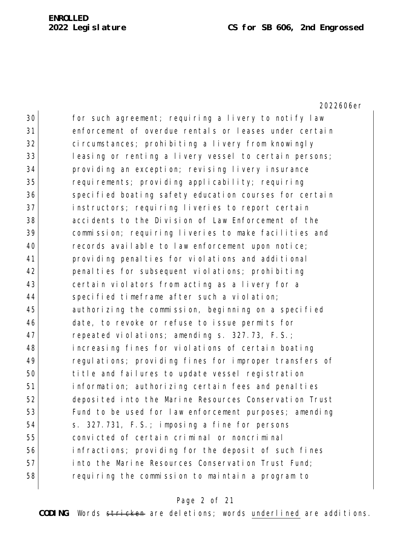#### **Legislature CS for SB 606, 2nd Engrossed**

2022606er

30 for such agreement; requiring a livery to notify law enforcement of overdue rentals or leases under certain 32 circumstances; prohibiting a livery from knowingly 33 leasing or renting a livery vessel to certain persons; providing an exception; revising livery insurance requirements; providing applicability; requiring 36 specified boating safety education courses for certain instructors; requiring liveries to report certain accidents to the Division of Law Enforcement of the commission; requiring liveries to make facilities and records available to law enforcement upon notice; providing penalties for violations and additional penalties for subsequent violations; prohibiting 43 certain violators from acting as a livery for a 44 specified timeframe after such a violation; authorizing the commission, beginning on a specified date, to revoke or refuse to issue permits for 47 repeated violations; amending s. 327.73, F.S.; increasing fines for violations of certain boating regulations; providing fines for improper transfers of title and failures to update vessel registration information; authorizing certain fees and penalties deposited into the Marine Resources Conservation Trust 53 Fund to be used for law enforcement purposes; amending s. 327.731, F.S.; imposing a fine for persons convicted of certain criminal or noncriminal infractions; providing for the deposit of such fines **into the Marine Resources Conservation Trust Fund;** requiring the commission to maintain a program to

#### Page 2 of 21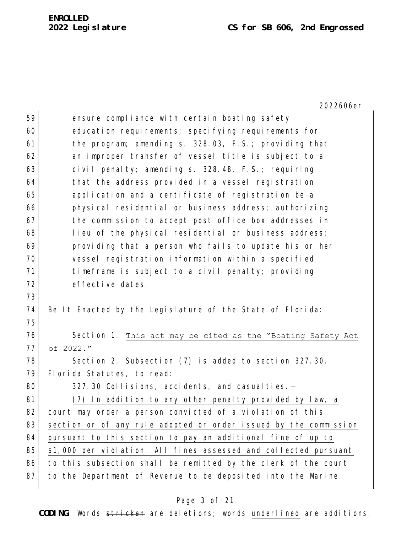| 59 | ensure compliance with certain boating safety                    |
|----|------------------------------------------------------------------|
| 60 | education requirements; specifying requirements for              |
| 61 | the program; amending s. 328.03, F.S.; providing that            |
| 62 | an improper transfer of vessel title is subject to a             |
| 63 | civil penalty; amending s. 328.48, F.S.; requiring               |
| 64 | that the address provided in a vessel registration               |
| 65 | application and a certificate of registration be a               |
| 66 | physical residential or business address; authorizing            |
| 67 | the commission to accept post office box addresses in            |
| 68 | lieu of the physical residential or business address;            |
| 69 | providing that a person who fails to update his or her           |
| 70 | vessel registration information within a specified               |
| 71 | timeframe is subject to a civil penalty; providing               |
| 72 | effective dates.                                                 |
| 73 |                                                                  |
| 74 | Be It Enacted by the Legislature of the State of Florida:        |
| 75 |                                                                  |
| 76 | Section 1. This act may be cited as the "Boating Safety Act      |
| 77 | of 2022."                                                        |
| 78 | Section 2. Subsection (7) is added to section 327.30,            |
| 79 | Florida Statutes, to read:                                       |
| 80 | 327.30 Collisions, accidents, and casualties.-                   |
| 81 | In addition to any other penalty provided by law, a<br>(7)       |
| 82 | court may order a person convicted of a violation of this        |
| 83 | section or of any rule adopted or order issued by the commission |
| 84 | pursuant to this section to pay an additional fine of up to      |
| 85 | \$1,000 per violation. All fines assessed and collected pursuant |
| 86 | to this subsection shall be remitted by the clerk of the court   |
| 87 | to the Department of Revenue to be deposited into the Marine     |
|    |                                                                  |

# Page 3 of 21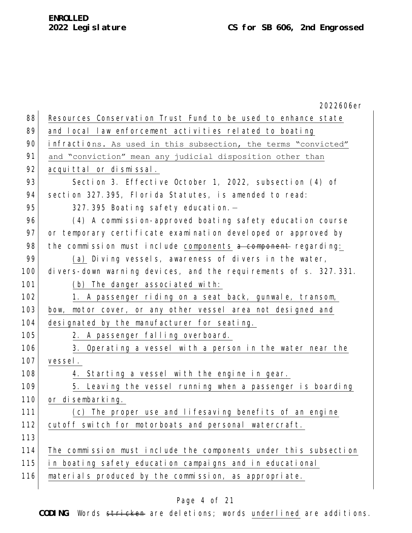|     | 2022606er                                                        |
|-----|------------------------------------------------------------------|
| 88  | Resources Conservation Trust Fund to be used to enhance state    |
| 89  | and local law enforcement activities related to boating          |
| 90  | infractions. As used in this subsection, the terms "convicted"   |
| 91  | and "conviction" mean any judicial disposition other than        |
| 92  | acquittal or dismissal.                                          |
| 93  | Section 3. Effective October 1, 2022, subsection (4) of          |
| 94  | section 327.395, Florida Statutes, is amended to read:           |
| 95  | 327.395 Boating safety education.-                               |
| 96  | (4) A commission-approved boating safety education course        |
| 97  | or temporary certificate examination developed or approved by    |
| 98  | the commission must include components a component regarding:    |
| 99  | (a) Diving vessels, awareness of divers in the water,            |
| 100 | divers-down warning devices, and the requirements of s. 327.331. |
| 101 | (b) The danger associated with:                                  |
| 102 | 1. A passenger riding on a seat back, gunwale, transom,          |
| 103 | bow, motor cover, or any other vessel area not designed and      |
| 104 | designated by the manufacturer for seating.                      |
| 105 | 2. A passenger falling overboard.                                |
| 106 | 3. Operating a vessel with a person in the water near the        |
| 107 | vessel.                                                          |
| 108 | 4. Starting a vessel with the engine in gear.                    |
| 109 | 5. Leaving the vessel running when a passenger is boarding       |
| 110 | or disembarking.                                                 |
| 111 | (c) The proper use and lifesaving benefits of an engine          |
| 112 | cutoff switch for motorboats and personal watercraft.            |
| 113 |                                                                  |
| 114 | The commission must include the components under this subsection |
| 115 | in boating safety education campaigns and in educational         |
| 116 | materials produced by the commission, as appropriate.            |
|     |                                                                  |

# Page 4 of 21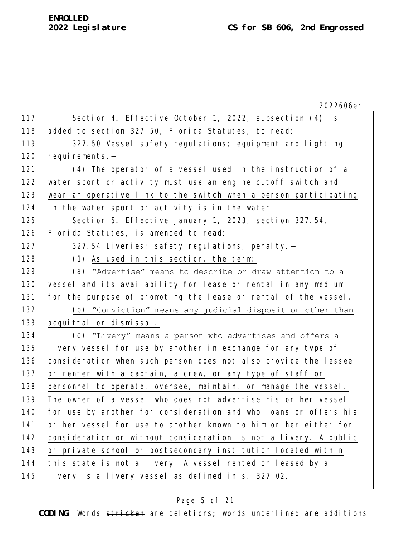# **ENROLLED**

2022606er 117 Section 4. Effective October 1, 2022, subsection (4) is 118 added to section 327.50, Florida Statutes, to read: 119 327.50 Vessel safety regulations; equipment and lighting 120 requirements.-121 (4) The operator of a vessel used in the instruction of a 122 water sport or activity must use an engine cutoff switch and 123 wear an operative link to the switch when a person participating 124 in the water sport or activity is in the water. 125 Section 5. Effective January 1, 2023, section 327.54, 126 Florida Statutes, is amended to read: 127 327.54 Liveries; safety requlations; penalty. 128 (1) As used in this section, the term: 129 (a) "Advertise" means to describe or draw attention to a 130 vessel and its availability for lease or rental in any medium 131 for the purpose of promoting the lease or rental of the vessel. 132 (b) "Conviction" means any judicial disposition other than 133 acquittal or dismissal. 134 (c) "Livery" means a person who advertises and offers a 135 livery vessel for use by another in exchange for any type of 136 consideration when such person does not also provide the lessee 137 or renter with a captain, a crew, or any type of staff or 138 personnel to operate, oversee, maintain, or manage the vessel. 139 The owner of a vessel who does not advertise his or her vessel 140 for use by another for consideration and who loans or offers his 141 or her vessel for use to another known to him or her either for 142 consideration or without consideration is not a livery. A public 143 or private school or postsecondary institution located within 144 this state is not a livery. A vessel rented or leased by a 145 livery is a livery vessel as defined in s. 327.02.

#### Page 5 of 21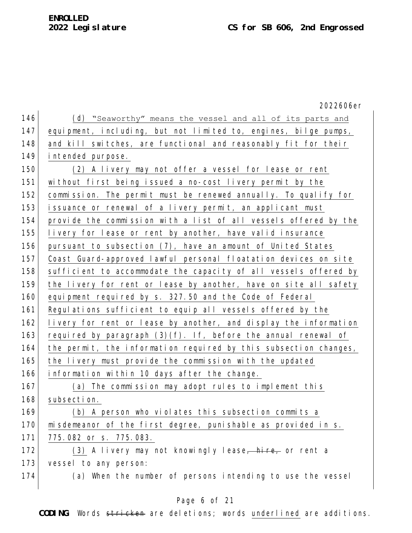2022606er 146 (d) "Seaworthy" means the vessel and all of its parts and 147 equipment, including, but not limited to, engines, bilge pumps, 148 and kill switches, are functional and reasonably fit for their 149 intended purpose. 150 (2) A livery may not offer a vessel for lease or rent 151 without first being issued a no-cost livery permit by the 152 commission. The permit must be renewed annually. To qualify for 153 issuance or renewal of a livery permit, an applicant must 154 provide the commission with a list of all vessels offered by the 155 livery for lease or rent by another, have valid insurance 156 pursuant to subsection (7), have an amount of United States 157 Coast Guard-approved lawful personal floatation devices on site 158 sufficient to accommodate the capacity of all vessels offered by 159 the livery for rent or lease by another, have on site all safety 160 equipment required by s. 327.50 and the Code of Federal 161 Regulations sufficient to equip all vessels offered by the 162 livery for rent or lease by another, and display the information 163 required by paragraph  $(3)(f)$ . If, before the annual renewal of 164 the permit, the information required by this subsection changes, 165 the livery must provide the commission with the updated 166 information within 10 days after the change. 167 (a) The commission may adopt rules to implement this 168 subsection. 169 (b) A person who violates this subsection commits a 170 misdemeanor of the first degree, punishable as provided in s. 171 775.082 or s. 775.083. 172 (3) A livery may not knowingly lease, hire, or rent a 173 vessel to any person: 174 (a) When the number of persons intending to use the vessel

## Page 6 of 21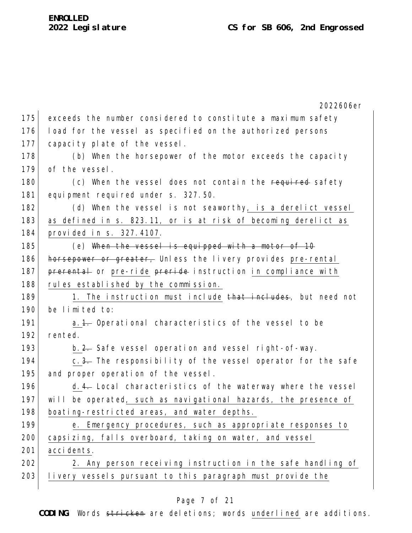|     | 2022606er                                                       |
|-----|-----------------------------------------------------------------|
| 175 | exceeds the number considered to constitute a maximum safety    |
| 176 | load for the vessel as specified on the authorized persons      |
| 177 | capacity plate of the vessel.                                   |
| 178 | (b) When the horsepower of the motor exceeds the capacity       |
| 179 | of the vessel.                                                  |
| 180 | (c) When the vessel does not contain the required safety        |
| 181 | equipment required under s. 327.50.                             |
| 182 | (d) When the vessel is not seaworthy, is a derelict vessel      |
| 183 | as defined in s. 823.11, or is at risk of becoming derelict as  |
| 184 | provided in s. 327.4107.                                        |
| 185 | (e) When the vessel is equipped with a motor of 10              |
| 186 | horsepower or greater, Unless the livery provides pre-rental    |
| 187 | prerental or pre-ride preride instruction in compliance with    |
| 188 | rules established by the commission.                            |
| 189 | 1. The instruction must include that includes, but need not     |
| 190 | be limited to:                                                  |
| 191 | a. 1. Operational characteristics of the vessel to be           |
| 192 | rented.                                                         |
| 193 | b.2. Safe vessel operation and vessel right-of-way.             |
| 194 | c.3. The responsibility of the vessel operator for the safe     |
| 195 | and proper operation of the vessel.                             |
| 196 | d.4. Local characteristics of the waterway where the vessel     |
| 197 | will be operated, such as navigational hazards, the presence of |
| 198 | boating-restricted areas, and water depths.                     |
| 199 | e. Emergency procedures, such as appropriate responses to       |
| 200 | capsizing, falls overboard, taking on water, and vessel         |
| 201 | accidents.                                                      |
| 202 | 2. Any person receiving instruction in the safe handling of     |
| 203 | livery vessels pursuant to this paragraph must provide the      |

# Page 7 of 21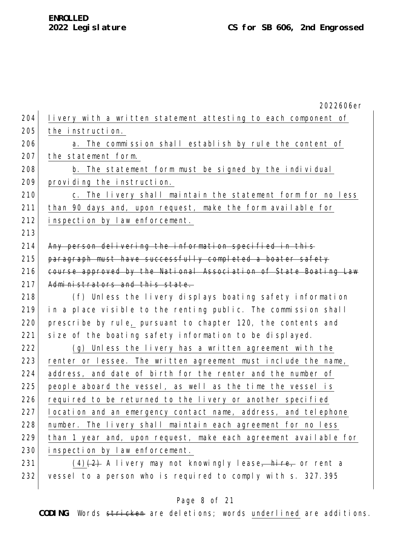2022606er 204 livery with a written statement attesting to each component of 205 the instruction. 206 a. The commission shall establish by rule the content of 207 the statement form. 208 b. The statement form must be signed by the individual 209 providing the instruction. 210 c. The livery shall maintain the statement form for no less 211 than 90 days and, upon request, make the form available for 212 inspection by law enforcement. 213 214 Any person delivering the information specified in this 215 paragraph must have successfully completed a boater safety 216 course approved by the National Association of State Boating Law 217 Administrators and this state. 218 (f) Unless the livery displays boating safety information 219 in a place visible to the renting public. The commission shall 220 prescribe by rule, pursuant to chapter 120, the contents and 221 size of the boating safety information to be displayed. 222 (g) Unless the livery has a written agreement with the 223 renter or lessee. The written agreement must include the name, 224 address, and date of birth for the renter and the number of 225 people aboard the vessel, as well as the time the vessel is 226 required to be returned to the livery or another specified 227 location and an emergency contact name, address, and telephone 228 | number. The livery shall maintain each agreement for no less 229 than 1 year and, upon request, make each agreement available for 230 inspection by law enforcement. 231 (4) $\left(2\right)$  A livery may not knowingly lease, hire, or rent a 232 vessel to a person who is required to comply with s. 327.395

#### Page 8 of 21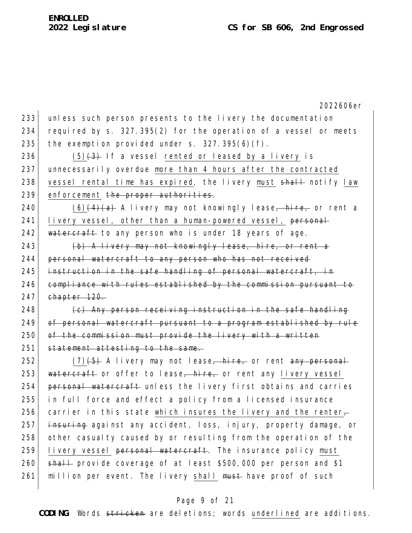233 unless such person presents to the livery the documentation 234 required by s. 327.395(2) for the operation of a vessel or meets 235 the exemption provided under  $s. 327.395(6)(f)$ .

236 (5) $\left(3\right)$  If a vessel rented or leased by a livery is 237 unnecessarily overdue more than 4 hours after the contracted 238 vessel rental time has expired, the livery must shall notify law 239 enforcement the proper authorities.

240 (6) $\left(4\right)$  (6)  $\left(4\right)$  A livery may not knowingly lease, hire, or rent a 241 livery vessel, other than a human-powered vessel, personal 242 watercraft to any person who is under 18 years of age.

243  $\vert$  (b) A livery may not knowingly lease, hire, or rent a 244 personal watercraft to any person who has not received  $245$  instruction in the safe handling of personal watercraft, in 246 compliance with rules established by the commission pursuant to  $247$  chapter  $120$ .

248  $\vert$  (c) Any person receiving instruction in the safe handling 249 of personal watercraft pursuant to a program established by rule 250 of the commission must provide the livery with a written 251 statement attesting to the same.

252  $(7)(5)$  A livery may not lease, hire, or rent any personal 253 watercraft or offer to lease, hire, or rent any livery vessel 254 personal watercraft unless the livery first obtains and carries 255 in full force and effect a policy from a licensed insurance 256 carrier in this state which insures the livery and the renter-257 insuring against any accident, loss, injury, property damage, or 258 other casualty caused by or resulting from the operation of the 259 livery vessel personal watercraft. The insurance policy must 260  $\rightarrow$  shall provide coverage of at least \$500,000 per person and \$1 261 million per event. The livery shall must have proof of such

## Page 9 of 21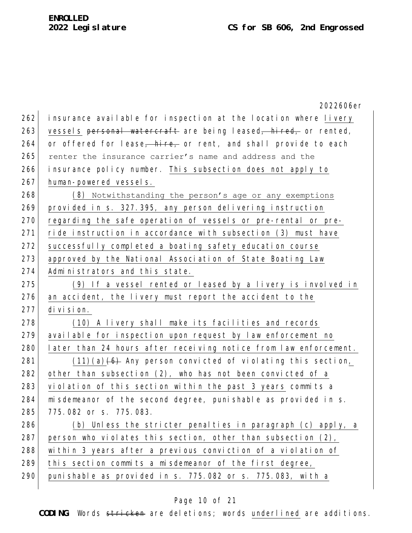|     | 2022606er                                                        |
|-----|------------------------------------------------------------------|
| 262 | insurance available for inspection at the location where livery  |
| 263 | vessels personal watercraft are being leased, hired, or rented,  |
| 264 | or offered for lease, hire, or rent, and shall provide to each   |
| 265 | renter the insurance carrier's name and address and the          |
| 266 | insurance policy number. This subsection does not apply to       |
| 267 | human-powered vessels.                                           |
| 268 | (8) Notwithstanding the person's age or any exemptions           |
| 269 | provided in s. 327.395, any person delivering instruction        |
| 270 | regarding the safe operation of vessels or pre-rental or pre-    |
| 271 | ride instruction in accordance with subsection (3) must have     |
| 272 | successfully completed a boating safety education course         |
| 273 | approved by the National Association of State Boating Law        |
| 274 | Administrators and this state.                                   |
| 275 | (9) If a vessel rented or leased by a livery is involved in      |
| 276 | an accident, the livery must report the accident to the          |
| 277 | division.                                                        |
| 278 | (10) A livery shall make its facilities and records              |
| 279 | available for inspection upon request by law enforcement no      |
| 280 | later than 24 hours after receiving notice from law enforcement. |
| 281 | $(11)(a)$ (6) Any person convicted of violating this section,    |
| 282 | other than subsection (2), who has not been convicted of a       |
| 283 | violation of this section within the past 3 years commits a      |
| 284 | misdemeanor of the second degree, punishable as provided in s.   |
| 285 | 775.082 or s. 775.083.                                           |
| 286 | (b) Unless the stricter penalties in paragraph (c) apply, a      |
| 287 | person who violates this section, other than subsection (2),     |
| 288 | within 3 years after a previous conviction of a violation of     |
| 289 | this section commits a misdemeanor of the first degree,          |
| 290 | punishable as provided in s. 775.082 or s. 775.083, with a       |

# Page 10 of 21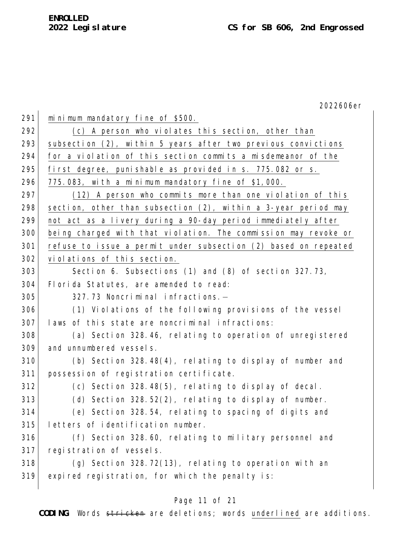2022606er 291 minimum mandatory fine of \$500. 292 (c) A person who violates this section, other than 293 subsection (2), within 5 years after two previous convictions for a violation of this section commits a misdemeanor of the 295 first degree, punishable as provided in s. 775.082 or s.  $775.083$ , with a minimum mandatory fine of \$1,000. 297 (12) A person who commits more than one violation of this 298 section, other than subsection  $(2)$ , within a 3-year period may not act as a livery during a 90-day period immediately after being charged with that violation. The commission may revoke or refuse to issue a permit under subsection (2) based on repeated violations of this section. Section 6. Subsections (1) and (8) of section 327.73, 304 Florida Statutes, are amended to read: 305 327.73 Noncriminal infractions. (1) Violations of the following provisions of the vessel laws of this state are noncriminal infractions: 308 (a) Section 328.46, relating to operation of unregistered and unnumbered vessels. (b) Section 328.48(4), relating to display of number and possession of registration certificate. (c) Section 328.48(5), relating to display of decal. (d) Section 328.52(2), relating to display of number. (e) Section 328.54, relating to spacing of digits and letters of identification number. (f) Section 328.60, relating to military personnel and registration of vessels. (g) Section 328.72(13), relating to operation with an expired registration, for which the penalty is:

# Page 11 of 21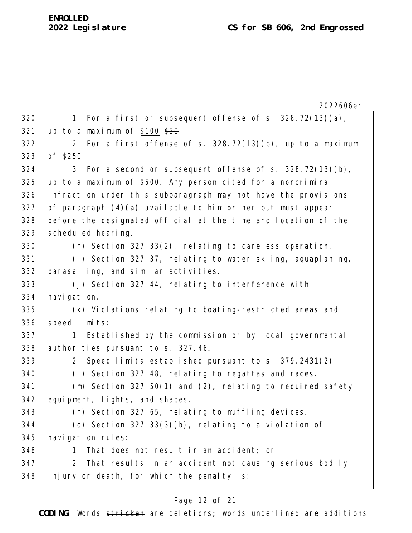|     | 2022606er                                                      |
|-----|----------------------------------------------------------------|
| 320 | 1. For a first or subsequent offense of s. $328.72(13)(a)$ ,   |
| 321 | up to a maximum of \$100 $$50.$                                |
| 322 | 2. For a first offense of s. 328.72(13)(b), up to a maximum    |
| 323 | of \$250.                                                      |
| 324 | 3. For a second or subsequent offense of s. $328.72(13)(b)$ ,  |
| 325 | up to a maximum of \$500. Any person cited for a noncriminal   |
| 326 | infraction under this subparagraph may not have the provisions |
| 327 | of paragraph $(4)(a)$ available to him or her but must appear  |
| 328 | before the designated official at the time and location of the |
| 329 | scheduled hearing.                                             |
| 330 | (h) Section 327.33(2), relating to careless operation.         |
| 331 | (i) Section 327.37, relating to water skiing, aquaplaning,     |
| 332 | parasailing, and similar activities.                           |
| 333 | (j) Section 327.44, relating to interference with              |
| 334 | navigation.                                                    |
| 335 | (k) Violations relating to boating-restricted areas and        |
| 336 | speed limits:                                                  |
| 337 | 1. Established by the commission or by local governmental      |
| 338 | authorities pursuant to s. 327.46.                             |
| 339 | 2. Speed limits established pursuant to s. 379.2431(2).        |
| 340 | (1) Section 327.48, relating to regattas and races.            |
| 341 | $(m)$ Section 327.50(1) and (2), relating to required safety   |
| 342 | equipment, lights, and shapes.                                 |
| 343 | (n) Section 327.65, relating to muffling devices.              |
| 344 | (o) Section $327.33(3)(b)$ , relating to a violation of        |
| 345 | navigation rules:                                              |
| 346 | 1. That does not result in an accident; or                     |
| 347 | 2. That results in an accident not causing serious bodily      |
| 348 | injury or death, for which the penalty is:                     |

# Page 12 of 21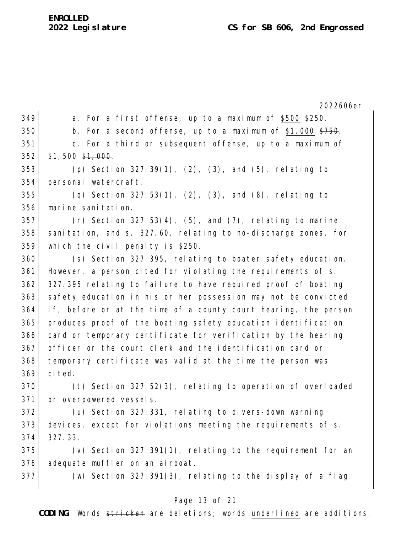2022606er 349 a. For a first offense, up to a maximum of \$500  $\frac{250}{7250}$ . 350 b. For a second offense, up to a maximum of  $$1,000$   $$750$ . 351 c. For a third or subsequent offense, up to a maximum of \$1,500  $\frac{1}{2}$ ,000. (p) Section 327.39(1), (2), (3), and (5), relating to personal watercraft. (q) Section 327.53(1), (2), (3), and (8), relating to marine sanitation. (r) Section  $327.53(4)$ ,  $(5)$ , and  $(7)$ , relating to marine sanitation, and s. 327.60, relating to no-discharge zones, for which the civil penalty is \$250. (s) Section 327.395, relating to boater safety education. 361 However, a person cited for violating the requirements of s. 362 327.395 relating to failure to have required proof of boating 363 safety education in his or her possession may not be convicted if, before or at the time of a county court hearing, the person produces proof of the boating safety education identification card or temporary certificate for verification by the hearing officer or the court clerk and the identification card or temporary certificate was valid at the time the person was cited. 370 (t) Section 327.52(3), relating to operation of overloaded 371 or overpowered vessels. (u) Section 327.331, relating to divers-down warning devices, except for violations meeting the requirements of s. 327.33. (v) Section 327.391(1), relating to the requirement for an 376 adequate muffler on an airboat. (w) Section 327.391(3), relating to the display of a flag

## Page 13 of 21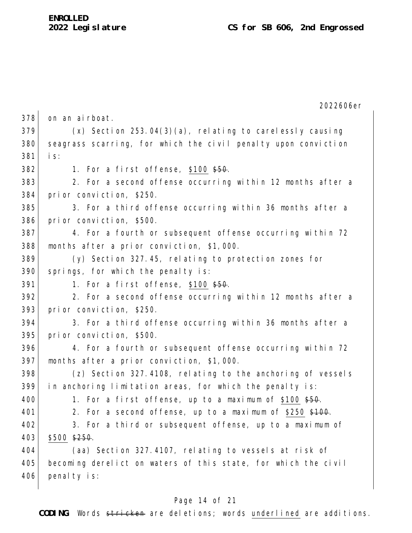2022606er 378 on an airboat.  $379$  (x) Section 253.04(3)(a), relating to carelessly causing 380 seagrass scarring, for which the civil penalty upon conviction 381 is: 382 1. For a first offense,  $$100 \frac{150}{100}$ . 383 2. For a second offense occurring within 12 months after a 384 prior conviction, \$250. 385 3. For a third offense occurring within 36 months after a 386 prior conviction, \$500. 387 4. For a fourth or subsequent offense occurring within 72 388 months after a prior conviction, \$1,000. 389 (y) Section 327.45, relating to protection zones for 390 springs, for which the penalty is: 391 1. For a first offense,  $$100$   $$50$ .  $392$  2. For a second offense occurring within 12 months after a 393 prior conviction, \$250. 394 3. For a third offense occurring within 36 months after a 395 prior conviction, \$500. 396 4. For a fourth or subsequent offense occurring within 72 397 months after a prior conviction, \$1,000. 398 (z) Section 327.4108, relating to the anchoring of vessels 399 in anchoring limitation areas, for which the penalty is: 400 1. For a first offense, up to a maximum of \$100  $$50$ . 401 2. For a second offense, up to a maximum of  $$250$   $$100$ . 402 3. For a third or subsequent offense, up to a maximum of  $403$  \$500 \$250. 404 (aa) Section 327.4107, relating to vessels at risk of 405 becoming derelict on waters of this state, for which the civil 406 penalty is:

#### Page 14 of 21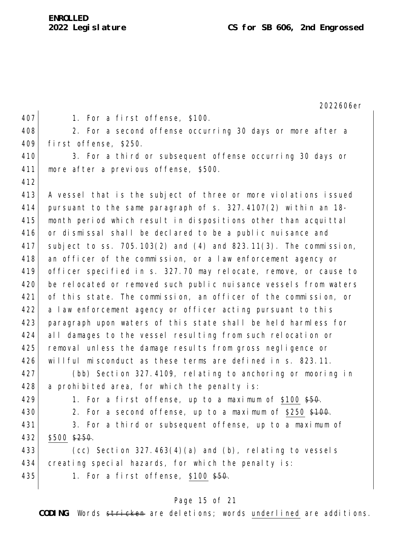2022606er

| 407 | 1. For a first offense, \$100.                                          |
|-----|-------------------------------------------------------------------------|
| 408 | 2. For a second offense occurring 30 days or more after a               |
| 409 | first offense, \$250.                                                   |
| 410 | 3. For a third or subsequent offense occurring 30 days or               |
| 411 | more after a previous offense, \$500.                                   |
| 412 |                                                                         |
| 413 | A vessel that is the subject of three or more violations issued         |
| 414 | pursuant to the same paragraph of $s. 327.4107(2)$ within an 18-        |
| 415 | month period which result in dispositions other than acquittal          |
| 416 | or dismissal shall be declared to be a public nuisance and              |
| 417 | subject to ss. $705.103(2)$ and $(4)$ and $823.11(3)$ . The commission, |
| 418 | an officer of the commission, or a law enforcement agency or            |
| 419 | officer specified in s. 327.70 may relocate, remove, or cause to        |
| 420 | be relocated or removed such public nuisance vessels from waters        |
| 421 | of this state. The commission, an officer of the commission, or         |
| 422 | a law enforcement agency or officer acting pursuant to this             |
| 423 | paragraph upon waters of this state shall be held harmless for          |
| 424 | all damages to the vessel resulting from such relocation or             |
| 425 | removal unless the damage results from gross negligence or              |
| 426 | willful misconduct as these terms are defined in s. 823.11.             |
| 427 | (bb) Section 327.4109, relating to anchoring or mooring in              |
| 428 | a prohibited area, for which the penalty is:                            |
| 429 | 1. For a first offense, up to a maximum of \$100 \$50.                  |
| 430 | 2. For a second offense, up to a maximum of \$250 \$100.                |
| 431 | 3. For a third or subsequent offense, up to a maximum of                |
| 432 | $$500$ $$250$ .                                                         |
| 433 | (cc) Section $327.463(4)(a)$ and (b), relating to vessels               |
| 434 | creating special hazards, for which the penalty is:                     |
| 435 | 1. For a first offense, \$100 \$50.                                     |
|     |                                                                         |
|     |                                                                         |

# Page 15 of 21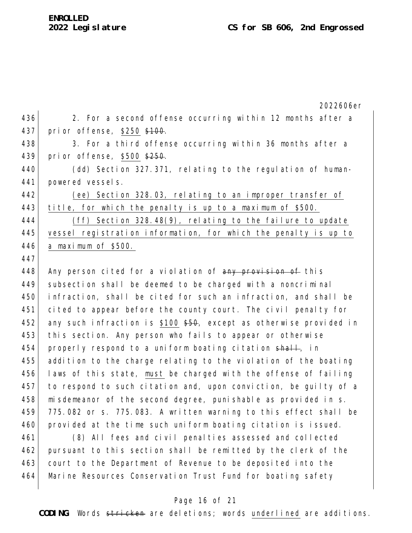|     | 2022606er                                                          |
|-----|--------------------------------------------------------------------|
| 436 | 2. For a second offense occurring within 12 months after a         |
| 437 | prior offense, \$250 \$100.                                        |
| 438 | 3. For a third offense occurring within 36 months after a          |
| 439 | prior offense, \$500 \$250.                                        |
| 440 | (dd) Section 327.371, relating to the regulation of human-         |
| 441 | powered vessels.                                                   |
| 442 | (ee) Section 328.03, relating to an improper transfer of           |
| 443 | title, for which the penalty is up to a maximum of \$500.          |
| 444 | (ff) Section $328.48(9)$ , relating to the failure to update       |
| 445 | vessel registration information, for which the penalty is up to    |
| 446 | a maximum of \$500.                                                |
| 447 |                                                                    |
| 448 | Any person cited for a violation of any provision of this          |
| 449 | subsection shall be deemed to be charged with a noncriminal        |
| 450 | infraction, shall be cited for such an infraction, and shall be    |
| 451 | cited to appear before the county court. The civil penalty for     |
| 452 | any such infraction is \$100 \$50, except as otherwise provided in |
| 453 | this section. Any person who fails to appear or otherwise          |
| 454 | properly respond to a uniform boating citation shall, in           |
| 455 | addition to the charge relating to the violation of the boating    |
| 456 | laws of this state, must be charged with the offense of failing    |
| 457 | to respond to such citation and, upon conviction, be guilty of a   |
| 458 | misdemeanor of the second degree, punishable as provided in s.     |
| 459 | 775.082 or s. 775.083. A written warning to this effect shall be   |
| 460 | provided at the time such uniform boating citation is issued.      |
| 461 | (8) All fees and civil penalties assessed and collected            |

462 pursuant to this section shall be remitted by the clerk of the 463 court to the Department of Revenue to be deposited into the 464 Marine Resources Conservation Trust Fund for boating safety

# Page 16 of 21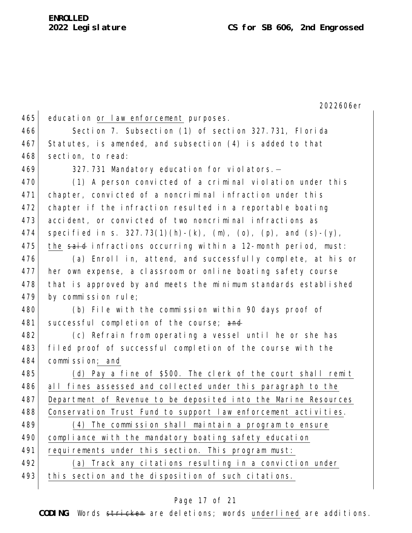2022606er 465 education or law enforcement purposes. 466 Section 7. Subsection (1) of section 327.731, Florida 467 Statutes, is amended, and subsection (4) is added to that 468 section, to read: 469 327.731 Mandatory education for violators.— 470 (1) A person convicted of a criminal violation under this 471 chapter, convicted of a noncriminal infraction under this 472 chapter if the infraction resulted in a reportable boating 473 accident, or convicted of two noncriminal infractions as 474 specified in s. 327.73(1)(h)-(k), (m), (o), (p), and (s)-(y), 475 the said infractions occurring within a 12-month period, must: 476 (a) Enroll in, attend, and successfully complete, at his or 477 her own expense, a classroom or online boating safety course 478 that is approved by and meets the minimum standards established 479 by commission rule; 480 (b) File with the commission within 90 days proof of 481 successful completion of the course; and 482 (c) Refrain from operating a vessel until he or she has 483 filed proof of successful completion of the course with the 484 commission; and 485 (d) Pay a fine of \$500. The clerk of the court shall remit 486 all fines assessed and collected under this paragraph to the 487 Department of Revenue to be deposited into the Marine Resources 488 Conservation Trust Fund to support law enforcement activities. 489 (4) The commission shall maintain a program to ensure 490 compliance with the mandatory boating safety education 491 requirements under this section. This program must: 492 (a) Track any citations resulting in a conviction under 493 this section and the disposition of such citations.

### Page 17 of 21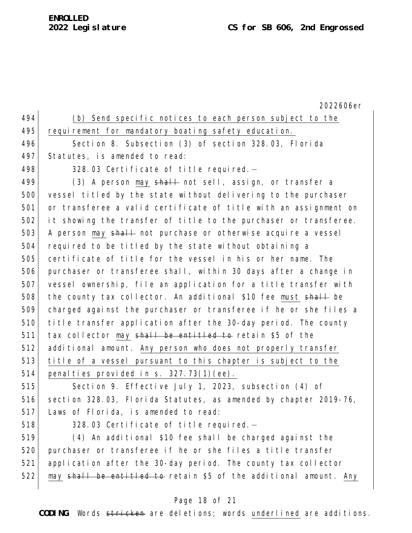# **ENROLLED**

2022606er 494 (b) Send specific notices to each person subject to the 495 requirement for mandatory boating safety education. 496 Section 8. Subsection (3) of section 328.03, Florida 497 Statutes, is amended to read: 498  $\vert$  328.03 Certificate of title required. 499  $(3)$  A person may  $\frac{1}{2}$  not sell, assign, or transfer a 500 vessel titled by the state without delivering to the purchaser 501 or transferee a valid certificate of title with an assignment on 502 it showing the transfer of title to the purchaser or transferee. 503 A person may shall not purchase or otherwise acquire a vessel 504 required to be titled by the state without obtaining a 505 certificate of title for the vessel in his or her name. The 506 purchaser or transferee shall, within 30 days after a change in 507 vessel ownership, file an application for a title transfer with 508 the county tax collector. An additional \$10 fee must  $shall$  be 509 charged against the purchaser or transferee if he or she files a 510 title transfer application after the 30-day period. The county  $511$  tax collector may shall be entitled to retain \$5 of the

512 additional amount. Any person who does not properly transfer 513 title of a vessel pursuant to this chapter is subject to the 514 penalties provided in s.  $327.73(1)(ee)$ .

515 Section 9. Effective July 1, 2023, subsection (4) of 516 section 328.03, Florida Statutes, as amended by chapter 2019-76, 517 Laws of Florida, is amended to read:

518 328.03 Certificate of title required.-

519 (4) An additional \$10 fee shall be charged against the 520 purchaser or transferee if he or she files a title transfer 521 application after the 30-day period. The county tax collector 522 may shall be entitled to retain \$5 of the additional amount. Any

# Page 18 of 21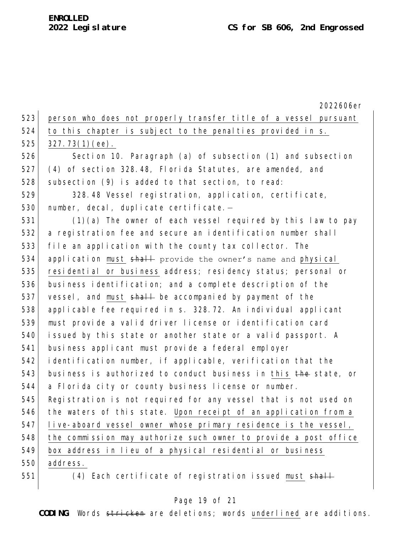2022606er 523 person who does not properly transfer title of a vessel pursuant 524 to this chapter is subject to the penalties provided in s.  $525$  327.73(1)(ee). 526 Section 10. Paragraph (a) of subsection (1) and subsection 527 (4) of section 328.48, Florida Statutes, are amended, and 528 subsection (9) is added to that section, to read: 529 328.48 Vessel registration, application, certificate, 530 number, decal, duplicate certificate.-531 (1)(a) The owner of each vessel required by this law to pay 532 a registration fee and secure an identification number shall 533 file an application with the county tax collector. The 534 application must shall provide the owner's name and physical 535 residential or business address; residency status; personal or 536 business identification; and a complete description of the 537 vessel, and must shall be accompanied by payment of the 538 applicable fee required in s. 328.72. An individual applicant 539 must provide a valid driver license or identification card 540 issued by this state or another state or a valid passport. A 541 business applicant must provide a federal employer 542 identification number, if applicable, verification that the 543 business is authorized to conduct business in this the state, or 544 a Florida city or county business license or number. 545 Registration is not required for any vessel that is not used on 546 the waters of this state. Upon receipt of an application from a 547 live-aboard vessel owner whose primary residence is the vessel, 548 the commission may authorize such owner to provide a post office 549 box address in lieu of a physical residential or business 550 address. 551 (4) Each certificate of registration issued must shall

#### Page 19 of 21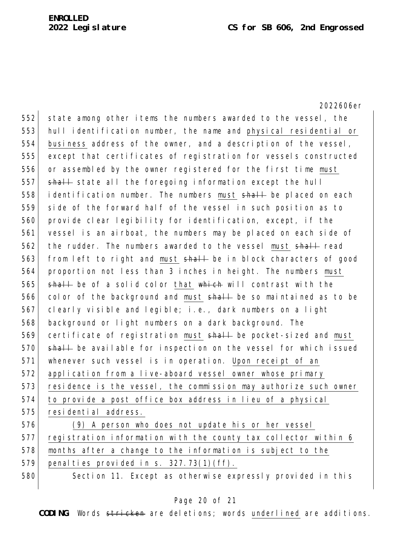2022606er 552 state among other items the numbers awarded to the vessel, the 553 hull identification number, the name and physical residential or 554 business address of the owner, and a description of the vessel, 555 except that certificates of registration for vessels constructed 556 or assembled by the owner registered for the first time must 557 shall state all the foregoing information except the hull 558 identification number. The numbers must shall be placed on each 559 side of the forward half of the vessel in such position as to 560 provide clear legibility for identification, except, if the 561 vessel is an airboat, the numbers may be placed on each side of 562 the rudder. The numbers awarded to the vessel must shall read 563 from left to right and must shall be in block characters of good 564 proportion not less than 3 inches in height. The numbers must 565  $\frac{1}{1}$  shall be of a solid color that which will contrast with the 566 color of the background and must shall be so maintained as to be 567 clearly visible and legible; i.e., dark numbers on a light 568 background or light numbers on a dark background. The 569 certificate of registration must shall be pocket-sized and must 570 shall be available for inspection on the vessel for which issued 571 whenever such vessel is in operation. Upon receipt of an 572 application from a live-aboard vessel owner whose primary 573 residence is the vessel, the commission may authorize such owner 574 to provide a post office box address in lieu of a physical 575 residential address.

576 (9) A person who does not update his or her vessel 577 registration information with the county tax collector within 6 578 months after a change to the information is subject to the 579 penalties provided in s.  $327.73(1)(ff)$ .

580 Section 11. Except as otherwise expressly provided in this

## Page 20 of 21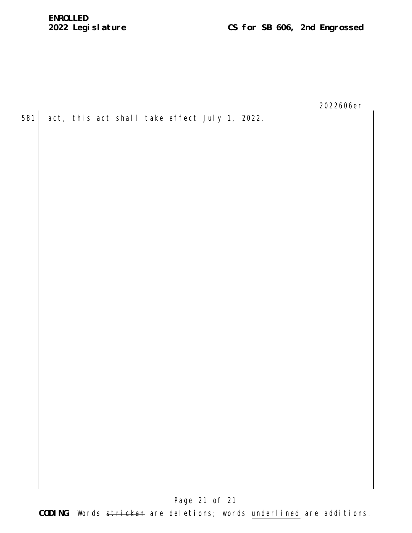2022606er

581 act, this act shall take effect July 1, 2022.

Page 21 of 21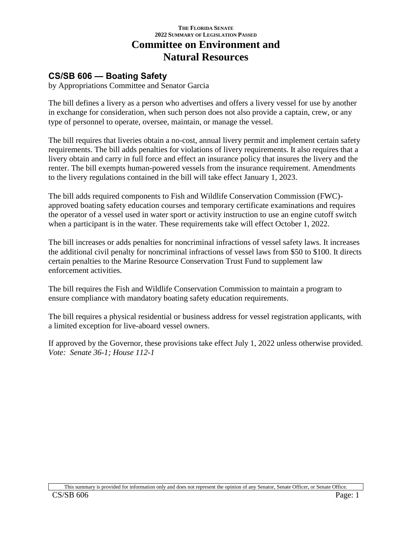# **THE FLORIDA SENATE 2022 SUMMARY OF LEGISLATION PASSED Committee on Environment and Natural Resources**

# **CS/SB 606 — Boating Safety**

by Appropriations Committee and Senator Garcia

The bill defines a livery as a person who advertises and offers a livery vessel for use by another in exchange for consideration, when such person does not also provide a captain, crew, or any type of personnel to operate, oversee, maintain, or manage the vessel.

The bill requires that liveries obtain a no-cost, annual livery permit and implement certain safety requirements. The bill adds penalties for violations of livery requirements. It also requires that a livery obtain and carry in full force and effect an insurance policy that insures the livery and the renter. The bill exempts human-powered vessels from the insurance requirement. Amendments to the livery regulations contained in the bill will take effect January 1, 2023.

The bill adds required components to Fish and Wildlife Conservation Commission (FWC) approved boating safety education courses and temporary certificate examinations and requires the operator of a vessel used in water sport or activity instruction to use an engine cutoff switch when a participant is in the water. These requirements take will effect October 1, 2022.

The bill increases or adds penalties for noncriminal infractions of vessel safety laws. It increases the additional civil penalty for noncriminal infractions of vessel laws from \$50 to \$100. It directs certain penalties to the Marine Resource Conservation Trust Fund to supplement law enforcement activities.

The bill requires the Fish and Wildlife Conservation Commission to maintain a program to ensure compliance with mandatory boating safety education requirements.

The bill requires a physical residential or business address for vessel registration applicants, with a limited exception for live-aboard vessel owners.

If approved by the Governor, these provisions take effect July 1, 2022 unless otherwise provided. *Vote: Senate 36-1; House 112-1*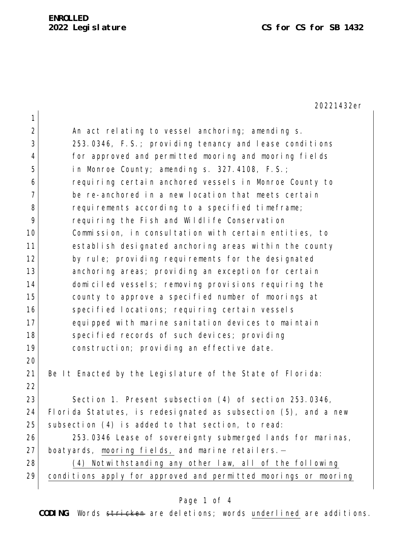20221432er

| $\mathbf 1$    |                                                                 |
|----------------|-----------------------------------------------------------------|
| 2              | An act relating to vessel anchoring; amending s.                |
| 3              | 253.0346, F.S.; providing tenancy and lease conditions          |
| $\overline{4}$ | for approved and permitted mooring and mooring fields           |
| 5              | in Monroe County; amending s. 327.4108, F.S.;                   |
| 6              | requiring certain anchored vessels in Monroe County to          |
| 7              | be re-anchored in a new location that meets certain             |
| 8              | requirements according to a specified timeframe;                |
| 9              | requiring the Fish and Wildlife Conservation                    |
| 10             | Commission, in consultation with certain entities, to           |
| 11             | establish designated anchoring areas within the county          |
| 12             | by rule; providing requirements for the designated              |
| 13             | anchoring areas; providing an exception for certain             |
| 14             | domiciled vessels; removing provisions requiring the            |
| 15             | county to approve a specified number of moorings at             |
| 16             | specified locations; requiring certain vessels                  |
| 17             | equipped with marine sanitation devices to maintain             |
| 18             | specified records of such devices; providing                    |
| 19             | construction; providing an effective date.                      |
| 20             |                                                                 |
| 21             | Be It Enacted by the Legislature of the State of Florida:       |
| 22             |                                                                 |
| 23             | Section 1. Present subsection (4) of section 253.0346,          |
| 24             | Florida Statutes, is redesignated as subsection (5), and a new  |
| 25             | subsection (4) is added to that section, to read:               |
| 26             | 253.0346 Lease of sovereignty submerged lands for marinas,      |
| 27             | boatyards, mooring fields, and marine retailers.-               |
| 28             | (4) Notwithstanding any other law, all of the following         |
| 29             | conditions apply for approved and permitted moorings or mooring |
|                |                                                                 |

# Page 1 of 4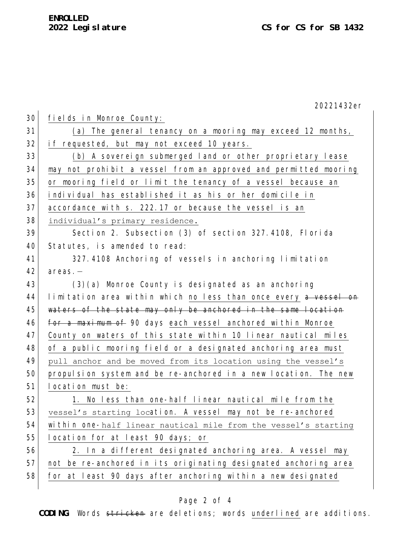|    | 20221432er                                                       |
|----|------------------------------------------------------------------|
| 30 | fields in Monroe County:                                         |
| 31 | (a) The general tenancy on a mooring may exceed 12 months,       |
| 32 | if requested, but may not exceed 10 years.                       |
| 33 | (b) A sovereign submerged land or other proprietary lease        |
| 34 | may not prohibit a vessel from an approved and permitted mooring |
| 35 | or mooring field or limit the tenancy of a vessel because an     |
| 36 | individual has established it as his or her domicile in          |
| 37 | accordance with s. 222.17 or because the vessel is an            |
| 38 | individual's primary residence.                                  |
| 39 | Section 2. Subsection (3) of section 327.4108, Florida           |
| 40 | Statutes, is amended to read:                                    |
| 41 | 327.4108 Anchoring of vessels in anchoring limitation            |
| 42 | $area. -$                                                        |
| 43 | $(3)(a)$ Monroe County is designated as an anchoring             |
| 44 | limitation area within which no less than once every a vessel on |
| 45 | waters of the state may only be anchored in the same location    |
| 46 | for a maximum of 90 days each vessel anchored within Monroe      |
| 47 | County on waters of this state within 10 linear nautical miles   |
| 48 | of a public mooring field or a designated anchoring area must    |
| 49 | pull anchor and be moved from its location using the vessel's    |
| 50 | propulsion system and be re-anchored in a new location. The new  |
| 51 | location must be:                                                |
| 52 | 1. No less than one-half linear nautical mile from the           |
| 53 | vessel's starting location. A vessel may not be re-anchored      |
| 54 | within one-half linear nautical mile from the vessel's starting  |
| 55 | location for at least 90 days; or                                |
| 56 | 2. In a different designated anchoring area. A vessel may        |
| 57 | not be re-anchored in its originating designated anchoring area  |
| 58 | for at least 90 days after anchoring within a new designated     |
|    |                                                                  |

# Page 2 of 4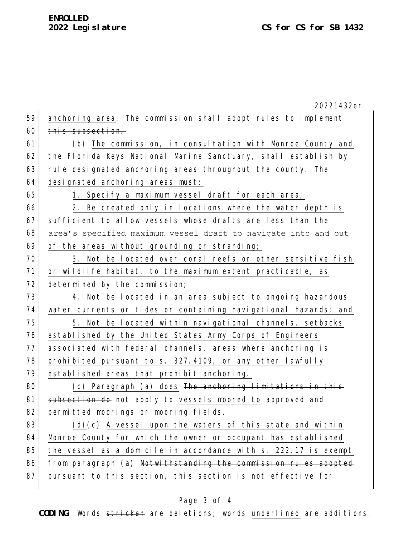|    | 20221432er                                                      |
|----|-----------------------------------------------------------------|
| 59 | anchoring area. The commission shall adopt rules to implement   |
| 60 | this subsection.                                                |
| 61 | (b) The commission, in consultation with Monroe County and      |
| 62 | the Florida Keys National Marine Sanctuary, shall establish by  |
| 63 | rule designated anchoring areas throughout the county. The      |
| 64 | designated anchoring areas must:                                |
| 65 | 1. Specify a maximum vessel draft for each area;                |
| 66 | 2. Be created only in locations where the water depth is        |
| 67 | sufficient to allow vessels whose drafts are less than the      |
| 68 | area's specified maximum vessel draft to navigate into and out  |
| 69 | of the areas without grounding or stranding;                    |
| 70 | 3. Not be located over coral reefs or other sensitive fish      |
| 71 | or wildlife habitat, to the maximum extent practicable, as      |
| 72 | determined by the commission;                                   |
| 73 | 4. Not be located in an area subject to ongoing hazardous       |
| 74 | water currents or tides or containing navigational hazards; and |
| 75 | 5. Not be located within navigational channels, setbacks        |
| 76 | established by the United States Army Corps of Engineers        |
| 77 | associated with federal channels, areas where anchoring is      |
| 78 | prohibited pursuant to s. 327.4109, or any other lawfully       |
| 79 | established areas that prohibit anchoring.                      |
| 80 | (c) Paragraph (a) does The anchoring limitations in this        |
| 81 | subsection do not apply to vessels moored to approved and       |
| 82 | permitted moorings or mooring fields.                           |
| 83 | $(d)$ + $e$ + A vessel upon the waters of this state and within |
| 84 | Monroe County for which the owner or occupant has established   |
| 85 | the vessel as a domicile in accordance with s. 222.17 is exempt |
| 86 | from paragraph (a) Notwithstanding the commission rules adopted |
| 87 | pursuant to this section, this section is not effective for     |
|    |                                                                 |

# Page 3 of 4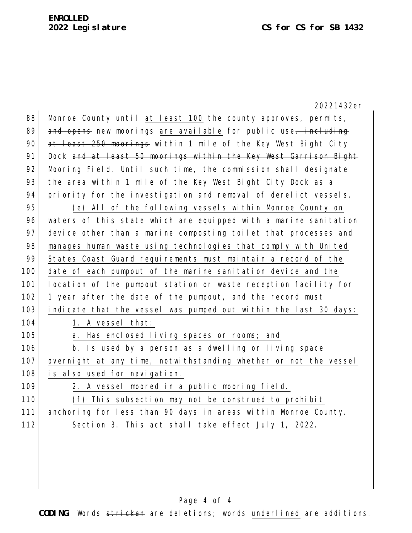| 20221432er                                                       |
|------------------------------------------------------------------|
| Monroe County until at least 100 the county approves, permits,   |
| and opens new moorings are available for public use, including   |
| at least 250 moorings within 1 mile of the Key West Bight City   |
| Dock and at least 50 moorings within the Key West Garrison Bight |
| Mooring Field. Until such time, the commission shall designate   |
| the area within 1 mile of the Key West Bight City Dock as a      |
| priority for the investigation and removal of derelict vessels.  |
| (e) All of the following vessels within Monroe County on         |
| waters of this state which are equipped with a marine sanitation |
| device other than a marine composting toilet that processes and  |
| manages human waste using technologies that comply with United   |
| States Coast Guard requirements must maintain a record of the    |
| date of each pumpout of the marine sanitation device and the     |
| location of the pumpout station or waste reception facility for  |
| 1 year after the date of the pumpout, and the record must        |
| indicate that the vessel was pumped out within the last 30 days: |
| 1. A vessel that:                                                |
| a. Has enclosed living spaces or rooms; and                      |
| b. Is used by a person as a dwelling or living space             |
| overnight at any time, notwithstanding whether or not the vessel |
| is also used for navigation.                                     |
| 2. A vessel moored in a public mooring field.                    |
| (f) This subsection may not be construed to prohibit             |
| anchoring for less than 90 days in areas within Monroe County.   |
| Section 3. This act shall take effect July 1, 2022.              |
|                                                                  |
|                                                                  |

# Page 4 of 4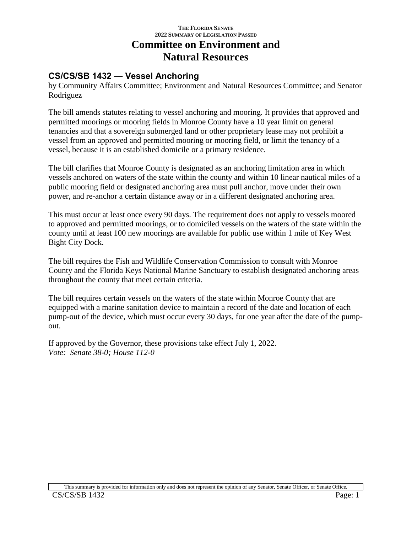# **THE FLORIDA SENATE 2022 SUMMARY OF LEGISLATION PASSED Committee on Environment and Natural Resources**

# **CS/CS/SB 1432 — Vessel Anchoring**

by Community Affairs Committee; Environment and Natural Resources Committee; and Senator Rodriguez

The bill amends statutes relating to vessel anchoring and mooring. It provides that approved and permitted moorings or mooring fields in Monroe County have a 10 year limit on general tenancies and that a sovereign submerged land or other proprietary lease may not prohibit a vessel from an approved and permitted mooring or mooring field, or limit the tenancy of a vessel, because it is an established domicile or a primary residence.

The bill clarifies that Monroe County is designated as an anchoring limitation area in which vessels anchored on waters of the state within the county and within 10 linear nautical miles of a public mooring field or designated anchoring area must pull anchor, move under their own power, and re-anchor a certain distance away or in a different designated anchoring area.

This must occur at least once every 90 days. The requirement does not apply to vessels moored to approved and permitted moorings, or to domiciled vessels on the waters of the state within the county until at least 100 new moorings are available for public use within 1 mile of Key West Bight City Dock.

The bill requires the Fish and Wildlife Conservation Commission to consult with Monroe County and the Florida Keys National Marine Sanctuary to establish designated anchoring areas throughout the county that meet certain criteria.

The bill requires certain vessels on the waters of the state within Monroe County that are equipped with a marine sanitation device to maintain a record of the date and location of each pump-out of the device, which must occur every 30 days, for one year after the date of the pumpout.

If approved by the Governor, these provisions take effect July 1, 2022. *Vote: Senate 38-0; House 112-0*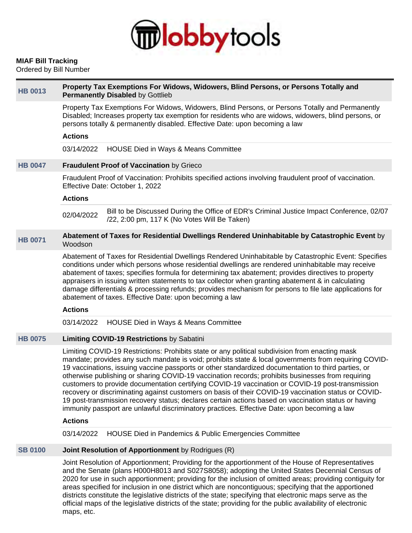

# **MIAF Bill Tracking**

Ordered by Bill Number

| <b>HB 0013</b> | Property Tax Exemptions For Widows, Widowers, Blind Persons, or Persons Totally and<br><b>Permanently Disabled by Gottlieb</b>                                                                                                                                                                                                                                                                                                                                                                                                                                                                                                                                                                                                                                                                                                                             |
|----------------|------------------------------------------------------------------------------------------------------------------------------------------------------------------------------------------------------------------------------------------------------------------------------------------------------------------------------------------------------------------------------------------------------------------------------------------------------------------------------------------------------------------------------------------------------------------------------------------------------------------------------------------------------------------------------------------------------------------------------------------------------------------------------------------------------------------------------------------------------------|
|                | Property Tax Exemptions For Widows, Widowers, Blind Persons, or Persons Totally and Permanently<br>Disabled; Increases property tax exemption for residents who are widows, widowers, blind persons, or<br>persons totally & permanently disabled. Effective Date: upon becoming a law                                                                                                                                                                                                                                                                                                                                                                                                                                                                                                                                                                     |
|                | <b>Actions</b>                                                                                                                                                                                                                                                                                                                                                                                                                                                                                                                                                                                                                                                                                                                                                                                                                                             |
|                | 03/14/2022<br>HOUSE Died in Ways & Means Committee                                                                                                                                                                                                                                                                                                                                                                                                                                                                                                                                                                                                                                                                                                                                                                                                         |
| <b>HB 0047</b> | Fraudulent Proof of Vaccination by Grieco                                                                                                                                                                                                                                                                                                                                                                                                                                                                                                                                                                                                                                                                                                                                                                                                                  |
|                | Fraudulent Proof of Vaccination: Prohibits specified actions involving fraudulent proof of vaccination.<br>Effective Date: October 1, 2022                                                                                                                                                                                                                                                                                                                                                                                                                                                                                                                                                                                                                                                                                                                 |
|                | <b>Actions</b>                                                                                                                                                                                                                                                                                                                                                                                                                                                                                                                                                                                                                                                                                                                                                                                                                                             |
|                | Bill to be Discussed During the Office of EDR's Criminal Justice Impact Conference, 02/07<br>02/04/2022<br>/22, 2:00 pm, 117 K (No Votes Will Be Taken)                                                                                                                                                                                                                                                                                                                                                                                                                                                                                                                                                                                                                                                                                                    |
| <b>HB 0071</b> | Abatement of Taxes for Residential Dwellings Rendered Uninhabitable by Catastrophic Event by<br>Woodson                                                                                                                                                                                                                                                                                                                                                                                                                                                                                                                                                                                                                                                                                                                                                    |
|                | Abatement of Taxes for Residential Dwellings Rendered Uninhabitable by Catastrophic Event: Specifies<br>conditions under which persons whose residential dwellings are rendered uninhabitable may receive<br>abatement of taxes; specifies formula for determining tax abatement; provides directives to property<br>appraisers in issuing written statements to tax collector when granting abatement & in calculating<br>damage differentials & processing refunds; provides mechanism for persons to file late applications for<br>abatement of taxes. Effective Date: upon becoming a law<br><b>Actions</b>                                                                                                                                                                                                                                            |
|                |                                                                                                                                                                                                                                                                                                                                                                                                                                                                                                                                                                                                                                                                                                                                                                                                                                                            |
|                | HOUSE Died in Ways & Means Committee<br>03/14/2022                                                                                                                                                                                                                                                                                                                                                                                                                                                                                                                                                                                                                                                                                                                                                                                                         |
| <b>HB 0075</b> | Limiting COVID-19 Restrictions by Sabatini                                                                                                                                                                                                                                                                                                                                                                                                                                                                                                                                                                                                                                                                                                                                                                                                                 |
|                | Limiting COVID-19 Restrictions: Prohibits state or any political subdivision from enacting mask<br>mandate; provides any such mandate is void; prohibits state & local governments from requiring COVID-<br>19 vaccinations, issuing vaccine passports or other standardized documentation to third parties, or<br>otherwise publishing or sharing COVID-19 vaccination records; prohibits businesses from requiring<br>customers to provide documentation certifying COVID-19 vaccination or COVID-19 post-transmission<br>recovery or discriminating against customers on basis of their COVID-19 vaccination status or COVID-<br>19 post-transmission recovery status; declares certain actions based on vaccination status or having<br>immunity passport are unlawful discriminatory practices. Effective Date: upon becoming a law<br><b>Actions</b> |
|                | HOUSE Died in Pandemics & Public Emergencies Committee<br>03/14/2022                                                                                                                                                                                                                                                                                                                                                                                                                                                                                                                                                                                                                                                                                                                                                                                       |
| <b>SB 0100</b> | Joint Resolution of Apportionment by Rodrigues (R)                                                                                                                                                                                                                                                                                                                                                                                                                                                                                                                                                                                                                                                                                                                                                                                                         |
|                |                                                                                                                                                                                                                                                                                                                                                                                                                                                                                                                                                                                                                                                                                                                                                                                                                                                            |
|                | Joint Resolution of Apportionment; Providing for the apportionment of the House of Representatives<br>and the Senate (plans H000H8013 and S027S8058); adopting the United States Decepnial Census of                                                                                                                                                                                                                                                                                                                                                                                                                                                                                                                                                                                                                                                       |

and the Senate (plans H000H8013 and S027S8058); adopting the United States Decennial Census of 2020 for use in such apportionment; providing for the inclusion of omitted areas; providing contiguity for areas specified for inclusion in one district which are noncontiguous; specifying that the apportioned districts constitute the legislative districts of the state; specifying that electronic maps serve as the official maps of the legislative districts of the state; providing for the public availability of electronic maps, etc.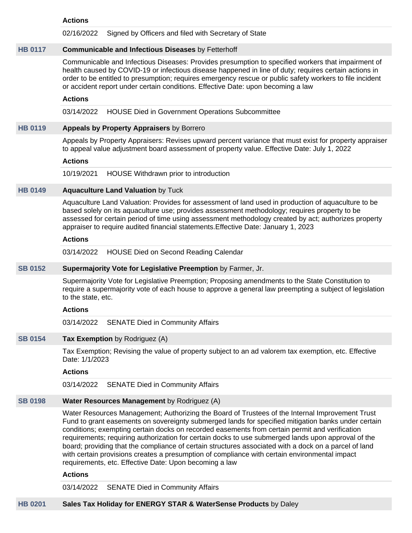#### **Actions**

02/16/2022 Signed by Officers and filed with Secretary of State

#### **[HB 0117](https://public.lobbytools.com/bills/59551) Communicable and Infectious Diseases** by Fetterhoff

Communicable and Infectious Diseases: Provides presumption to specified workers that impairment of health caused by COVID-19 or infectious disease happened in line of duty; requires certain actions in order to be entitled to presumption; requires emergency rescue or public safety workers to file incident or accident report under certain conditions. Effective Date: upon becoming a law

#### **Actions**

03/14/2022 HOUSE Died in Government Operations Subcommittee

#### **[HB 0119](https://public.lobbytools.com/bills/59555) Appeals by Property Appraisers** by Borrero

Appeals by Property Appraisers: Revises upward percent variance that must exist for property appraiser to appeal value adjustment board assessment of property value. Effective Date: July 1, 2022

#### **Actions**

10/19/2021 HOUSE Withdrawn prior to introduction

#### **[HB 0149](https://public.lobbytools.com/bills/59586) Aquaculture Land Valuation** by Tuck

Aquaculture Land Valuation: Provides for assessment of land used in production of aquaculture to be based solely on its aquaculture use; provides assessment methodology; requires property to be assessed for certain period of time using assessment methodology created by act; authorizes property appraiser to require audited financial statements.Effective Date: January 1, 2023

#### **Actions**

03/14/2022 HOUSE Died on Second Reading Calendar

#### **[SB 0152](https://public.lobbytools.com/bills/59493) Supermajority Vote for Legislative Preemption** by Farmer, Jr.

Supermajority Vote for Legislative Preemption; Proposing amendments to the State Constitution to require a supermajority vote of each house to approve a general law preempting a subject of legislation to the state, etc.

#### **Actions**

03/14/2022 SENATE Died in Community Affairs

#### **[SB 0154](https://public.lobbytools.com/bills/59494) Tax Exemption** by Rodriguez (A)

Tax Exemption; Revising the value of property subject to an ad valorem tax exemption, etc. Effective Date: 1/1/2023

#### **Actions**

03/14/2022 SENATE Died in Community Affairs

# **[SB 0198](https://public.lobbytools.com/bills/59519) Water Resources Management** by Rodriguez (A)

Water Resources Management; Authorizing the Board of Trustees of the Internal Improvement Trust Fund to grant easements on sovereignty submerged lands for specified mitigation banks under certain conditions; exempting certain docks on recorded easements from certain permit and verification requirements; requiring authorization for certain docks to use submerged lands upon approval of the board; providing that the compliance of certain structures associated with a dock on a parcel of land with certain provisions creates a presumption of compliance with certain environmental impact requirements, etc. Effective Date: Upon becoming a law

#### **Actions**

03/14/2022 SENATE Died in Community Affairs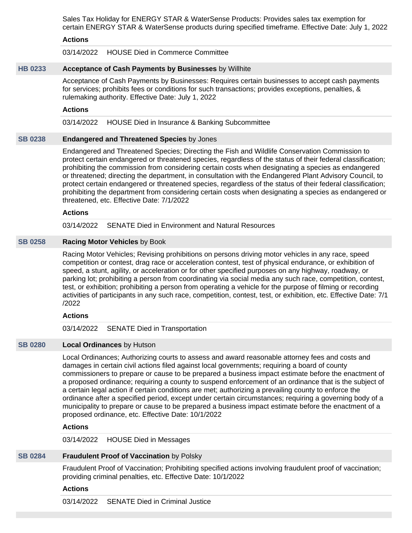Sales Tax Holiday for ENERGY STAR & WaterSense Products: Provides sales tax exemption for certain ENERGY STAR & WaterSense products during specified timeframe. Effective Date: July 1, 2022

#### **Actions**

03/14/2022 HOUSE Died in Commerce Committee

#### **[HB 0233](https://public.lobbytools.com/bills/59740) Acceptance of Cash Payments by Businesses** by Willhite

Acceptance of Cash Payments by Businesses: Requires certain businesses to accept cash payments for services; prohibits fees or conditions for such transactions; provides exceptions, penalties, & rulemaking authority. Effective Date: July 1, 2022

#### **Actions**

03/14/2022 HOUSE Died in Insurance & Banking Subcommittee

#### **[SB 0238](https://public.lobbytools.com/bills/59553) Endangered and Threatened Species** by Jones

Endangered and Threatened Species; Directing the Fish and Wildlife Conservation Commission to protect certain endangered or threatened species, regardless of the status of their federal classification; prohibiting the commission from considering certain costs when designating a species as endangered or threatened; directing the department, in consultation with the Endangered Plant Advisory Council, to protect certain endangered or threatened species, regardless of the status of their federal classification; prohibiting the department from considering certain costs when designating a species as endangered or threatened, etc. Effective Date: 7/1/2022

#### **Actions**

03/14/2022 SENATE Died in Environment and Natural Resources

#### **[SB 0258](https://public.lobbytools.com/bills/59572) Racing Motor Vehicles** by Book

Racing Motor Vehicles; Revising prohibitions on persons driving motor vehicles in any race, speed competition or contest, drag race or acceleration contest, test of physical endurance, or exhibition of speed, a stunt, agility, or acceleration or for other specified purposes on any highway, roadway, or parking lot; prohibiting a person from coordinating via social media any such race, competition, contest, test, or exhibition; prohibiting a person from operating a vehicle for the purpose of filming or recording activities of participants in any such race, competition, contest, test, or exhibition, etc. Effective Date: 7/1 /2022

#### **Actions**

03/14/2022 SENATE Died in Transportation

#### **[SB 0280](https://public.lobbytools.com/bills/59604) Local Ordinances** by Hutson

Local Ordinances; Authorizing courts to assess and award reasonable attorney fees and costs and damages in certain civil actions filed against local governments; requiring a board of county commissioners to prepare or cause to be prepared a business impact estimate before the enactment of a proposed ordinance; requiring a county to suspend enforcement of an ordinance that is the subject of a certain legal action if certain conditions are met; authorizing a prevailing county to enforce the ordinance after a specified period, except under certain circumstances; requiring a governing body of a municipality to prepare or cause to be prepared a business impact estimate before the enactment of a proposed ordinance, etc. Effective Date: 10/1/2022

#### **Actions**

03/14/2022 HOUSE Died in Messages

#### **[SB 0284](https://public.lobbytools.com/bills/59609) Fraudulent Proof of Vaccination** by Polsky

Fraudulent Proof of Vaccination; Prohibiting specified actions involving fraudulent proof of vaccination; providing criminal penalties, etc. Effective Date: 10/1/2022

#### **Actions**

03/14/2022 SENATE Died in Criminal Justice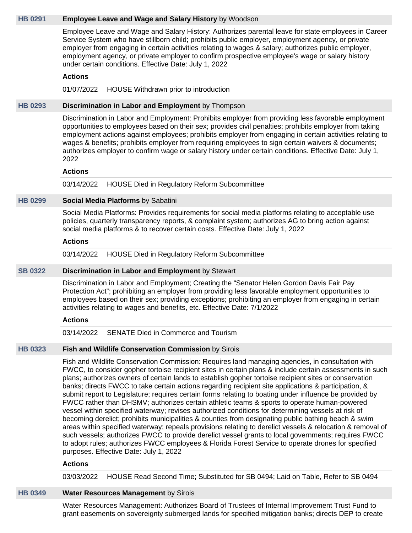#### **[HB 0291](https://public.lobbytools.com/bills/59866) Employee Leave and Wage and Salary History** by Woodson

Employee Leave and Wage and Salary History: Authorizes parental leave for state employees in Career Service System who have stillborn child; prohibits public employer, employment agency, or private employer from engaging in certain activities relating to wages & salary; authorizes public employer, employment agency, or private employer to confirm prospective employee's wage or salary history under certain conditions. Effective Date: July 1, 2022

#### **Actions**

#### 01/07/2022 HOUSE Withdrawn prior to introduction

### **[HB 0293](https://public.lobbytools.com/bills/59867) Discrimination in Labor and Employment** by Thompson

Discrimination in Labor and Employment: Prohibits employer from providing less favorable employment opportunities to employees based on their sex; provides civil penalties; prohibits employer from taking employment actions against employees; prohibits employer from engaging in certain activities relating to wages & benefits; prohibits employer from requiring employees to sign certain waivers & documents; authorizes employer to confirm wage or salary history under certain conditions. Effective Date: July 1, 2022

#### **Actions**

03/14/2022 HOUSE Died in Regulatory Reform Subcommittee

#### **[HB 0299](https://public.lobbytools.com/bills/59885) Social Media Platforms** by Sabatini

Social Media Platforms: Provides requirements for social media platforms relating to acceptable use policies, quarterly transparency reports, & complaint system; authorizes AG to bring action against social media platforms & to recover certain costs. Effective Date: July 1, 2022

#### **Actions**

03/14/2022 HOUSE Died in Regulatory Reform Subcommittee

#### **[SB 0322](https://public.lobbytools.com/bills/59639) Discrimination in Labor and Employment** by Stewart

Discrimination in Labor and Employment; Creating the "Senator Helen Gordon Davis Fair Pay Protection Act"; prohibiting an employer from providing less favorable employment opportunities to employees based on their sex; providing exceptions; prohibiting an employer from engaging in certain activities relating to wages and benefits, etc. Effective Date: 7/1/2022

#### **Actions**

03/14/2022 SENATE Died in Commerce and Tourism

#### **[HB 0323](https://public.lobbytools.com/bills/59917) Fish and Wildlife Conservation Commission** by Sirois

Fish and Wildlife Conservation Commission: Requires land managing agencies, in consultation with FWCC, to consider gopher tortoise recipient sites in certain plans & include certain assessments in such plans; authorizes owners of certain lands to establish gopher tortoise recipient sites or conservation banks; directs FWCC to take certain actions regarding recipient site applications & participation, & submit report to Legislature; requires certain forms relating to boating under influence be provided by FWCC rather than DHSMV; authorizes certain athletic teams & sports to operate human-powered vessel within specified waterway; revises authorized conditions for determining vessels at risk of becoming derelict; prohibits municipalities & counties from designating public bathing beach & swim areas within specified waterway; repeals provisions relating to derelict vessels & relocation & removal of such vessels; authorizes FWCC to provide derelict vessel grants to local governments; requires FWCC to adopt rules; authorizes FWCC employees & Florida Forest Service to operate drones for specified purposes. Effective Date: July 1, 2022

#### **Actions**

03/03/2022 HOUSE Read Second Time; Substituted for SB 0494; Laid on Table, Refer to SB 0494

#### **[HB 0349](https://public.lobbytools.com/bills/59971) Water Resources Management** by Sirois

Water Resources Management: Authorizes Board of Trustees of Internal Improvement Trust Fund to grant easements on sovereignty submerged lands for specified mitigation banks; directs DEP to create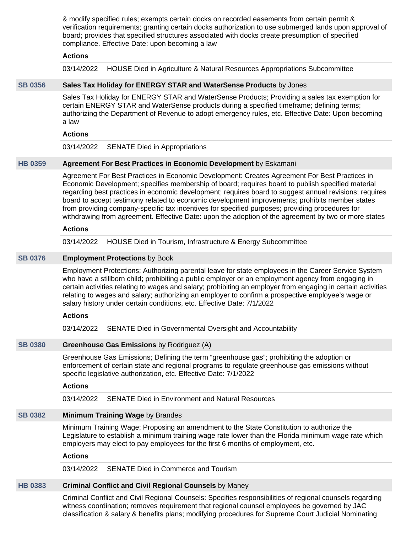& modify specified rules; exempts certain docks on recorded easements from certain permit & verification requirements; granting certain docks authorization to use submerged lands upon approval of board; provides that specified structures associated with docks create presumption of specified compliance. Effective Date: upon becoming a law

#### **Actions**

03/14/2022 HOUSE Died in Agriculture & Natural Resources Appropriations Subcommittee

#### **[SB 0356](https://public.lobbytools.com/bills/59675) Sales Tax Holiday for ENERGY STAR and WaterSense Products** by Jones

Sales Tax Holiday for ENERGY STAR and WaterSense Products; Providing a sales tax exemption for certain ENERGY STAR and WaterSense products during a specified timeframe; defining terms; authorizing the Department of Revenue to adopt emergency rules, etc. Effective Date: Upon becoming a law

#### **Actions**

03/14/2022 SENATE Died in Appropriations

#### **[HB 0359](https://public.lobbytools.com/bills/59978) Agreement For Best Practices in Economic Development** by Eskamani

Agreement For Best Practices in Economic Development: Creates Agreement For Best Practices in Economic Development; specifies membership of board; requires board to publish specified material regarding best practices in economic development; requires board to suggest annual revisions; requires board to accept testimony related to economic development improvements; prohibits member states from providing company-specific tax incentives for specified purposes; providing procedures for withdrawing from agreement. Effective Date: upon the adoption of the agreement by two or more states

#### **Actions**

03/14/2022 HOUSE Died in Tourism, Infrastructure & Energy Subcommittee

#### **[SB 0376](https://public.lobbytools.com/bills/59687) Employment Protections** by Book

Employment Protections; Authorizing parental leave for state employees in the Career Service System who have a stillborn child; prohibiting a public employer or an employment agency from engaging in certain activities relating to wages and salary; prohibiting an employer from engaging in certain activities relating to wages and salary; authorizing an employer to confirm a prospective employee's wage or salary history under certain conditions, etc. Effective Date: 7/1/2022

#### **Actions**

03/14/2022 SENATE Died in Governmental Oversight and Accountability

#### **[SB 0380](https://public.lobbytools.com/bills/59696) Greenhouse Gas Emissions** by Rodriguez (A)

Greenhouse Gas Emissions; Defining the term "greenhouse gas"; prohibiting the adoption or enforcement of certain state and regional programs to regulate greenhouse gas emissions without specific legislative authorization, etc. Effective Date: 7/1/2022

#### **Actions**

03/14/2022 SENATE Died in Environment and Natural Resources

#### **[SB 0382](https://public.lobbytools.com/bills/59697) Minimum Training Wage** by Brandes

Minimum Training Wage; Proposing an amendment to the State Constitution to authorize the Legislature to establish a minimum training wage rate lower than the Florida minimum wage rate which employers may elect to pay employees for the first 6 months of employment, etc.

#### **Actions**

03/14/2022 SENATE Died in Commerce and Tourism

# **[HB 0383](https://public.lobbytools.com/bills/60036) Criminal Conflict and Civil Regional Counsels** by Maney

Criminal Conflict and Civil Regional Counsels: Specifies responsibilities of regional counsels regarding witness coordination; removes requirement that regional counsel employees be governed by JAC classification & salary & benefits plans; modifying procedures for Supreme Court Judicial Nominating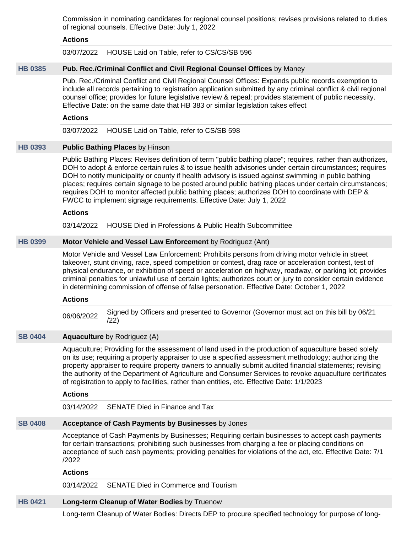Commission in nominating candidates for regional counsel positions; revises provisions related to duties of regional counsels. Effective Date: July 1, 2022

### **Actions**

03/07/2022 HOUSE Laid on Table, refer to CS/CS/SB 596

# **[HB 0385](https://public.lobbytools.com/bills/60037) Pub. Rec./Criminal Conflict and Civil Regional Counsel Offices** by Maney

Pub. Rec./Criminal Conflict and Civil Regional Counsel Offices: Expands public records exemption to include all records pertaining to registration application submitted by any criminal conflict & civil regional counsel office; provides for future legislative review & repeal; provides statement of public necessity. Effective Date: on the same date that HB 383 or similar legislation takes effect

#### **Actions**

03/07/2022 HOUSE Laid on Table, refer to CS/SB 598

# **[HB 0393](https://public.lobbytools.com/bills/60052) Public Bathing Places** by Hinson

Public Bathing Places: Revises definition of term "public bathing place"; requires, rather than authorizes, DOH to adopt & enforce certain rules & to issue health advisories under certain circumstances; requires DOH to notify municipality or county if health advisory is issued against swimming in public bathing places; requires certain signage to be posted around public bathing places under certain circumstances; requires DOH to monitor affected public bathing places; authorizes DOH to coordinate with DEP & FWCC to implement signage requirements. Effective Date: July 1, 2022

#### **Actions**

03/14/2022 HOUSE Died in Professions & Public Health Subcommittee

# **[HB 0399](https://public.lobbytools.com/bills/60062) Motor Vehicle and Vessel Law Enforcement** by Rodriguez (Ant)

Motor Vehicle and Vessel Law Enforcement: Prohibits persons from driving motor vehicle in street takeover, stunt driving, race, speed competition or contest, drag race or acceleration contest, test of physical endurance, or exhibition of speed or acceleration on highway, roadway, or parking lot; provides criminal penalties for unlawful use of certain lights; authorizes court or jury to consider certain evidence in determining commission of offense of false personation. Effective Date: October 1, 2022

#### **Actions**

06/06/2022 Signed by Officers and presented to Governor (Governor must act on this bill by 06/21 /22)

# **[SB 0404](https://public.lobbytools.com/bills/59737) Aquaculture** by Rodriguez (A)

Aquaculture; Providing for the assessment of land used in the production of aquaculture based solely on its use; requiring a property appraiser to use a specified assessment methodology; authorizing the property appraiser to require property owners to annually submit audited financial statements; revising the authority of the Department of Agriculture and Consumer Services to revoke aquaculture certificates of registration to apply to facilities, rather than entities, etc. Effective Date: 1/1/2023

#### **Actions**

03/14/2022 SENATE Died in Finance and Tax

# **[SB 0408](https://public.lobbytools.com/bills/59742) Acceptance of Cash Payments by Businesses** by Jones

Acceptance of Cash Payments by Businesses; Requiring certain businesses to accept cash payments for certain transactions; prohibiting such businesses from charging a fee or placing conditions on acceptance of such cash payments; providing penalties for violations of the act, etc. Effective Date: 7/1 /2022

#### **Actions**

03/14/2022 SENATE Died in Commerce and Tourism

# **[HB 0421](https://public.lobbytools.com/bills/60123) Long-term Cleanup of Water Bodies** by Truenow

Long-term Cleanup of Water Bodies: Directs DEP to procure specified technology for purpose of long-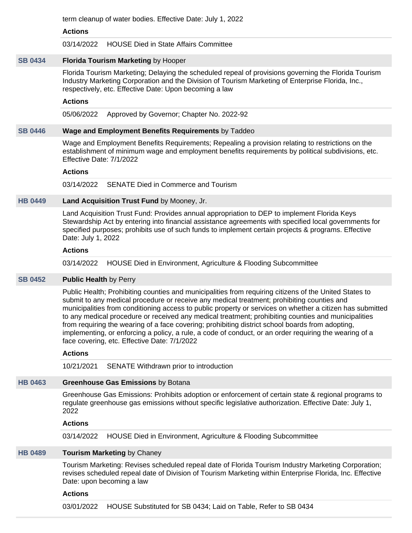term cleanup of water bodies. Effective Date: July 1, 2022

#### **Actions**

03/14/2022 HOUSE Died in State Affairs Committee

# **[SB 0434](https://public.lobbytools.com/bills/59794) Florida Tourism Marketing** by Hooper

Florida Tourism Marketing; Delaying the scheduled repeal of provisions governing the Florida Tourism Industry Marketing Corporation and the Division of Tourism Marketing of Enterprise Florida, Inc., respectively, etc. Effective Date: Upon becoming a law

### **Actions**

05/06/2022 Approved by Governor; Chapter No. 2022-92

# **[SB 0446](https://public.lobbytools.com/bills/59815) Wage and Employment Benefits Requirements** by Taddeo

Wage and Employment Benefits Requirements; Repealing a provision relating to restrictions on the establishment of minimum wage and employment benefits requirements by political subdivisions, etc. Effective Date: 7/1/2022

#### **Actions**

03/14/2022 SENATE Died in Commerce and Tourism

# **[HB 0449](https://public.lobbytools.com/bills/60268) Land Acquisition Trust Fund** by Mooney, Jr.

Land Acquisition Trust Fund: Provides annual appropriation to DEP to implement Florida Keys Stewardship Act by entering into financial assistance agreements with specified local governments for specified purposes; prohibits use of such funds to implement certain projects & programs. Effective Date: July 1, 2022

# **Actions**

03/14/2022 HOUSE Died in Environment, Agriculture & Flooding Subcommittee

# **[SB 0452](https://public.lobbytools.com/bills/59825) Public Health** by Perry

Public Health; Prohibiting counties and municipalities from requiring citizens of the United States to submit to any medical procedure or receive any medical treatment; prohibiting counties and municipalities from conditioning access to public property or services on whether a citizen has submitted to any medical procedure or received any medical treatment; prohibiting counties and municipalities from requiring the wearing of a face covering; prohibiting district school boards from adopting, implementing, or enforcing a policy, a rule, a code of conduct, or an order requiring the wearing of a face covering, etc. Effective Date: 7/1/2022

# **Actions**

10/21/2021 SENATE Withdrawn prior to introduction

# **[HB 0463](https://public.lobbytools.com/bills/60304) Greenhouse Gas Emissions** by Botana

Greenhouse Gas Emissions: Prohibits adoption or enforcement of certain state & regional programs to regulate greenhouse gas emissions without specific legislative authorization. Effective Date: July 1, 2022

#### **Actions**

03/14/2022 HOUSE Died in Environment, Agriculture & Flooding Subcommittee

# **[HB 0489](https://public.lobbytools.com/bills/60355) Tourism Marketing** by Chaney

Tourism Marketing: Revises scheduled repeal date of Florida Tourism Industry Marketing Corporation; revises scheduled repeal date of Division of Tourism Marketing within Enterprise Florida, Inc. Effective Date: upon becoming a law

#### **Actions**

03/01/2022 HOUSE Substituted for SB 0434; Laid on Table, Refer to SB 0434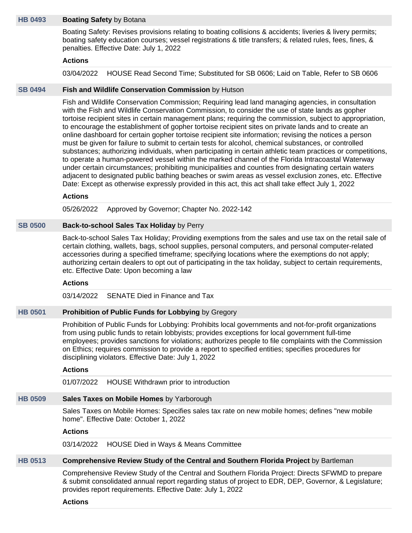#### **[HB 0493](https://public.lobbytools.com/bills/60385) Boating Safety** by Botana

Boating Safety: Revises provisions relating to boating collisions & accidents; liveries & livery permits; boating safety education courses; vessel registrations & title transfers; & related rules, fees, fines, & penalties. Effective Date: July 1, 2022

#### **Actions**

03/04/2022 HOUSE Read Second Time; Substituted for SB 0606; Laid on Table, Refer to SB 0606

#### **[SB 0494](https://public.lobbytools.com/bills/59877) Fish and Wildlife Conservation Commission** by Hutson

Fish and Wildlife Conservation Commission; Requiring lead land managing agencies, in consultation with the Fish and Wildlife Conservation Commission, to consider the use of state lands as gopher tortoise recipient sites in certain management plans; requiring the commission, subject to appropriation, to encourage the establishment of gopher tortoise recipient sites on private lands and to create an online dashboard for certain gopher tortoise recipient site information; revising the notices a person must be given for failure to submit to certain tests for alcohol, chemical substances, or controlled substances; authorizing individuals, when participating in certain athletic team practices or competitions, to operate a human-powered vessel within the marked channel of the Florida Intracoastal Waterway under certain circumstances; prohibiting municipalities and counties from designating certain waters adjacent to designated public bathing beaches or swim areas as vessel exclusion zones, etc. Effective Date: Except as otherwise expressly provided in this act, this act shall take effect July 1, 2022

#### **Actions**

05/26/2022 Approved by Governor; Chapter No. 2022-142

#### **[SB 0500](https://public.lobbytools.com/bills/59880) Back-to-school Sales Tax Holiday** by Perry

Back-to-school Sales Tax Holiday; Providing exemptions from the sales and use tax on the retail sale of certain clothing, wallets, bags, school supplies, personal computers, and personal computer-related accessories during a specified timeframe; specifying locations where the exemptions do not apply; authorizing certain dealers to opt out of participating in the tax holiday, subject to certain requirements, etc. Effective Date: Upon becoming a law

#### **Actions**

03/14/2022 SENATE Died in Finance and Tax

#### **[HB 0501](https://public.lobbytools.com/bills/60392) Prohibition of Public Funds for Lobbying** by Gregory

Prohibition of Public Funds for Lobbying: Prohibits local governments and not-for-profit organizations from using public funds to retain lobbyists; provides exceptions for local government full-time employees; provides sanctions for violations; authorizes people to file complaints with the Commission on Ethics; requires commission to provide a report to specified entities; specifies procedures for disciplining violators. Effective Date: July 1, 2022

#### **Actions**

01/07/2022 HOUSE Withdrawn prior to introduction

### **[HB 0509](https://public.lobbytools.com/bills/60404) Sales Taxes on Mobile Homes** by Yarborough

Sales Taxes on Mobile Homes: Specifies sales tax rate on new mobile homes; defines "new mobile home". Effective Date: October 1, 2022

#### **Actions**

03/14/2022 HOUSE Died in Ways & Means Committee

# **[HB 0513](https://public.lobbytools.com/bills/60409) Comprehensive Review Study of the Central and Southern Florida Project** by Bartleman

Comprehensive Review Study of the Central and Southern Florida Project: Directs SFWMD to prepare & submit consolidated annual report regarding status of project to EDR, DEP, Governor, & Legislature; provides report requirements. Effective Date: July 1, 2022

#### **Actions**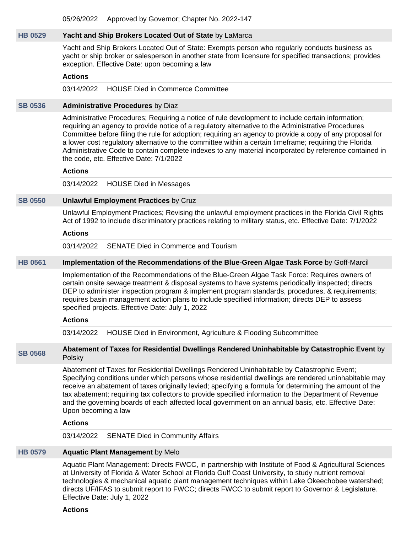05/26/2022 Approved by Governor; Chapter No. 2022-147

#### **[HB 0529](https://public.lobbytools.com/bills/60452) Yacht and Ship Brokers Located Out of State** by LaMarca

Yacht and Ship Brokers Located Out of State: Exempts person who regularly conducts business as yacht or ship broker or salesperson in another state from licensure for specified transactions; provides exception. Effective Date: upon becoming a law

#### **Actions**

03/14/2022 HOUSE Died in Commerce Committee

#### **[SB 0536](https://public.lobbytools.com/bills/59932) Administrative Procedures** by Diaz

Administrative Procedures; Requiring a notice of rule development to include certain information; requiring an agency to provide notice of a regulatory alternative to the Administrative Procedures Committee before filing the rule for adoption; requiring an agency to provide a copy of any proposal for a lower cost regulatory alternative to the committee within a certain timeframe; requiring the Florida Administrative Code to contain complete indexes to any material incorporated by reference contained in the code, etc. Effective Date: 7/1/2022

#### **Actions**

03/14/2022 HOUSE Died in Messages

#### **[SB 0550](https://public.lobbytools.com/bills/59957) Unlawful Employment Practices** by Cruz

Unlawful Employment Practices; Revising the unlawful employment practices in the Florida Civil Rights Act of 1992 to include discriminatory practices relating to military status, etc. Effective Date: 7/1/2022

#### **Actions**

03/14/2022 SENATE Died in Commerce and Tourism

# **[HB 0561](https://public.lobbytools.com/bills/60531) Implementation of the Recommendations of the Blue-Green Algae Task Force** by Goff-Marcil

Implementation of the Recommendations of the Blue-Green Algae Task Force: Requires owners of certain onsite sewage treatment & disposal systems to have systems periodically inspected; directs DEP to administer inspection program & implement program standards, procedures, & requirements; requires basin management action plans to include specified information; directs DEP to assess specified projects. Effective Date: July 1, 2022

#### **Actions**

03/14/2022 HOUSE Died in Environment, Agriculture & Flooding Subcommittee

**[SB 0568](https://public.lobbytools.com/bills/60014) Abatement of Taxes for Residential Dwellings Rendered Uninhabitable by Catastrophic Event** by Polsky

> Abatement of Taxes for Residential Dwellings Rendered Uninhabitable by Catastrophic Event; Specifying conditions under which persons whose residential dwellings are rendered uninhabitable may receive an abatement of taxes originally levied; specifying a formula for determining the amount of the tax abatement; requiring tax collectors to provide specified information to the Department of Revenue and the governing boards of each affected local government on an annual basis, etc. Effective Date: Upon becoming a law

# **Actions**

03/14/2022 SENATE Died in Community Affairs

#### **[HB 0579](https://public.lobbytools.com/bills/60594) Aquatic Plant Management** by Melo

Aquatic Plant Management: Directs FWCC, in partnership with Institute of Food & Agricultural Sciences at University of Florida & Water School at Florida Gulf Coast University, to study nutrient removal technologies & mechanical aquatic plant management techniques within Lake Okeechobee watershed; directs UF/IFAS to submit report to FWCC; directs FWCC to submit report to Governor & Legislature. Effective Date: July 1, 2022

#### **Actions**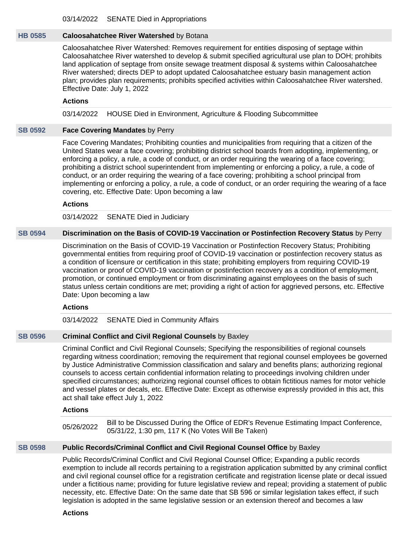# **[HB 0585](https://public.lobbytools.com/bills/60605) Caloosahatchee River Watershed** by Botana

Caloosahatchee River Watershed: Removes requirement for entities disposing of septage within Caloosahatchee River watershed to develop & submit specified agricultural use plan to DOH; prohibits land application of septage from onsite sewage treatment disposal & systems within Caloosahatchee River watershed; directs DEP to adopt updated Caloosahatchee estuary basin management action plan; provides plan requirements; prohibits specified activities within Caloosahatchee River watershed. Effective Date: July 1, 2022

#### **Actions**

03/14/2022 HOUSE Died in Environment, Agriculture & Flooding Subcommittee

#### **[SB 0592](https://public.lobbytools.com/bills/60040) Face Covering Mandates** by Perry

Face Covering Mandates; Prohibiting counties and municipalities from requiring that a citizen of the United States wear a face covering; prohibiting district school boards from adopting, implementing, or enforcing a policy, a rule, a code of conduct, or an order requiring the wearing of a face covering; prohibiting a district school superintendent from implementing or enforcing a policy, a rule, a code of conduct, or an order requiring the wearing of a face covering; prohibiting a school principal from implementing or enforcing a policy, a rule, a code of conduct, or an order requiring the wearing of a face covering, etc. Effective Date: Upon becoming a law

#### **Actions**

03/14/2022 SENATE Died in Judiciary

# **[SB 0594](https://public.lobbytools.com/bills/60041) Discrimination on the Basis of COVID-19 Vaccination or Postinfection Recovery Status** by Perry

Discrimination on the Basis of COVID-19 Vaccination or Postinfection Recovery Status; Prohibiting governmental entities from requiring proof of COVID-19 vaccination or postinfection recovery status as a condition of licensure or certification in this state; prohibiting employers from requiring COVID-19 vaccination or proof of COVID-19 vaccination or postinfection recovery as a condition of employment, promotion, or continued employment or from discriminating against employees on the basis of such status unless certain conditions are met; providing a right of action for aggrieved persons, etc. Effective Date: Upon becoming a law

#### **Actions**

03/14/2022 SENATE Died in Community Affairs

#### **[SB 0596](https://public.lobbytools.com/bills/60042) Criminal Conflict and Civil Regional Counsels** by Baxley

Criminal Conflict and Civil Regional Counsels; Specifying the responsibilities of regional counsels regarding witness coordination; removing the requirement that regional counsel employees be governed by Justice Administrative Commission classification and salary and benefits plans; authorizing regional counsels to access certain confidential information relating to proceedings involving children under specified circumstances; authorizing regional counsel offices to obtain fictitious names for motor vehicle and vessel plates or decals, etc. Effective Date: Except as otherwise expressly provided in this act, this act shall take effect July 1, 2022

#### **Actions**

05/26/2022 Bill to be Discussed During the Office of EDR's Revenue Estimating Impact Conference, 05/31/22, 1:30 pm, 117 K (No Votes Will Be Taken)

#### **[SB 0598](https://public.lobbytools.com/bills/60043) Public Records/Criminal Conflict and Civil Regional Counsel Office** by Baxley

Public Records/Criminal Conflict and Civil Regional Counsel Office; Expanding a public records exemption to include all records pertaining to a registration application submitted by any criminal conflict and civil regional counsel office for a registration certificate and registration license plate or decal issued under a fictitious name; providing for future legislative review and repeal; providing a statement of public necessity, etc. Effective Date: On the same date that SB 596 or similar legislation takes effect, if such legislation is adopted in the same legislative session or an extension thereof and becomes a law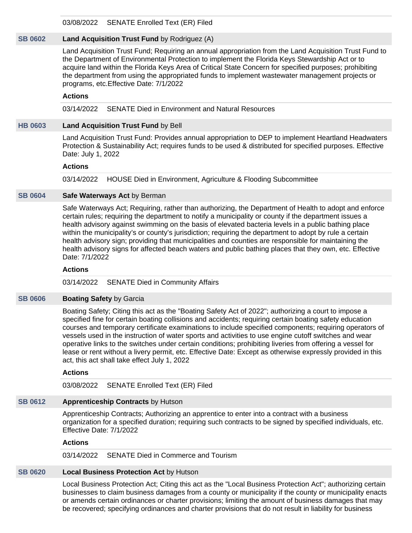03/08/2022 SENATE Enrolled Text (ER) Filed

# **[SB 0602](https://public.lobbytools.com/bills/60059) Land Acquisition Trust Fund** by Rodriguez (A)

Land Acquisition Trust Fund; Requiring an annual appropriation from the Land Acquisition Trust Fund to the Department of Environmental Protection to implement the Florida Keys Stewardship Act or to acquire land within the Florida Keys Area of Critical State Concern for specified purposes; prohibiting the department from using the appropriated funds to implement wastewater management projects or programs, etc.Effective Date: 7/1/2022

# **Actions**

03/14/2022 SENATE Died in Environment and Natural Resources

#### **[HB 0603](https://public.lobbytools.com/bills/60678) Land Acquisition Trust Fund** by Bell

Land Acquisition Trust Fund: Provides annual appropriation to DEP to implement Heartland Headwaters Protection & Sustainability Act; requires funds to be used & distributed for specified purposes. Effective Date: July 1, 2022

#### **Actions**

03/14/2022 HOUSE Died in Environment, Agriculture & Flooding Subcommittee

# **[SB 0604](https://public.lobbytools.com/bills/60064) Safe Waterways Act** by Berman

Safe Waterways Act; Requiring, rather than authorizing, the Department of Health to adopt and enforce certain rules; requiring the department to notify a municipality or county if the department issues a health advisory against swimming on the basis of elevated bacteria levels in a public bathing place within the municipality's or county's jurisdiction; requiring the department to adopt by rule a certain health advisory sign; providing that municipalities and counties are responsible for maintaining the health advisory signs for affected beach waters and public bathing places that they own, etc. Effective Date: 7/1/2022

### **Actions**

03/14/2022 SENATE Died in Community Affairs

#### **[SB 0606](https://public.lobbytools.com/bills/60075) Boating Safety by Garcia**

Boating Safety; Citing this act as the "Boating Safety Act of 2022"; authorizing a court to impose a specified fine for certain boating collisions and accidents; requiring certain boating safety education courses and temporary certificate examinations to include specified components; requiring operators of vessels used in the instruction of water sports and activities to use engine cutoff switches and wear operative links to the switches under certain conditions; prohibiting liveries from offering a vessel for lease or rent without a livery permit, etc. Effective Date: Except as otherwise expressly provided in this act, this act shall take effect July 1, 2022

# **Actions**

03/08/2022 SENATE Enrolled Text (ER) Filed

# **[SB 0612](https://public.lobbytools.com/bills/60078) Apprenticeship Contracts** by Hutson

Apprenticeship Contracts; Authorizing an apprentice to enter into a contract with a business organization for a specified duration; requiring such contracts to be signed by specified individuals, etc. Effective Date: 7/1/2022

#### **Actions**

03/14/2022 SENATE Died in Commerce and Tourism

#### **[SB 0620](https://public.lobbytools.com/bills/60089) Local Business Protection Act** by Hutson

Local Business Protection Act; Citing this act as the "Local Business Protection Act"; authorizing certain businesses to claim business damages from a county or municipality if the county or municipality enacts or amends certain ordinances or charter provisions; limiting the amount of business damages that may be recovered; specifying ordinances and charter provisions that do not result in liability for business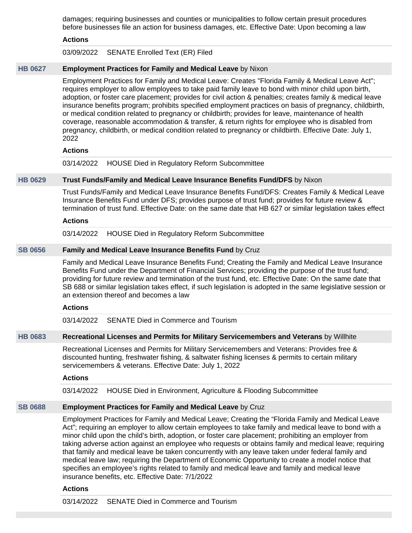damages; requiring businesses and counties or municipalities to follow certain presuit procedures before businesses file an action for business damages, etc. Effective Date: Upon becoming a law

#### **Actions**

03/09/2022 SENATE Enrolled Text (ER) Filed

#### **[HB 0627](https://public.lobbytools.com/bills/60887) Employment Practices for Family and Medical Leave** by Nixon

Employment Practices for Family and Medical Leave: Creates "Florida Family & Medical Leave Act"; requires employer to allow employees to take paid family leave to bond with minor child upon birth, adoption, or foster care placement; provides for civil action & penalties; creates family & medical leave insurance benefits program; prohibits specified employment practices on basis of pregnancy, childbirth, or medical condition related to pregnancy or childbirth; provides for leave, maintenance of health coverage, reasonable accommodation & transfer, & return rights for employee who is disabled from pregnancy, childbirth, or medical condition related to pregnancy or childbirth. Effective Date: July 1, 2022

#### **Actions**

03/14/2022 HOUSE Died in Regulatory Reform Subcommittee

#### **[HB 0629](https://public.lobbytools.com/bills/60888) Trust Funds/Family and Medical Leave Insurance Benefits Fund/DFS** by Nixon

Trust Funds/Family and Medical Leave Insurance Benefits Fund/DFS: Creates Family & Medical Leave Insurance Benefits Fund under DFS; provides purpose of trust fund; provides for future review & termination of trust fund. Effective Date: on the same date that HB 627 or similar legislation takes effect

#### **Actions**

03/14/2022 HOUSE Died in Regulatory Reform Subcommittee

#### **[SB 0656](https://public.lobbytools.com/bills/60144) Family and Medical Leave Insurance Benefits Fund** by Cruz

Family and Medical Leave Insurance Benefits Fund; Creating the Family and Medical Leave Insurance Benefits Fund under the Department of Financial Services; providing the purpose of the trust fund; providing for future review and termination of the trust fund, etc. Effective Date: On the same date that SB 688 or similar legislation takes effect, if such legislation is adopted in the same legislative session or an extension thereof and becomes a law

#### **Actions**

03/14/2022 SENATE Died in Commerce and Tourism

#### **[HB 0683](https://public.lobbytools.com/bills/61205) Recreational Licenses and Permits for Military Servicemembers and Veterans** by Willhite

Recreational Licenses and Permits for Military Servicemembers and Veterans: Provides free & discounted hunting, freshwater fishing, & saltwater fishing licenses & permits to certain military servicemembers & veterans. Effective Date: July 1, 2022

#### **Actions**

03/14/2022 HOUSE Died in Environment, Agriculture & Flooding Subcommittee

#### **[SB 0688](https://public.lobbytools.com/bills/60164) Employment Practices for Family and Medical Leave** by Cruz

Employment Practices for Family and Medical Leave; Creating the "Florida Family and Medical Leave Act"; requiring an employer to allow certain employees to take family and medical leave to bond with a minor child upon the child's birth, adoption, or foster care placement; prohibiting an employer from taking adverse action against an employee who requests or obtains family and medical leave; requiring that family and medical leave be taken concurrently with any leave taken under federal family and medical leave law; requiring the Department of Economic Opportunity to create a model notice that specifies an employee's rights related to family and medical leave and family and medical leave insurance benefits, etc. Effective Date: 7/1/2022

#### **Actions**

03/14/2022 SENATE Died in Commerce and Tourism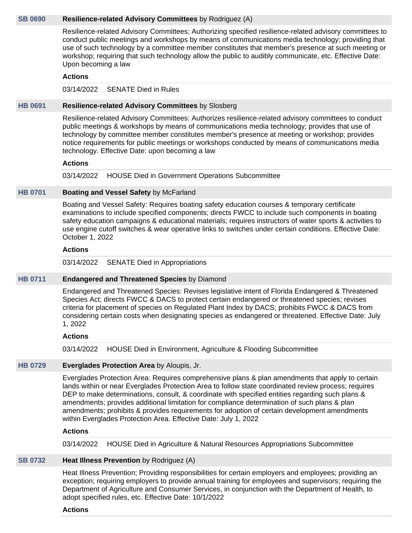#### **[SB 0690](https://public.lobbytools.com/bills/60166) Resilience-related Advisory Committees** by Rodriguez (A)

Resilience-related Advisory Committees; Authorizing specified resilience-related advisory committees to conduct public meetings and workshops by means of communications media technology; providing that use of such technology by a committee member constitutes that member's presence at such meeting or workshop; requiring that such technology allow the public to audibly communicate, etc. Effective Date: Upon becoming a law

#### **Actions**

03/14/2022 SENATE Died in Rules

#### **[HB 0691](https://public.lobbytools.com/bills/61213) Resilience-related Advisory Committees** by Slosberg

Resilience-related Advisory Committees: Authorizes resilience-related advisory committees to conduct public meetings & workshops by means of communications media technology; provides that use of technology by committee member constitutes member's presence at meeting or workshop; provides notice requirements for public meetings or workshops conducted by means of communications media technology. Effective Date: upon becoming a law

#### **Actions**

03/14/2022 HOUSE Died in Government Operations Subcommittee

#### **[HB 0701](https://public.lobbytools.com/bills/61267) Boating and Vessel Safety** by McFarland

Boating and Vessel Safety: Requires boating safety education courses & temporary certificate examinations to include specified components; directs FWCC to include such components in boating safety education campaigns & educational materials; requires instructors of water sports & activities to use engine cutoff switches & wear operative links to switches under certain conditions. Effective Date: October 1, 2022

#### **Actions**

03/14/2022 SENATE Died in Appropriations

#### **[HB 0711](https://public.lobbytools.com/bills/61288) Endangered and Threatened Species** by Diamond

Endangered and Threatened Species: Revises legislative intent of Florida Endangered & Threatened Species Act; directs FWCC & DACS to protect certain endangered or threatened species; revises criteria for placement of species on Regulated Plant Index by DACS; prohibits FWCC & DACS from considering certain costs when designating species as endangered or threatened. Effective Date: July 1, 2022

#### **Actions**

03/14/2022 HOUSE Died in Environment, Agriculture & Flooding Subcommittee

### **[HB 0729](https://public.lobbytools.com/bills/61429) Everglades Protection Area** by Aloupis, Jr.

Everglades Protection Area: Requires comprehensive plans & plan amendments that apply to certain lands within or near Everglades Protection Area to follow state coordinated review process; requires DEP to make determinations, consult, & coordinate with specified entities regarding such plans & amendments; provides additional limitation for compliance determination of such plans & plan amendments; prohibits & provides requirements for adoption of certain development amendments within Everglades Protection Area. Effective Date: July 1, 2022

#### **Actions**

03/14/2022 HOUSE Died in Agriculture & Natural Resources Appropriations Subcommittee

#### **[SB 0732](https://public.lobbytools.com/bills/60237) Heat Illness Prevention** by Rodriguez (A)

Heat Illness Prevention; Providing responsibilities for certain employers and employees; providing an exception; requiring employers to provide annual training for employees and supervisors; requiring the Department of Agriculture and Consumer Services, in conjunction with the Department of Health, to adopt specified rules, etc. Effective Date: 10/1/2022

**Actions**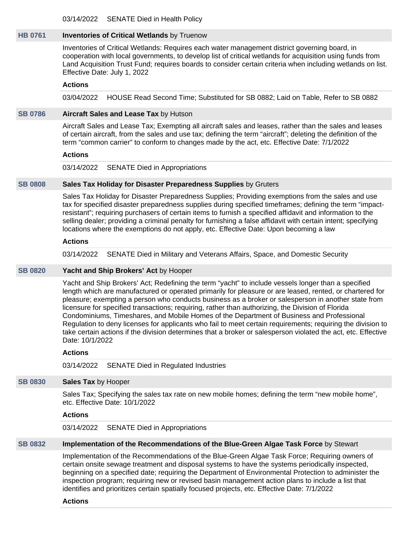03/14/2022 SENATE Died in Health Policy

#### **[HB 0761](https://public.lobbytools.com/bills/61538) Inventories of Critical Wetlands** by Truenow

Inventories of Critical Wetlands: Requires each water management district governing board, in cooperation with local governments, to develop list of critical wetlands for acquisition using funds from Land Acquisition Trust Fund; requires boards to consider certain criteria when including wetlands on list. Effective Date: July 1, 2022

#### **Actions**

03/04/2022 HOUSE Read Second Time; Substituted for SB 0882; Laid on Table, Refer to SB 0882

#### **[SB 0786](https://public.lobbytools.com/bills/60310) Aircraft Sales and Lease Tax** by Hutson

Aircraft Sales and Lease Tax; Exempting all aircraft sales and leases, rather than the sales and leases of certain aircraft, from the sales and use tax; defining the term "aircraft"; deleting the definition of the term "common carrier" to conform to changes made by the act, etc. Effective Date: 7/1/2022

#### **Actions**

03/14/2022 SENATE Died in Appropriations

#### **[SB 0808](https://public.lobbytools.com/bills/60358) Sales Tax Holiday for Disaster Preparedness Supplies** by Gruters

Sales Tax Holiday for Disaster Preparedness Supplies; Providing exemptions from the sales and use tax for specified disaster preparedness supplies during specified timeframes; defining the term "impactresistant"; requiring purchasers of certain items to furnish a specified affidavit and information to the selling dealer; providing a criminal penalty for furnishing a false affidavit with certain intent; specifying locations where the exemptions do not apply, etc. Effective Date: Upon becoming a law

#### **Actions**

03/14/2022 SENATE Died in Military and Veterans Affairs, Space, and Domestic Security

#### **[SB 0820](https://public.lobbytools.com/bills/60384) Yacht and Ship Brokers' Act** by Hooper

Yacht and Ship Brokers' Act; Redefining the term "yacht" to include vessels longer than a specified length which are manufactured or operated primarily for pleasure or are leased, rented, or chartered for pleasure; exempting a person who conducts business as a broker or salesperson in another state from licensure for specified transactions; requiring, rather than authorizing, the Division of Florida Condominiums, Timeshares, and Mobile Homes of the Department of Business and Professional Regulation to deny licenses for applicants who fail to meet certain requirements; requiring the division to take certain actions if the division determines that a broker or salesperson violated the act, etc. Effective Date: 10/1/2022

#### **Actions**

03/14/2022 SENATE Died in Regulated Industries

#### **[SB 0830](https://public.lobbytools.com/bills/60401) Sales Tax** by Hooper

Sales Tax; Specifying the sales tax rate on new mobile homes; defining the term "new mobile home", etc. Effective Date: 10/1/2022

#### **Actions**

03/14/2022 SENATE Died in Appropriations

#### **[SB 0832](https://public.lobbytools.com/bills/60405) Implementation of the Recommendations of the Blue-Green Algae Task Force** by Stewart

Implementation of the Recommendations of the Blue-Green Algae Task Force; Requiring owners of certain onsite sewage treatment and disposal systems to have the systems periodically inspected, beginning on a specified date; requiring the Department of Environmental Protection to administer the inspection program; requiring new or revised basin management action plans to include a list that identifies and prioritizes certain spatially focused projects, etc. Effective Date: 7/1/2022

#### **Actions**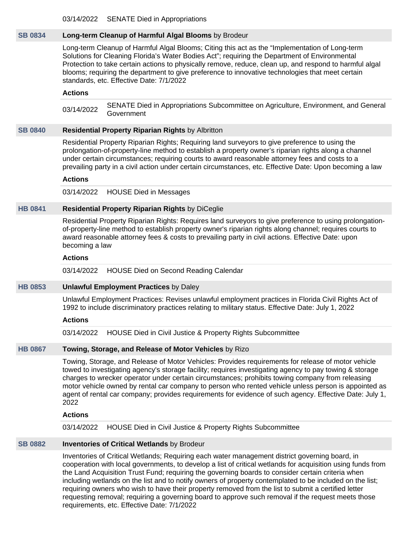03/14/2022 SENATE Died in Appropriations

# **[SB 0834](https://public.lobbytools.com/bills/60406) Long-term Cleanup of Harmful Algal Blooms** by Brodeur

Long-term Cleanup of Harmful Algal Blooms; Citing this act as the "Implementation of Long-term Solutions for Cleaning Florida's Water Bodies Act"; requiring the Department of Environmental Protection to take certain actions to physically remove, reduce, clean up, and respond to harmful algal blooms; requiring the department to give preference to innovative technologies that meet certain standards, etc. Effective Date: 7/1/2022

#### **Actions**

03/14/2022 SENATE Died in Appropriations Subcommittee on Agriculture, Environment, and General Government

#### **[SB 0840](https://public.lobbytools.com/bills/60418) Residential Property Riparian Rights** by Albritton

Residential Property Riparian Rights; Requiring land surveyors to give preference to using the prolongation-of-property-line method to establish a property owner's riparian rights along a channel under certain circumstances; requiring courts to award reasonable attorney fees and costs to a prevailing party in a civil action under certain circumstances, etc. Effective Date: Upon becoming a law

#### **Actions**

03/14/2022 HOUSE Died in Messages

#### **[HB 0841](https://public.lobbytools.com/bills/61846) Residential Property Riparian Rights** by DiCeglie

Residential Property Riparian Rights: Requires land surveyors to give preference to using prolongationof-property-line method to establish property owner's riparian rights along channel; requires courts to award reasonable attorney fees & costs to prevailing party in civil actions. Effective Date: upon becoming a law

#### **Actions**

03/14/2022 HOUSE Died on Second Reading Calendar

#### **[HB 0853](https://public.lobbytools.com/bills/61886) Unlawful Employment Practices** by Daley

Unlawful Employment Practices: Revises unlawful employment practices in Florida Civil Rights Act of 1992 to include discriminatory practices relating to military status. Effective Date: July 1, 2022

#### **Actions**

03/14/2022 HOUSE Died in Civil Justice & Property Rights Subcommittee

#### **[HB 0867](https://public.lobbytools.com/bills/61922) Towing, Storage, and Release of Motor Vehicles** by Rizo

Towing, Storage, and Release of Motor Vehicles: Provides requirements for release of motor vehicle towed to investigating agency's storage facility; requires investigating agency to pay towing & storage charges to wrecker operator under certain circumstances; prohibits towing company from releasing motor vehicle owned by rental car company to person who rented vehicle unless person is appointed as agent of rental car company; provides requirements for evidence of such agency. Effective Date: July 1, 2022

# **Actions**

03/14/2022 HOUSE Died in Civil Justice & Property Rights Subcommittee

#### **[SB 0882](https://public.lobbytools.com/bills/60498) Inventories of Critical Wetlands** by Brodeur

Inventories of Critical Wetlands; Requiring each water management district governing board, in cooperation with local governments, to develop a list of critical wetlands for acquisition using funds from the Land Acquisition Trust Fund; requiring the governing boards to consider certain criteria when including wetlands on the list and to notify owners of property contemplated to be included on the list; requiring owners who wish to have their property removed from the list to submit a certified letter requesting removal; requiring a governing board to approve such removal if the request meets those requirements, etc. Effective Date: 7/1/2022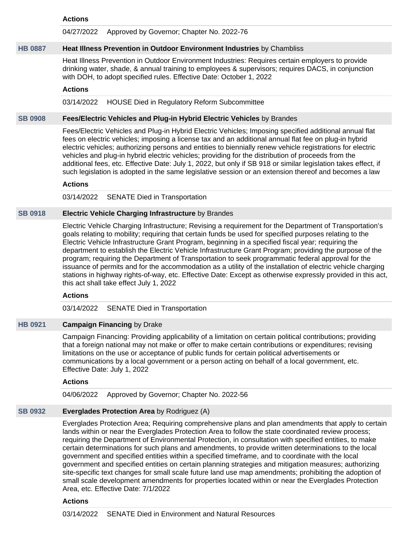#### **Actions**

04/27/2022 Approved by Governor; Chapter No. 2022-76

#### **[HB 0887](https://public.lobbytools.com/bills/61997) Heat Illness Prevention in Outdoor Environment Industries** by Chambliss

Heat Illness Prevention in Outdoor Environment Industries: Requires certain employers to provide drinking water, shade, & annual training to employees & supervisors; requires DACS, in conjunction with DOH, to adopt specified rules. Effective Date: October 1, 2022

#### **Actions**

03/14/2022 HOUSE Died in Regulatory Reform Subcommittee

#### **[SB 0908](https://public.lobbytools.com/bills/60685) Fees/Electric Vehicles and Plug-in Hybrid Electric Vehicles** by Brandes

Fees/Electric Vehicles and Plug-in Hybrid Electric Vehicles; Imposing specified additional annual flat fees on electric vehicles; imposing a license tax and an additional annual flat fee on plug-in hybrid electric vehicles; authorizing persons and entities to biennially renew vehicle registrations for electric vehicles and plug-in hybrid electric vehicles; providing for the distribution of proceeds from the additional fees, etc. Effective Date: July 1, 2022, but only if SB 918 or similar legislation takes effect, if such legislation is adopted in the same legislative session or an extension thereof and becomes a law

#### **Actions**

03/14/2022 SENATE Died in Transportation

#### **[SB 0918](https://public.lobbytools.com/bills/60706) Electric Vehicle Charging Infrastructure** by Brandes

Electric Vehicle Charging Infrastructure; Revising a requirement for the Department of Transportation's goals relating to mobility; requiring that certain funds be used for specified purposes relating to the Electric Vehicle Infrastructure Grant Program, beginning in a specified fiscal year; requiring the department to establish the Electric Vehicle Infrastructure Grant Program; providing the purpose of the program; requiring the Department of Transportation to seek programmatic federal approval for the issuance of permits and for the accommodation as a utility of the installation of electric vehicle charging stations in highway rights-of-way, etc. Effective Date: Except as otherwise expressly provided in this act, this act shall take effect July 1, 2022

#### **Actions**

03/14/2022 SENATE Died in Transportation

#### **[HB 0921](https://public.lobbytools.com/bills/62049) Campaign Financing** by Drake

Campaign Financing: Providing applicability of a limitation on certain political contributions; providing that a foreign national may not make or offer to make certain contributions or expenditures; revising limitations on the use or acceptance of public funds for certain political advertisements or communications by a local government or a person acting on behalf of a local government, etc. Effective Date: July 1, 2022

#### **Actions**

04/06/2022 Approved by Governor; Chapter No. 2022-56

# **[SB 0932](https://public.lobbytools.com/bills/60807) Everglades Protection Area** by Rodriguez (A)

Everglades Protection Area; Requiring comprehensive plans and plan amendments that apply to certain lands within or near the Everglades Protection Area to follow the state coordinated review process; requiring the Department of Environmental Protection, in consultation with specified entities, to make certain determinations for such plans and amendments, to provide written determinations to the local government and specified entities within a specified timeframe, and to coordinate with the local government and specified entities on certain planning strategies and mitigation measures; authorizing site-specific text changes for small scale future land use map amendments; prohibiting the adoption of small scale development amendments for properties located within or near the Everglades Protection Area, etc. Effective Date: 7/1/2022

#### **Actions**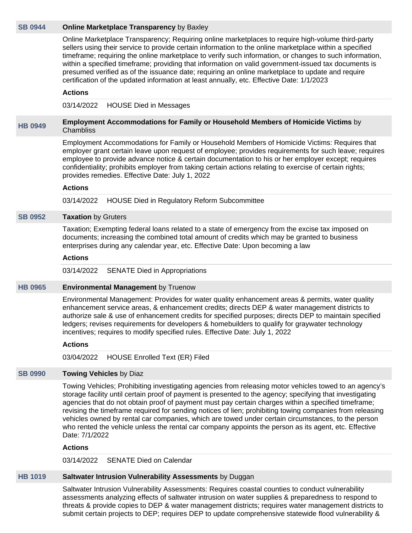#### **[SB 0944](https://public.lobbytools.com/bills/60853) Online Marketplace Transparency** by Baxley

Online Marketplace Transparency; Requiring online marketplaces to require high-volume third-party sellers using their service to provide certain information to the online marketplace within a specified timeframe; requiring the online marketplace to verify such information, or changes to such information, within a specified timeframe; providing that information on valid government-issued tax documents is presumed verified as of the issuance date; requiring an online marketplace to update and require certification of the updated information at least annually, etc. Effective Date: 1/1/2023

#### **Actions**

03/14/2022 HOUSE Died in Messages

#### **[HB 0949](https://public.lobbytools.com/bills/62138) Employment Accommodations for Family or Household Members of Homicide Victims** by **Chambliss**

Employment Accommodations for Family or Household Members of Homicide Victims: Requires that employer grant certain leave upon request of employee; provides requirements for such leave; requires employee to provide advance notice & certain documentation to his or her employer except; requires confidentiality; prohibits employer from taking certain actions relating to exercise of certain rights; provides remedies. Effective Date: July 1, 2022

#### **Actions**

03/14/2022 HOUSE Died in Regulatory Reform Subcommittee

#### **[SB 0952](https://public.lobbytools.com/bills/60907) Taxation** by Gruters

Taxation; Exempting federal loans related to a state of emergency from the excise tax imposed on documents; increasing the combined total amount of credits which may be granted to business enterprises during any calendar year, etc. Effective Date: Upon becoming a law

#### **Actions**

03/14/2022 SENATE Died in Appropriations

#### **[HB 0965](https://public.lobbytools.com/bills/62159) Environmental Management** by Truenow

Environmental Management: Provides for water quality enhancement areas & permits, water quality enhancement service areas, & enhancement credits; directs DEP & water management districts to authorize sale & use of enhancement credits for specified purposes; directs DEP to maintain specified ledgers; revises requirements for developers & homebuilders to qualify for graywater technology incentives; requires to modify specified rules. Effective Date: July 1, 2022

#### **Actions**

03/04/2022 HOUSE Enrolled Text (ER) Filed

#### **[SB 0990](https://public.lobbytools.com/bills/61106) Towing Vehicles** by Diaz

Towing Vehicles; Prohibiting investigating agencies from releasing motor vehicles towed to an agency's storage facility until certain proof of payment is presented to the agency; specifying that investigating agencies that do not obtain proof of payment must pay certain charges within a specified timeframe; revising the timeframe required for sending notices of lien; prohibiting towing companies from releasing vehicles owned by rental car companies, which are towed under certain circumstances, to the person who rented the vehicle unless the rental car company appoints the person as its agent, etc. Effective Date: 7/1/2022

### **Actions**

03/14/2022 SENATE Died on Calendar

# **[HB 1019](https://public.lobbytools.com/bills/62224) Saltwater Intrusion Vulnerability Assessments** by Duggan

Saltwater Intrusion Vulnerability Assessments: Requires coastal counties to conduct vulnerability assessments analyzing effects of saltwater intrusion on water supplies & preparedness to respond to threats & provide copies to DEP & water management districts; requires water management districts to submit certain projects to DEP; requires DEP to update comprehensive statewide flood vulnerability &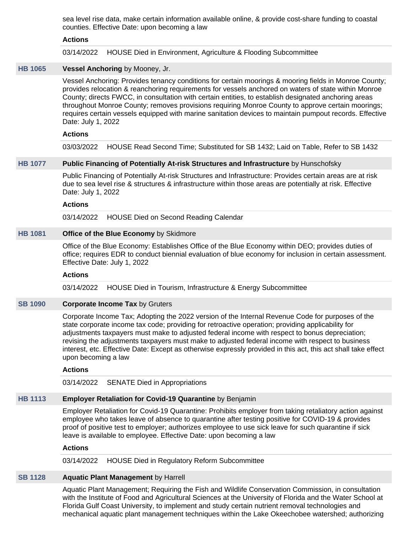sea level rise data, make certain information available online, & provide cost-share funding to coastal counties. Effective Date: upon becoming a law

#### **Actions**

03/14/2022 HOUSE Died in Environment, Agriculture & Flooding Subcommittee

# **[HB 1065](https://public.lobbytools.com/bills/62274) Vessel Anchoring** by Mooney, Jr.

Vessel Anchoring: Provides tenancy conditions for certain moorings & mooring fields in Monroe County; provides relocation & reanchoring requirements for vessels anchored on waters of state within Monroe County; directs FWCC, in consultation with certain entities, to establish designated anchoring areas throughout Monroe County; removes provisions requiring Monroe County to approve certain moorings; requires certain vessels equipped with marine sanitation devices to maintain pumpout records. Effective Date: July 1, 2022

#### **Actions**

03/03/2022 HOUSE Read Second Time; Substituted for SB 1432; Laid on Table, Refer to SB 1432

#### **[HB 1077](https://public.lobbytools.com/bills/62285) Public Financing of Potentially At-risk Structures and Infrastructure** by Hunschofsky

Public Financing of Potentially At-risk Structures and Infrastructure: Provides certain areas are at risk due to sea level rise & structures & infrastructure within those areas are potentially at risk. Effective Date: July 1, 2022

#### **Actions**

03/14/2022 HOUSE Died on Second Reading Calendar

# **[HB 1081](https://public.lobbytools.com/bills/62289) Office of the Blue Economy** by Skidmore

Office of the Blue Economy: Establishes Office of the Blue Economy within DEO; provides duties of office; requires EDR to conduct biennial evaluation of blue economy for inclusion in certain assessment. Effective Date: July 1, 2022

#### **Actions**

03/14/2022 HOUSE Died in Tourism, Infrastructure & Energy Subcommittee

#### **[SB 1090](https://public.lobbytools.com/bills/61549) Corporate Income Tax** by Gruters

Corporate Income Tax; Adopting the 2022 version of the Internal Revenue Code for purposes of the state corporate income tax code; providing for retroactive operation; providing applicability for adjustments taxpayers must make to adjusted federal income with respect to bonus depreciation; revising the adjustments taxpayers must make to adjusted federal income with respect to business interest, etc. Effective Date: Except as otherwise expressly provided in this act, this act shall take effect upon becoming a law

#### **Actions**

03/14/2022 SENATE Died in Appropriations

#### **[HB 1113](https://public.lobbytools.com/bills/62313) Employer Retaliation for Covid-19 Quarantine** by Benjamin

Employer Retaliation for Covid-19 Quarantine: Prohibits employer from taking retaliatory action against employee who takes leave of absence to quarantine after testing positive for COVID-19 & provides proof of positive test to employer; authorizes employee to use sick leave for such quarantine if sick leave is available to employee. Effective Date: upon becoming a law

#### **Actions**

03/14/2022 HOUSE Died in Regulatory Reform Subcommittee

# **[SB 1128](https://public.lobbytools.com/bills/61672) Aquatic Plant Management** by Harrell

Aquatic Plant Management; Requiring the Fish and Wildlife Conservation Commission, in consultation with the Institute of Food and Agricultural Sciences at the University of Florida and the Water School at Florida Gulf Coast University, to implement and study certain nutrient removal technologies and mechanical aquatic plant management techniques within the Lake Okeechobee watershed; authorizing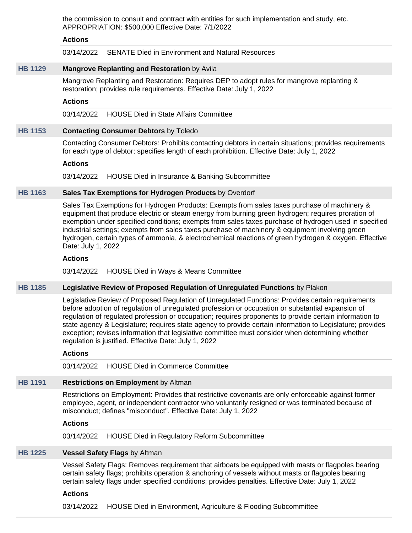the commission to consult and contract with entities for such implementation and study, etc. APPROPRIATION: \$500,000 Effective Date: 7/1/2022

#### **Actions**

03/14/2022 SENATE Died in Environment and Natural Resources

# **[HB 1129](https://public.lobbytools.com/bills/62329) Mangrove Replanting and Restoration** by Avila

Mangrove Replanting and Restoration: Requires DEP to adopt rules for mangrove replanting & restoration; provides rule requirements. Effective Date: July 1, 2022

#### **Actions**

03/14/2022 HOUSE Died in State Affairs Committee

#### **[HB 1153](https://public.lobbytools.com/bills/62351) Contacting Consumer Debtors** by Toledo

Contacting Consumer Debtors: Prohibits contacting debtors in certain situations; provides requirements for each type of debtor; specifies length of each prohibition. Effective Date: July 1, 2022

#### **Actions**

03/14/2022 HOUSE Died in Insurance & Banking Subcommittee

### **[HB 1163](https://public.lobbytools.com/bills/62365) Sales Tax Exemptions for Hydrogen Products** by Overdorf

Sales Tax Exemptions for Hydrogen Products: Exempts from sales taxes purchase of machinery & equipment that produce electric or steam energy from burning green hydrogen; requires proration of exemption under specified conditions; exempts from sales taxes purchase of hydrogen used in specified industrial settings; exempts from sales taxes purchase of machinery & equipment involving green hydrogen, certain types of ammonia, & electrochemical reactions of green hydrogen & oxygen. Effective Date: July 1, 2022

#### **Actions**

03/14/2022 HOUSE Died in Ways & Means Committee

#### **[HB 1185](https://public.lobbytools.com/bills/62396) Legislative Review of Proposed Regulation of Unregulated Functions** by Plakon

Legislative Review of Proposed Regulation of Unregulated Functions: Provides certain requirements before adoption of regulation of unregulated profession or occupation or substantial expansion of regulation of regulated profession or occupation; requires proponents to provide certain information to state agency & Legislature; requires state agency to provide certain information to Legislature; provides exception; revises information that legislative committee must consider when determining whether regulation is justified. Effective Date: July 1, 2022

#### **Actions**

03/14/2022 HOUSE Died in Commerce Committee

#### **[HB 1191](https://public.lobbytools.com/bills/62410) Restrictions on Employment** by Altman

Restrictions on Employment: Provides that restrictive covenants are only enforceable against former employee, agent, or independent contractor who voluntarily resigned or was terminated because of misconduct; defines "misconduct". Effective Date: July 1, 2022

#### **Actions**

03/14/2022 HOUSE Died in Regulatory Reform Subcommittee

#### **[HB 1225](https://public.lobbytools.com/bills/62479) Vessel Safety Flags** by Altman

Vessel Safety Flags: Removes requirement that airboats be equipped with masts or flagpoles bearing certain safety flags; prohibits operation & anchoring of vessels without masts or flagpoles bearing certain safety flags under specified conditions; provides penalties. Effective Date: July 1, 2022

#### **Actions**

03/14/2022 HOUSE Died in Environment, Agriculture & Flooding Subcommittee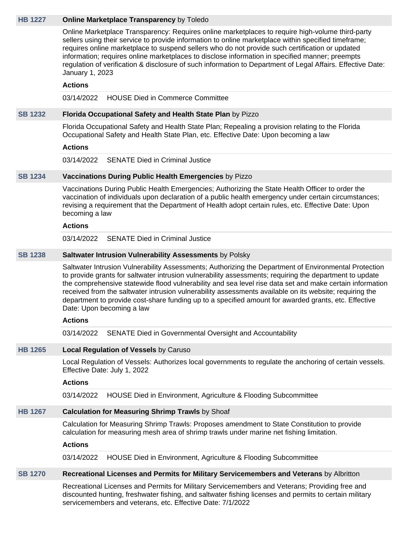#### **[HB 1227](https://public.lobbytools.com/bills/62480) Online Marketplace Transparency** by Toledo

Online Marketplace Transparency: Requires online marketplaces to require high-volume third-party sellers using their service to provide information to online marketplace within specified timeframe; requires online marketplace to suspend sellers who do not provide such certification or updated information; requires online marketplaces to disclose information in specified manner; preempts regulation of verification & disclosure of such information to Department of Legal Affairs. Effective Date: January 1, 2023

#### **Actions**

03/14/2022 HOUSE Died in Commerce Committee

# **[SB 1232](https://public.lobbytools.com/bills/62018) Florida Occupational Safety and Health State Plan** by Pizzo

Florida Occupational Safety and Health State Plan; Repealing a provision relating to the Florida Occupational Safety and Health State Plan, etc. Effective Date: Upon becoming a law

#### **Actions**

03/14/2022 SENATE Died in Criminal Justice

#### **[SB 1234](https://public.lobbytools.com/bills/62019) Vaccinations During Public Health Emergencies** by Pizzo

Vaccinations During Public Health Emergencies; Authorizing the State Health Officer to order the vaccination of individuals upon declaration of a public health emergency under certain circumstances; revising a requirement that the Department of Health adopt certain rules, etc. Effective Date: Upon becoming a law

### **Actions**

03/14/2022 SENATE Died in Criminal Justice

#### **[SB 1238](https://public.lobbytools.com/bills/62024) Saltwater Intrusion Vulnerability Assessments** by Polsky

Saltwater Intrusion Vulnerability Assessments; Authorizing the Department of Environmental Protection to provide grants for saltwater intrusion vulnerability assessments; requiring the department to update the comprehensive statewide flood vulnerability and sea level rise data set and make certain information received from the saltwater intrusion vulnerability assessments available on its website; requiring the department to provide cost-share funding up to a specified amount for awarded grants, etc. Effective Date: Upon becoming a law

#### **Actions**

03/14/2022 SENATE Died in Governmental Oversight and Accountability

#### **[HB 1265](https://public.lobbytools.com/bills/62516) Local Regulation of Vessels** by Caruso

Local Regulation of Vessels: Authorizes local governments to regulate the anchoring of certain vessels. Effective Date: July 1, 2022

#### **Actions**

03/14/2022 HOUSE Died in Environment, Agriculture & Flooding Subcommittee

#### **[HB 1267](https://public.lobbytools.com/bills/62525) Calculation for Measuring Shrimp Trawls** by Shoaf

Calculation for Measuring Shrimp Trawls: Proposes amendment to State Constitution to provide calculation for measuring mesh area of shrimp trawls under marine net fishing limitation.

# **Actions**

03/14/2022 HOUSE Died in Environment, Agriculture & Flooding Subcommittee

#### **[SB 1270](https://public.lobbytools.com/bills/62060) Recreational Licenses and Permits for Military Servicemembers and Veterans** by Albritton

Recreational Licenses and Permits for Military Servicemembers and Veterans; Providing free and discounted hunting, freshwater fishing, and saltwater fishing licenses and permits to certain military servicemembers and veterans, etc. Effective Date: 7/1/2022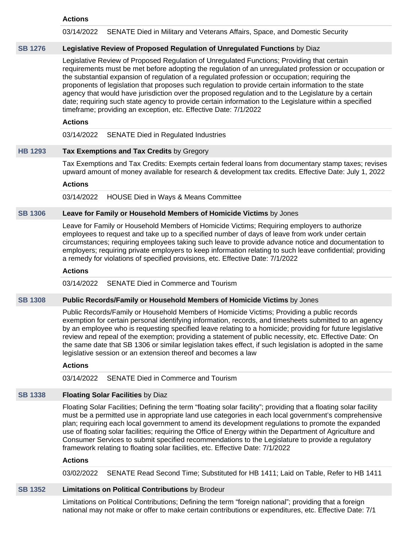#### **Actions**

03/14/2022 SENATE Died in Military and Veterans Affairs, Space, and Domestic Security

#### **[SB 1276](https://public.lobbytools.com/bills/62078) Legislative Review of Proposed Regulation of Unregulated Functions** by Diaz

Legislative Review of Proposed Regulation of Unregulated Functions; Providing that certain requirements must be met before adopting the regulation of an unregulated profession or occupation or the substantial expansion of regulation of a regulated profession or occupation; requiring the proponents of legislation that proposes such regulation to provide certain information to the state agency that would have jurisdiction over the proposed regulation and to the Legislature by a certain date; requiring such state agency to provide certain information to the Legislature within a specified timeframe; providing an exception, etc. Effective Date: 7/1/2022

### **Actions**

03/14/2022 SENATE Died in Regulated Industries

# **[HB 1293](https://public.lobbytools.com/bills/62595) Tax Exemptions and Tax Credits** by Gregory

Tax Exemptions and Tax Credits: Exempts certain federal loans from documentary stamp taxes; revises upward amount of money available for research & development tax credits. Effective Date: July 1, 2022

#### **Actions**

03/14/2022 HOUSE Died in Ways & Means Committee

# **[SB 1306](https://public.lobbytools.com/bills/62151) Leave for Family or Household Members of Homicide Victims** by Jones

Leave for Family or Household Members of Homicide Victims; Requiring employers to authorize employees to request and take up to a specified number of days of leave from work under certain circumstances; requiring employees taking such leave to provide advance notice and documentation to employers; requiring private employers to keep information relating to such leave confidential; providing a remedy for violations of specified provisions, etc. Effective Date: 7/1/2022

#### **Actions**

03/14/2022 SENATE Died in Commerce and Tourism

#### **[SB 1308](https://public.lobbytools.com/bills/62152) Public Records/Family or Household Members of Homicide Victims** by Jones

Public Records/Family or Household Members of Homicide Victims; Providing a public records exemption for certain personal identifying information, records, and timesheets submitted to an agency by an employee who is requesting specified leave relating to a homicide; providing for future legislative review and repeal of the exemption; providing a statement of public necessity, etc. Effective Date: On the same date that SB 1306 or similar legislation takes effect, if such legislation is adopted in the same legislative session or an extension thereof and becomes a law

#### **Actions**

03/14/2022 SENATE Died in Commerce and Tourism

# **[SB 1338](https://public.lobbytools.com/bills/62191) Floating Solar Facilities** by Diaz

Floating Solar Facilities; Defining the term "floating solar facility"; providing that a floating solar facility must be a permitted use in appropriate land use categories in each local government's comprehensive plan; requiring each local government to amend its development regulations to promote the expanded use of floating solar facilities; requiring the Office of Energy within the Department of Agriculture and Consumer Services to submit specified recommendations to the Legislature to provide a regulatory framework relating to floating solar facilities, etc. Effective Date: 7/1/2022

#### **Actions**

03/02/2022 SENATE Read Second Time; Substituted for HB 1411; Laid on Table, Refer to HB 1411

# **[SB 1352](https://public.lobbytools.com/bills/62213) Limitations on Political Contributions** by Brodeur

Limitations on Political Contributions; Defining the term "foreign national"; providing that a foreign national may not make or offer to make certain contributions or expenditures, etc. Effective Date: 7/1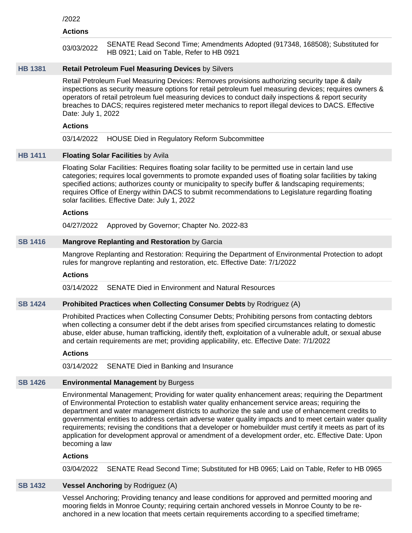#### /2022

#### **Actions**

| 03/03/2022 | SENATE Read Second Time; Amendments Adopted (917348, 168508); Substituted for |
|------------|-------------------------------------------------------------------------------|
|            | HB 0921; Laid on Table, Refer to HB 0921                                      |

# **[HB 1381](https://public.lobbytools.com/bills/62734) Retail Petroleum Fuel Measuring Devices** by Silvers

Retail Petroleum Fuel Measuring Devices: Removes provisions authorizing security tape & daily inspections as security measure options for retail petroleum fuel measuring devices; requires owners & operators of retail petroleum fuel measuring devices to conduct daily inspections & report security breaches to DACS; requires registered meter mechanics to report illegal devices to DACS. Effective Date: July 1, 2022

#### **Actions**

03/14/2022 HOUSE Died in Regulatory Reform Subcommittee

# **[HB 1411](https://public.lobbytools.com/bills/62749) Floating Solar Facilities** by Avila

Floating Solar Facilities: Requires floating solar facility to be permitted use in certain land use categories; requires local governments to promote expanded uses of floating solar facilities by taking specified actions; authorizes county or municipality to specify buffer & landscaping requirements; requires Office of Energy within DACS to submit recommendations to Legislature regarding floating solar facilities. Effective Date: July 1, 2022

#### **Actions**

04/27/2022 Approved by Governor; Chapter No. 2022-83

#### **[SB 1416](https://public.lobbytools.com/bills/62333) Mangrove Replanting and Restoration** by Garcia

Mangrove Replanting and Restoration: Requiring the Department of Environmental Protection to adopt rules for mangrove replanting and restoration, etc. Effective Date: 7/1/2022

#### **Actions**

03/14/2022 SENATE Died in Environment and Natural Resources

#### **[SB 1424](https://public.lobbytools.com/bills/62339) Prohibited Practices when Collecting Consumer Debts** by Rodriguez (A)

Prohibited Practices when Collecting Consumer Debts; Prohibiting persons from contacting debtors when collecting a consumer debt if the debt arises from specified circumstances relating to domestic abuse, elder abuse, human trafficking, identify theft, exploitation of a vulnerable adult, or sexual abuse and certain requirements are met; providing applicability, etc. Effective Date: 7/1/2022

#### **Actions**

03/14/2022 SENATE Died in Banking and Insurance

#### **[SB 1426](https://public.lobbytools.com/bills/62341) Environmental Management** by Burgess

Environmental Management; Providing for water quality enhancement areas; requiring the Department of Environmental Protection to establish water quality enhancement service areas; requiring the department and water management districts to authorize the sale and use of enhancement credits to governmental entities to address certain adverse water quality impacts and to meet certain water quality requirements; revising the conditions that a developer or homebuilder must certify it meets as part of its application for development approval or amendment of a development order, etc. Effective Date: Upon becoming a law

#### **Actions**

03/04/2022 SENATE Read Second Time; Substituted for HB 0965; Laid on Table, Refer to HB 0965

# **[SB 1432](https://public.lobbytools.com/bills/62346) Vessel Anchoring** by Rodriguez (A)

Vessel Anchoring; Providing tenancy and lease conditions for approved and permitted mooring and mooring fields in Monroe County; requiring certain anchored vessels in Monroe County to be reanchored in a new location that meets certain requirements according to a specified timeframe;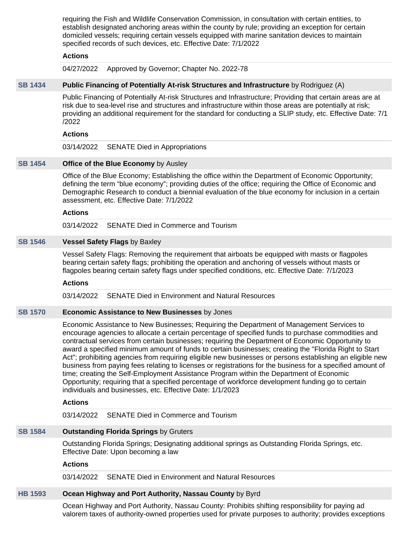requiring the Fish and Wildlife Conservation Commission, in consultation with certain entities, to establish designated anchoring areas within the county by rule; providing an exception for certain domiciled vessels; requiring certain vessels equipped with marine sanitation devices to maintain specified records of such devices, etc. Effective Date: 7/1/2022

## **Actions**

04/27/2022 Approved by Governor; Chapter No. 2022-78

# **[SB 1434](https://public.lobbytools.com/bills/62354) Public Financing of Potentially At-risk Structures and Infrastructure** by Rodriguez (A)

Public Financing of Potentially At-risk Structures and Infrastructure; Providing that certain areas are at risk due to sea-level rise and structures and infrastructure within those areas are potentially at risk; providing an additional requirement for the standard for conducting a SLIP study, etc. Effective Date: 7/1 /2022

# **Actions**

03/14/2022 SENATE Died in Appropriations

## **[SB 1454](https://public.lobbytools.com/bills/62375) Office of the Blue Economy** by Ausley

Office of the Blue Economy; Establishing the office within the Department of Economic Opportunity; defining the term "blue economy"; providing duties of the office; requiring the Office of Economic and Demographic Research to conduct a biennial evaluation of the blue economy for inclusion in a certain assessment, etc. Effective Date: 7/1/2022

#### **Actions**

03/14/2022 SENATE Died in Commerce and Tourism

### **[SB 1546](https://public.lobbytools.com/bills/62442) Vessel Safety Flags** by Baxley

Vessel Safety Flags: Removing the requirement that airboats be equipped with masts or flagpoles bearing certain safety flags; prohibiting the operation and anchoring of vessels without masts or flagpoles bearing certain safety flags under specified conditions, etc. Effective Date: 7/1/2023

#### **Actions**

03/14/2022 SENATE Died in Environment and Natural Resources

### **[SB 1570](https://public.lobbytools.com/bills/62463) Economic Assistance to New Businesses** by Jones

Economic Assistance to New Businesses; Requiring the Department of Management Services to encourage agencies to allocate a certain percentage of specified funds to purchase commodities and contractual services from certain businesses; requiring the Department of Economic Opportunity to award a specified minimum amount of funds to certain businesses; creating the "Florida Right to Start Act"; prohibiting agencies from requiring eligible new businesses or persons establishing an eligible new business from paying fees relating to licenses or registrations for the business for a specified amount of time; creating the Self-Employment Assistance Program within the Department of Economic Opportunity; requiring that a specified percentage of workforce development funding go to certain individuals and businesses, etc. Effective Date: 1/1/2023

# **Actions**

03/14/2022 SENATE Died in Commerce and Tourism

# **[SB 1584](https://public.lobbytools.com/bills/62471) Outstanding Florida Springs** by Gruters

Outstanding Florida Springs; Designating additional springs as Outstanding Florida Springs, etc. Effective Date: Upon becoming a law

#### **Actions**

03/14/2022 SENATE Died in Environment and Natural Resources

# **[HB 1593](https://public.lobbytools.com/bills/62978) Ocean Highway and Port Authority, Nassau County** by Byrd

Ocean Highway and Port Authority, Nassau County: Prohibits shifting responsibility for paying ad valorem taxes of authority-owned properties used for private purposes to authority; provides exceptions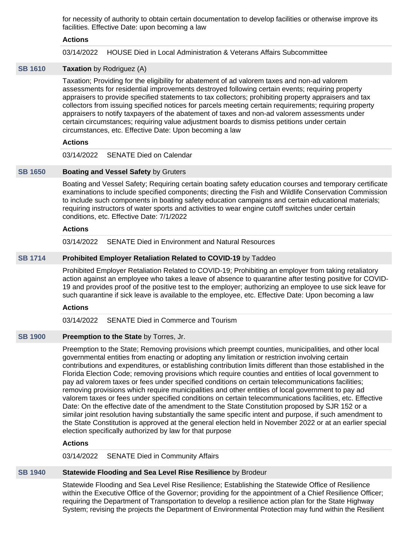for necessity of authority to obtain certain documentation to develop facilities or otherwise improve its facilities. Effective Date: upon becoming a law

### **Actions**

03/14/2022 HOUSE Died in Local Administration & Veterans Affairs Subcommittee

# **[SB 1610](https://public.lobbytools.com/bills/62501) Taxation** by Rodriguez (A)

Taxation; Providing for the eligibility for abatement of ad valorem taxes and non-ad valorem assessments for residential improvements destroyed following certain events; requiring property appraisers to provide specified statements to tax collectors; prohibiting property appraisers and tax collectors from issuing specified notices for parcels meeting certain requirements; requiring property appraisers to notify taxpayers of the abatement of taxes and non-ad valorem assessments under certain circumstances; requiring value adjustment boards to dismiss petitions under certain circumstances, etc. Effective Date: Upon becoming a law

# **Actions**

03/14/2022 SENATE Died on Calendar

### **[SB 1650](https://public.lobbytools.com/bills/62534) Boating and Vessel Safety** by Gruters

Boating and Vessel Safety; Requiring certain boating safety education courses and temporary certificate examinations to include specified components; directing the Fish and Wildlife Conservation Commission to include such components in boating safety education campaigns and certain educational materials; requiring instructors of water sports and activities to wear engine cutoff switches under certain conditions, etc. Effective Date: 7/1/2022

### **Actions**

03/14/2022 SENATE Died in Environment and Natural Resources

### **[SB 1714](https://public.lobbytools.com/bills/62581) Prohibited Employer Retaliation Related to COVID-19** by Taddeo

Prohibited Employer Retaliation Related to COVID-19; Prohibiting an employer from taking retaliatory action against an employee who takes a leave of absence to quarantine after testing positive for COVID-19 and provides proof of the positive test to the employer; authorizing an employee to use sick leave for such quarantine if sick leave is available to the employee, etc. Effective Date: Upon becoming a law

# **Actions**

03/14/2022 SENATE Died in Commerce and Tourism

# **[SB 1900](https://public.lobbytools.com/bills/62818) Preemption to the State** by Torres, Jr.

Preemption to the State; Removing provisions which preempt counties, municipalities, and other local governmental entities from enacting or adopting any limitation or restriction involving certain contributions and expenditures, or establishing contribution limits different than those established in the Florida Election Code; removing provisions which require counties and entities of local government to pay ad valorem taxes or fees under specified conditions on certain telecommunications facilities; removing provisions which require municipalities and other entities of local government to pay ad valorem taxes or fees under specified conditions on certain telecommunications facilities, etc. Effective Date: On the effective date of the amendment to the State Constitution proposed by SJR 152 or a similar joint resolution having substantially the same specific intent and purpose, if such amendment to the State Constitution is approved at the general election held in November 2022 or at an earlier special election specifically authorized by law for that purpose

### **Actions**

03/14/2022 SENATE Died in Community Affairs

#### **[SB 1940](https://public.lobbytools.com/bills/62838) Statewide Flooding and Sea Level Rise Resilience** by Brodeur

Statewide Flooding and Sea Level Rise Resilience; Establishing the Statewide Office of Resilience within the Executive Office of the Governor; providing for the appointment of a Chief Resilience Officer; requiring the Department of Transportation to develop a resilience action plan for the State Highway System; revising the projects the Department of Environmental Protection may fund within the Resilient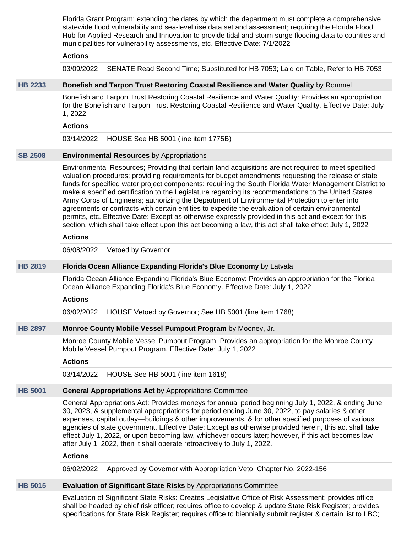Florida Grant Program; extending the dates by which the department must complete a comprehensive statewide flood vulnerability and sea-level rise data set and assessment; requiring the Florida Flood Hub for Applied Research and Innovation to provide tidal and storm surge flooding data to counties and municipalities for vulnerability assessments, etc. Effective Date: 7/1/2022

## **Actions**

03/09/2022 SENATE Read Second Time; Substituted for HB 7053; Laid on Table, Refer to HB 7053

# **[HB 2233](https://public.lobbytools.com/bills/59930) Bonefish and Tarpon Trust Restoring Coastal Resilience and Water Quality** by Rommel

Bonefish and Tarpon Trust Restoring Coastal Resilience and Water Quality: Provides an appropriation for the Bonefish and Tarpon Trust Restoring Coastal Resilience and Water Quality. Effective Date: July 1, 2022

# **Actions**

03/14/2022 HOUSE See HB 5001 (line item 1775B)

# **[SB 2508](https://public.lobbytools.com/bills/63085) Environmental Resources** by Appropriations

Environmental Resources; Providing that certain land acquisitions are not required to meet specified valuation procedures; providing requirements for budget amendments requesting the release of state funds for specified water project components; requiring the South Florida Water Management District to make a specified certification to the Legislature regarding its recommendations to the United States Army Corps of Engineers; authorizing the Department of Environmental Protection to enter into agreements or contracts with certain entities to expedite the evaluation of certain environmental permits, etc. Effective Date: Except as otherwise expressly provided in this act and except for this section, which shall take effect upon this act becoming a law, this act shall take effect July 1, 2022

### **Actions**

06/08/2022 Vetoed by Governor

# **[HB 2819](https://public.lobbytools.com/bills/60540) Florida Ocean Alliance Expanding Florida's Blue Economy** by Latvala

Florida Ocean Alliance Expanding Florida's Blue Economy: Provides an appropriation for the Florida Ocean Alliance Expanding Florida's Blue Economy. Effective Date: July 1, 2022

#### **Actions**

06/02/2022 HOUSE Vetoed by Governor; See HB 5001 (line item 1768)

# **[HB 2897](https://public.lobbytools.com/bills/60591) Monroe County Mobile Vessel Pumpout Program** by Mooney, Jr.

Monroe County Mobile Vessel Pumpout Program: Provides an appropriation for the Monroe County Mobile Vessel Pumpout Program. Effective Date: July 1, 2022

# **Actions**

03/14/2022 HOUSE See HB 5001 (line item 1618)

# **[HB 5001](https://public.lobbytools.com/bills/63115) General Appropriations Act** by Appropriations Committee

General Appropriations Act: Provides moneys for annual period beginning July 1, 2022, & ending June 30, 2023, & supplemental appropriations for period ending June 30, 2022, to pay salaries & other expenses, capital outlay—buildings & other improvements, & for other specified purposes of various agencies of state government. Effective Date: Except as otherwise provided herein, this act shall take effect July 1, 2022, or upon becoming law, whichever occurs later; however, if this act becomes law after July 1, 2022, then it shall operate retroactively to July 1, 2022.

#### **Actions**

06/02/2022 Approved by Governor with Appropriation Veto; Chapter No. 2022-156

# **[HB 5015](https://public.lobbytools.com/bills/63122) Evaluation of Significant State Risks** by Appropriations Committee

Evaluation of Significant State Risks: Creates Legislative Office of Risk Assessment; provides office shall be headed by chief risk officer; requires office to develop & update State Risk Register; provides specifications for State Risk Register; requires office to biennially submit register & certain list to LBC;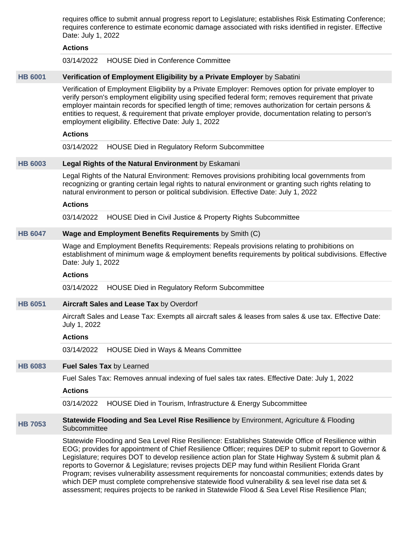requires office to submit annual progress report to Legislature; establishes Risk Estimating Conference; requires conference to estimate economic damage associated with risks identified in register. Effective Date: July 1, 2022

### **Actions**

03/14/2022 HOUSE Died in Conference Committee

#### **[HB 6001](https://public.lobbytools.com/bills/59413) Verification of Employment Eligibility by a Private Employer** by Sabatini

Verification of Employment Eligibility by a Private Employer: Removes option for private employer to verify person's employment eligibility using specified federal form; removes requirement that private employer maintain records for specified length of time; removes authorization for certain persons & entities to request, & requirement that private employer provide, documentation relating to person's employment eligibility. Effective Date: July 1, 2022

# **Actions**

03/14/2022 HOUSE Died in Regulatory Reform Subcommittee

# **[HB 6003](https://public.lobbytools.com/bills/59414) Legal Rights of the Natural Environment** by Eskamani

Legal Rights of the Natural Environment: Removes provisions prohibiting local governments from recognizing or granting certain legal rights to natural environment or granting such rights relating to natural environment to person or political subdivision. Effective Date: July 1, 2022

#### **Actions**

03/14/2022 HOUSE Died in Civil Justice & Property Rights Subcommittee

# **[HB 6047](https://public.lobbytools.com/bills/59821) Wage and Employment Benefits Requirements** by Smith (C)

Wage and Employment Benefits Requirements: Repeals provisions relating to prohibitions on establishment of minimum wage & employment benefits requirements by political subdivisions. Effective Date: July 1, 2022

#### **Actions**

03/14/2022 HOUSE Died in Regulatory Reform Subcommittee

#### **[HB 6051](https://public.lobbytools.com/bills/59911) Aircraft Sales and Lease Tax** by Overdorf

Aircraft Sales and Lease Tax: Exempts all aircraft sales & leases from sales & use tax. Effective Date: July 1, 2022

#### **Actions**

03/14/2022 HOUSE Died in Ways & Means Committee

#### **[HB 6083](https://public.lobbytools.com/bills/61209) Fuel Sales Tax** by Learned

Fuel Sales Tax: Removes annual indexing of fuel sales tax rates. Effective Date: July 1, 2022

#### **Actions**

03/14/2022 HOUSE Died in Tourism, Infrastructure & Energy Subcommittee

### **[HB 7053](https://public.lobbytools.com/bills/63057) Statewide Flooding and Sea Level Rise Resilience** by Environment, Agriculture & Flooding **Subcommittee**

Statewide Flooding and Sea Level Rise Resilience: Establishes Statewide Office of Resilience within EOG; provides for appointment of Chief Resilience Officer; requires DEP to submit report to Governor & Legislature; requires DOT to develop resilience action plan for State Highway System & submit plan & reports to Governor & Legislature; revises projects DEP may fund within Resilient Florida Grant Program; revises vulnerability assessment requirements for noncoastal communities; extends dates by which DEP must complete comprehensive statewide flood vulnerability & sea level rise data set & assessment; requires projects to be ranked in Statewide Flood & Sea Level Rise Resilience Plan;